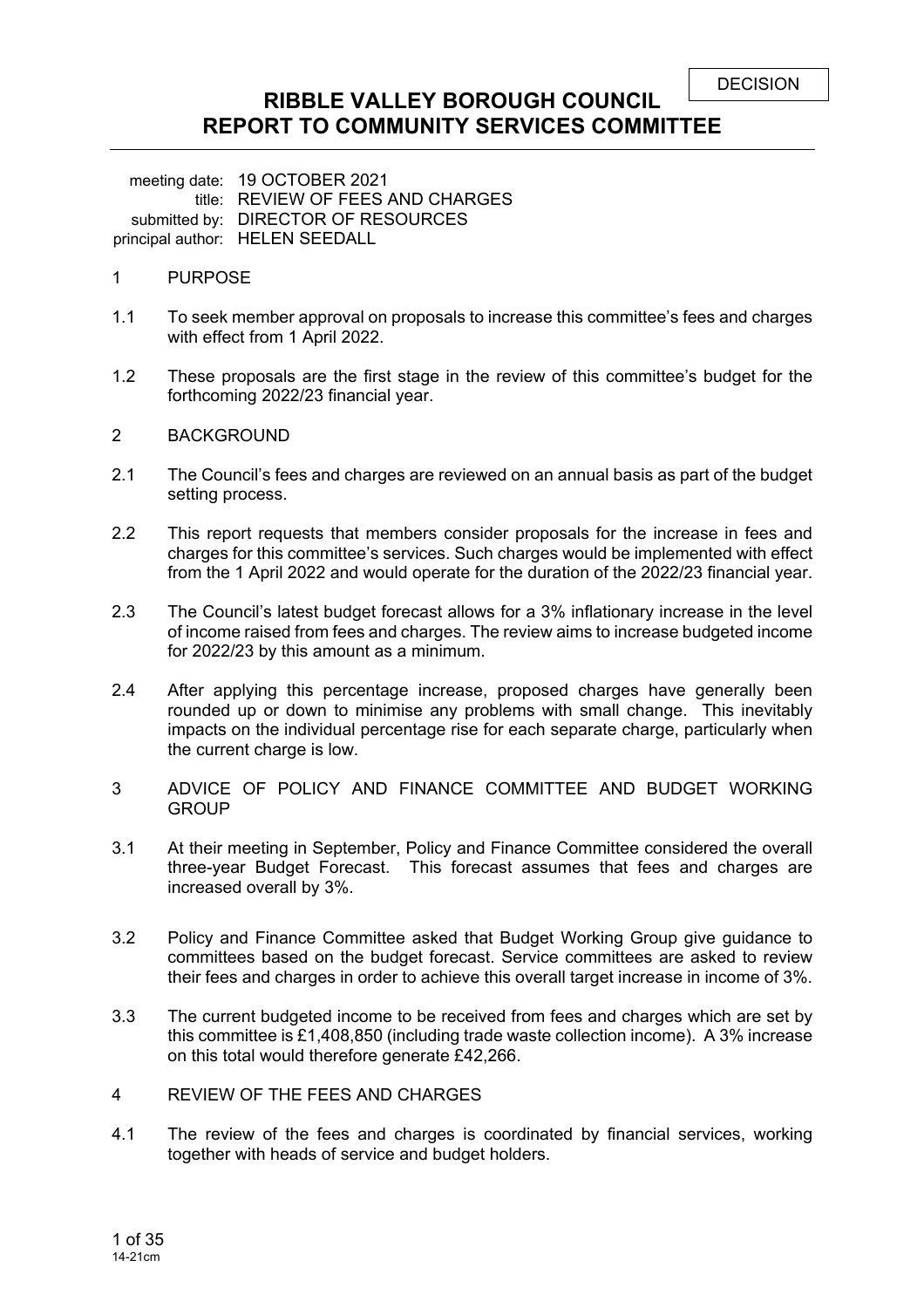## **RIBBLE VALLEY BOROUGH COUNCIL REPORT TO COMMUNITY SERVICES COMMITTEE**

meeting date: 19 OCTOBER 2021 title: REVIEW OF FEES AND CHARGES submitted by: DIRECTOR OF RESOURCES principal author: HELEN SEEDALL

#### 1 PURPOSE

- 1.1 To seek member approval on proposals to increase this committee's fees and charges with effect from 1 April 2022.
- 1.2 These proposals are the first stage in the review of this committee's budget for the forthcoming 2022/23 financial year.

#### 2 BACKGROUND

- 2.1 The Council's fees and charges are reviewed on an annual basis as part of the budget setting process.
- 2.2 This report requests that members consider proposals for the increase in fees and charges for this committee's services. Such charges would be implemented with effect from the 1 April 2022 and would operate for the duration of the 2022/23 financial year.
- 2.3 The Council's latest budget forecast allows for a 3% inflationary increase in the level of income raised from fees and charges. The review aims to increase budgeted income for 2022/23 by this amount as a minimum.
- 2.4 After applying this percentage increase, proposed charges have generally been rounded up or down to minimise any problems with small change. This inevitably impacts on the individual percentage rise for each separate charge, particularly when the current charge is low.
- 3 ADVICE OF POLICY AND FINANCE COMMITTEE AND BUDGET WORKING **GROUP**
- 3.1 At their meeting in September, Policy and Finance Committee considered the overall three-year Budget Forecast. This forecast assumes that fees and charges are increased overall by 3%.
- 3.2 Policy and Finance Committee asked that Budget Working Group give guidance to committees based on the budget forecast. Service committees are asked to review their fees and charges in order to achieve this overall target increase in income of 3%.
- 3.3 The current budgeted income to be received from fees and charges which are set by this committee is £1,408,850 (including trade waste collection income). A 3% increase on this total would therefore generate £42,266.
- 4 REVIEW OF THE FEES AND CHARGES
- 4.1 The review of the fees and charges is coordinated by financial services, working together with heads of service and budget holders.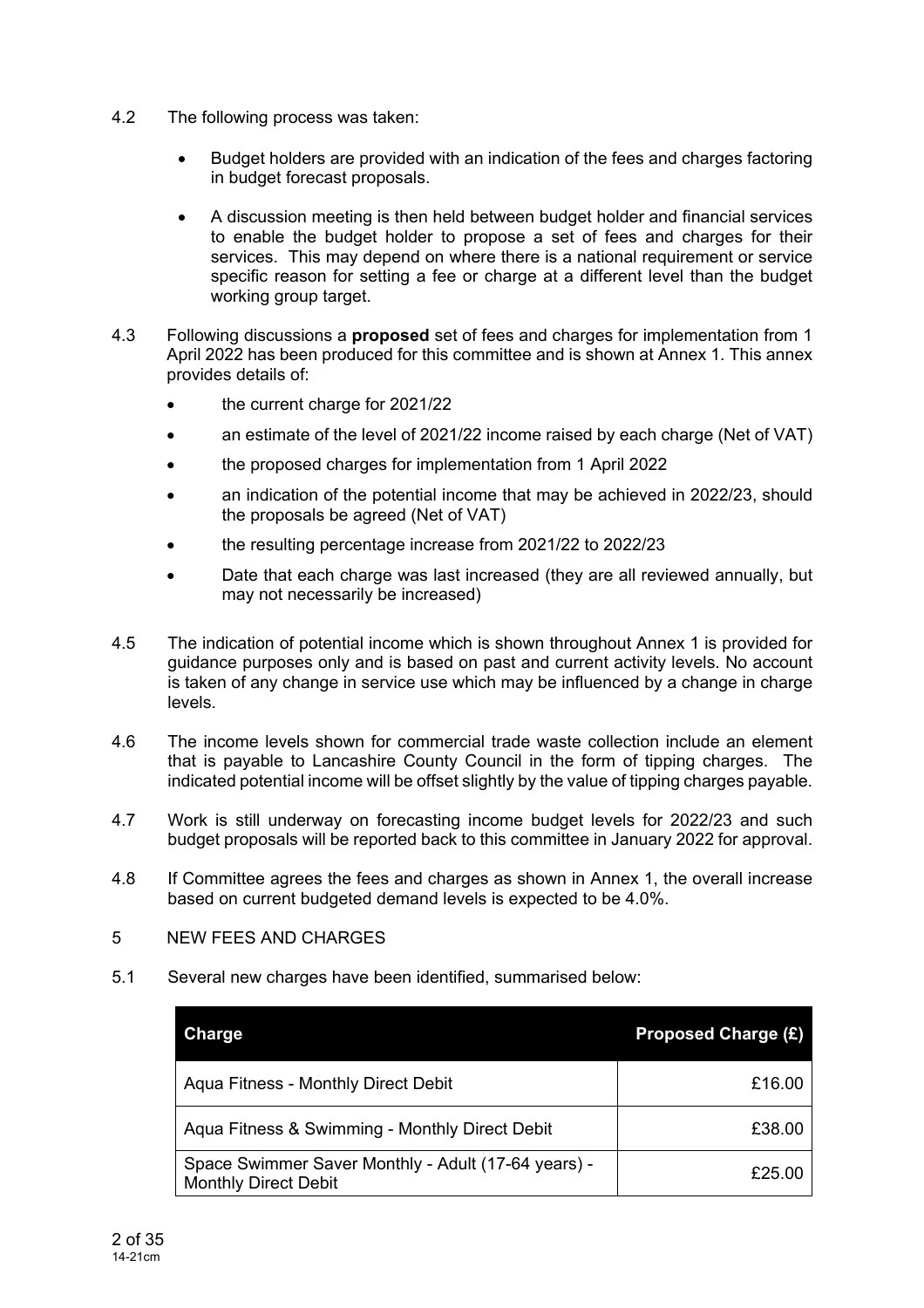- 4.2 The following process was taken:
	- Budget holders are provided with an indication of the fees and charges factoring in budget forecast proposals.
	- A discussion meeting is then held between budget holder and financial services to enable the budget holder to propose a set of fees and charges for their services. This may depend on where there is a national requirement or service specific reason for setting a fee or charge at a different level than the budget working group target.
- 4.3 Following discussions a **proposed** set of fees and charges for implementation from 1 April 2022 has been produced for this committee and is shown at Annex 1. This annex provides details of:
	- the current charge for 2021/22
	- an estimate of the level of 2021/22 income raised by each charge (Net of VAT)
	- the proposed charges for implementation from 1 April 2022
	- an indication of the potential income that may be achieved in 2022/23, should the proposals be agreed (Net of VAT)
	- the resulting percentage increase from 2021/22 to 2022/23
	- Date that each charge was last increased (they are all reviewed annually, but may not necessarily be increased)
- 4.5 The indication of potential income which is shown throughout Annex 1 is provided for guidance purposes only and is based on past and current activity levels. No account is taken of any change in service use which may be influenced by a change in charge levels.
- 4.6 The income levels shown for commercial trade waste collection include an element that is payable to Lancashire County Council in the form of tipping charges. The indicated potential income will be offset slightly by the value of tipping charges payable.
- 4.7 Work is still underway on forecasting income budget levels for 2022/23 and such budget proposals will be reported back to this committee in January 2022 for approval.
- 4.8 If Committee agrees the fees and charges as shown in Annex 1, the overall increase based on current budgeted demand levels is expected to be 4.0%.
- 5 NEW FEES AND CHARGES
- 5.1 Several new charges have been identified, summarised below:

| <b>Charge</b>                                                                      | <b>Proposed Charge (£)</b> |
|------------------------------------------------------------------------------------|----------------------------|
| Aqua Fitness - Monthly Direct Debit                                                | £16.00                     |
| Aqua Fitness & Swimming - Monthly Direct Debit                                     | £38.00                     |
| Space Swimmer Saver Monthly - Adult (17-64 years) -<br><b>Monthly Direct Debit</b> | £25.00                     |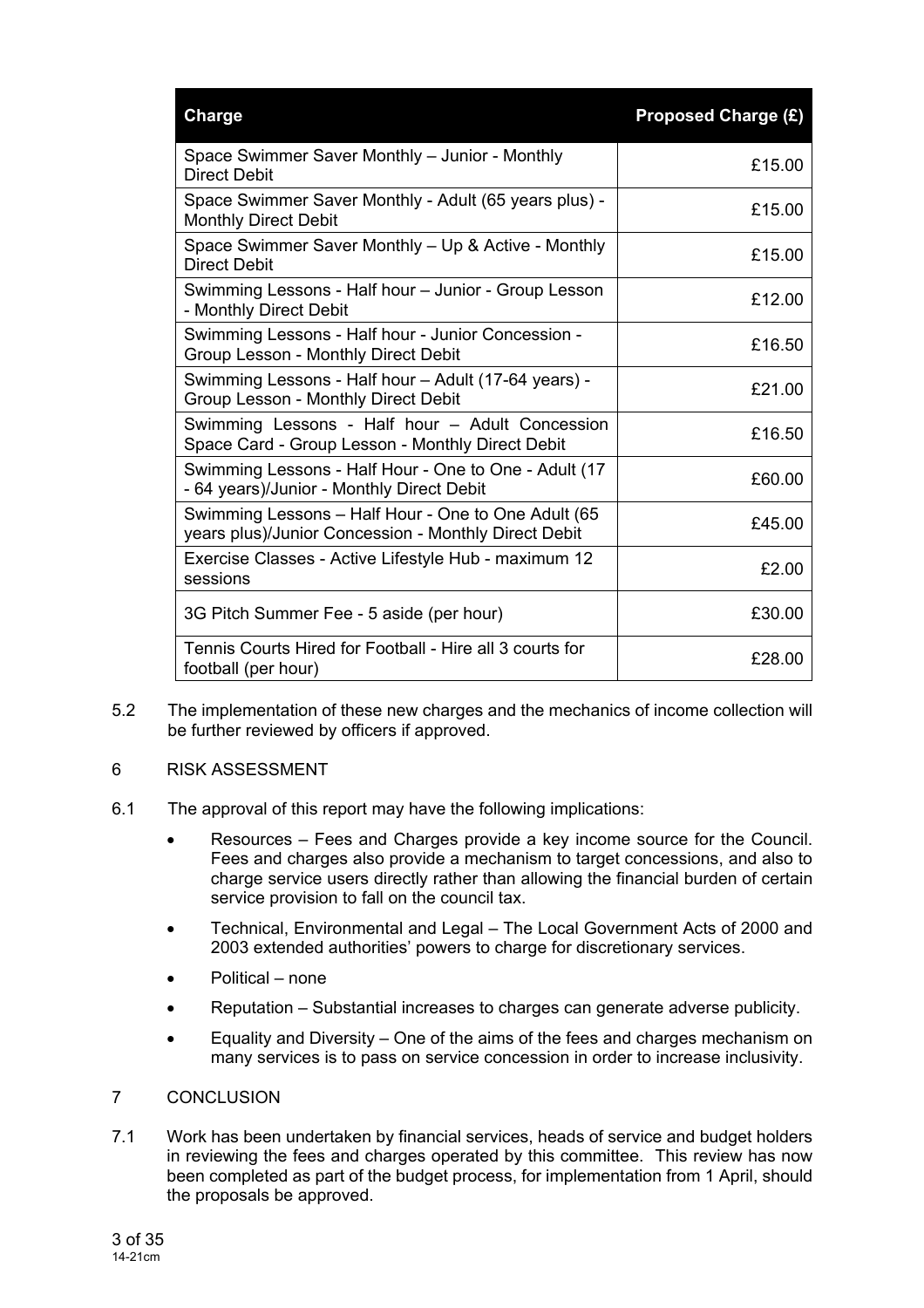| <b>Charge</b>                                                                                               | <b>Proposed Charge (£)</b> |
|-------------------------------------------------------------------------------------------------------------|----------------------------|
| Space Swimmer Saver Monthly - Junior - Monthly<br><b>Direct Debit</b>                                       | £15.00                     |
| Space Swimmer Saver Monthly - Adult (65 years plus) -<br><b>Monthly Direct Debit</b>                        | £15.00                     |
| Space Swimmer Saver Monthly – Up & Active - Monthly<br><b>Direct Debit</b>                                  | £15.00                     |
| Swimming Lessons - Half hour - Junior - Group Lesson<br>- Monthly Direct Debit                              | £12.00                     |
| Swimming Lessons - Half hour - Junior Concession -<br>Group Lesson - Monthly Direct Debit                   | £16.50                     |
| Swimming Lessons - Half hour - Adult (17-64 years) -<br>Group Lesson - Monthly Direct Debit                 | £21.00                     |
| Swimming Lessons - Half hour - Adult Concession<br>Space Card - Group Lesson - Monthly Direct Debit         | £16.50                     |
| Swimming Lessons - Half Hour - One to One - Adult (17<br>- 64 years)/Junior - Monthly Direct Debit          | £60.00                     |
| Swimming Lessons - Half Hour - One to One Adult (65<br>years plus)/Junior Concession - Monthly Direct Debit | £45.00                     |
| Exercise Classes - Active Lifestyle Hub - maximum 12<br>sessions                                            | £2.00                      |
| 3G Pitch Summer Fee - 5 aside (per hour)                                                                    | £30.00                     |
| Tennis Courts Hired for Football - Hire all 3 courts for<br>football (per hour)                             | £28.00                     |

- 5.2 The implementation of these new charges and the mechanics of income collection will be further reviewed by officers if approved.
- 6 RISK ASSESSMENT
- 6.1 The approval of this report may have the following implications:
	- Resources Fees and Charges provide a key income source for the Council. Fees and charges also provide a mechanism to target concessions, and also to charge service users directly rather than allowing the financial burden of certain service provision to fall on the council tax.
	- Technical, Environmental and Legal The Local Government Acts of 2000 and 2003 extended authorities' powers to charge for discretionary services.
	- Political none
	- Reputation Substantial increases to charges can generate adverse publicity.
	- Equality and Diversity One of the aims of the fees and charges mechanism on many services is to pass on service concession in order to increase inclusivity.

### 7 CONCLUSION

7.1 Work has been undertaken by financial services, heads of service and budget holders in reviewing the fees and charges operated by this committee. This review has now been completed as part of the budget process, for implementation from 1 April, should the proposals be approved.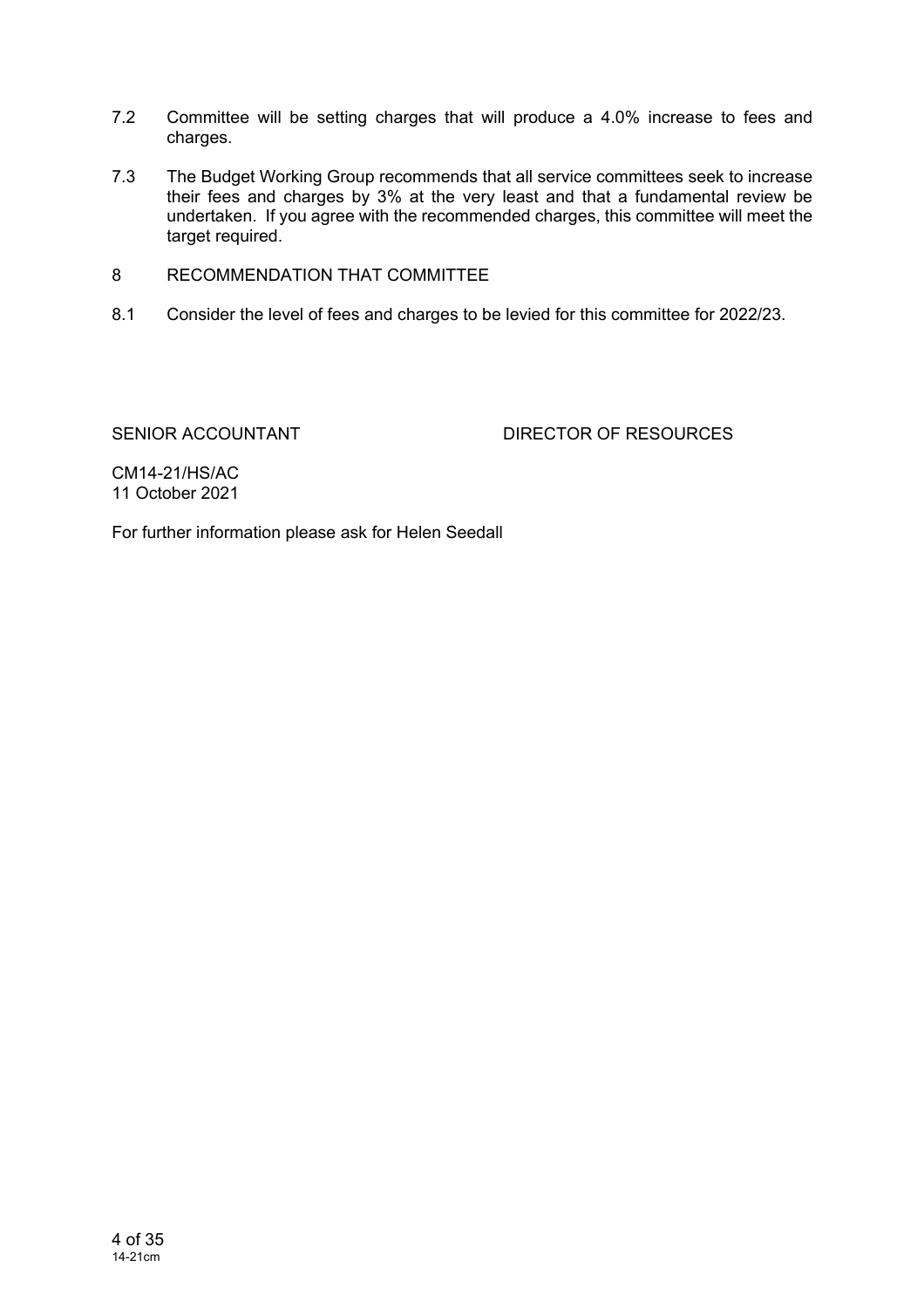- 7.2 Committee will be setting charges that will produce a 4.0% increase to fees and charges.
- 7.3 The Budget Working Group recommends that all service committees seek to increase their fees and charges by 3% at the very least and that a fundamental review be undertaken. If you agree with the recommended charges, this committee will meet the target required.
- 8 RECOMMENDATION THAT COMMITTEE
- 8.1 Consider the level of fees and charges to be levied for this committee for 2022/23.

SENIOR ACCOUNTANT DIRECTOR OF RESOURCES

CM14-21/HS/AC 11 October 2021

For further information please ask for Helen Seedall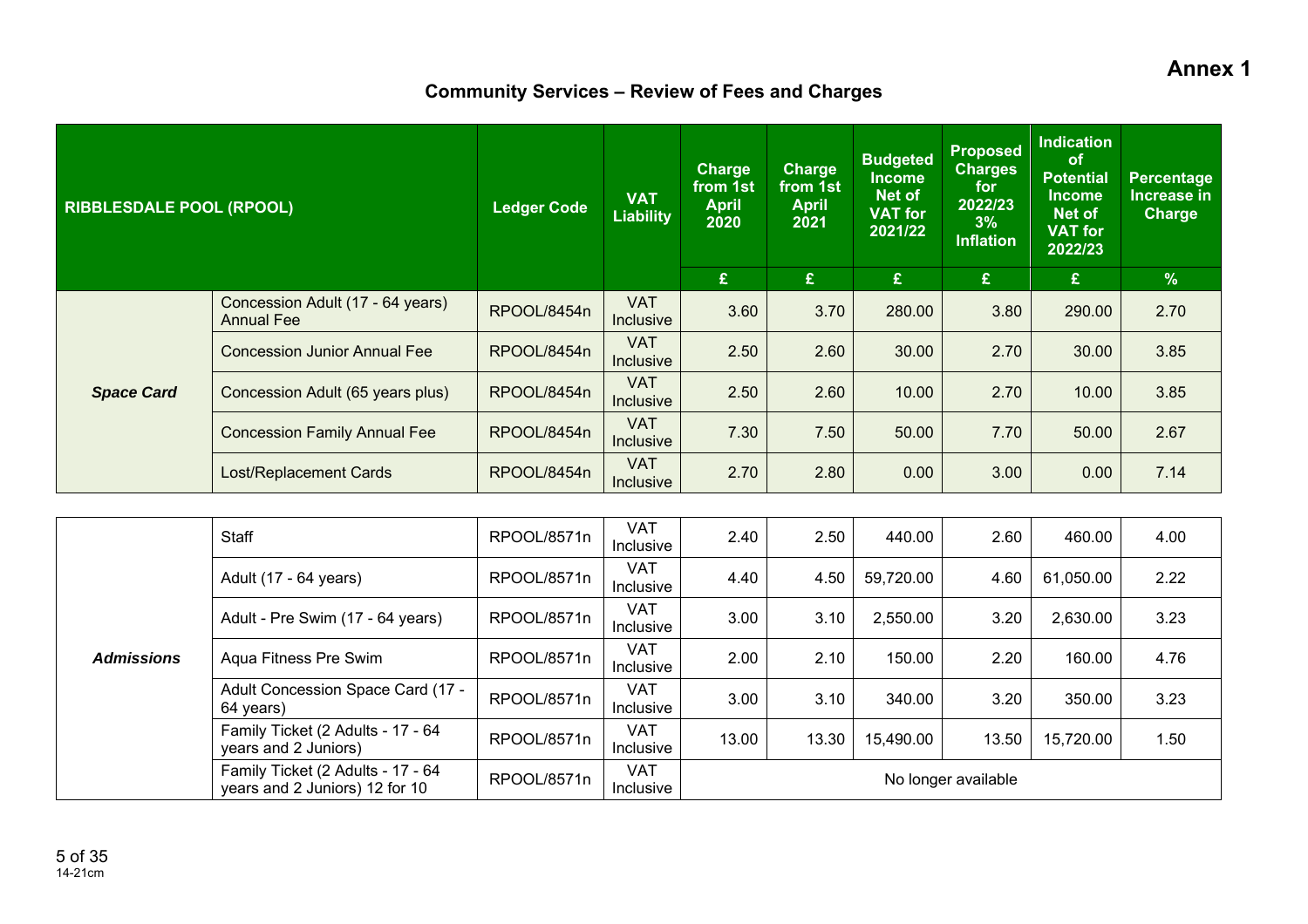**Annex 1** 

# **Community Services – Review of Fees and Charges**

| <b>RIBBLESDALE POOL (RPOOL)</b> |                                                       | <b>Ledger Code</b> | <b>VAT</b><br><b>Liability</b> | <b>Charge</b><br>from 1st<br><b>April</b><br>2020 | Charge<br>from 1st<br><b>April</b><br>2021 | <b>Budgeted</b><br><b>Income</b><br>Net of<br><b>VAT for</b><br>2021/22 | <b>Proposed</b><br><b>Charges</b><br>for<br>2022/23<br>3%<br><b>Inflation</b> | <b>Indication</b><br>of<br><b>Potential</b><br><b>Income</b><br>Net of<br><b>VAT for</b><br>2022/23 | <b>Percentage</b><br>Increase in<br><b>Charge</b> |
|---------------------------------|-------------------------------------------------------|--------------------|--------------------------------|---------------------------------------------------|--------------------------------------------|-------------------------------------------------------------------------|-------------------------------------------------------------------------------|-----------------------------------------------------------------------------------------------------|---------------------------------------------------|
|                                 |                                                       |                    |                                | £                                                 | £                                          | £                                                                       | £                                                                             | $\mathbf{E}$                                                                                        | $\%$                                              |
|                                 | Concession Adult (17 - 64 years)<br><b>Annual Fee</b> | RPOOL/8454n        | <b>VAT</b><br><b>Inclusive</b> | 3.60                                              | 3.70                                       | 280.00                                                                  | 3.80                                                                          | 290.00                                                                                              | 2.70                                              |
|                                 | <b>Concession Junior Annual Fee</b>                   | RPOOL/8454n        | <b>VAT</b><br>Inclusive        | 2.50                                              | 2.60                                       | 30.00                                                                   | 2.70                                                                          | 30.00                                                                                               | 3.85                                              |
| <b>Space Card</b>               | Concession Adult (65 years plus)                      | RPOOL/8454n        | <b>VAT</b><br><b>Inclusive</b> | 2.50                                              | 2.60                                       | 10.00                                                                   | 2.70                                                                          | 10.00                                                                                               | 3.85                                              |
|                                 | <b>Concession Family Annual Fee</b>                   | RPOOL/8454n        | <b>VAT</b><br><b>Inclusive</b> | 7.30                                              | 7.50                                       | 50.00                                                                   | 7.70                                                                          | 50.00                                                                                               | 2.67                                              |
|                                 | Lost/Replacement Cards                                | RPOOL/8454n        | <b>VAT</b><br><b>Inclusive</b> | 2.70                                              | 2.80                                       | 0.00                                                                    | 3.00                                                                          | 0.00                                                                                                | 7.14                                              |
|                                 |                                                       |                    |                                |                                                   |                                            |                                                                         |                                                                               |                                                                                                     |                                                   |

|                   | Staff                                                               | RPOOL/8571n | <b>VAT</b><br>Inclusive | 2.40  | 2.50  | 440.00    | 2.60                | 460.00    | 4.00 |
|-------------------|---------------------------------------------------------------------|-------------|-------------------------|-------|-------|-----------|---------------------|-----------|------|
|                   | Adult (17 - 64 years)                                               | RPOOL/8571n | <b>VAT</b><br>Inclusive | 4.40  | 4.50  | 59,720.00 | 4.60                | 61,050.00 | 2.22 |
|                   | Adult - Pre Swim (17 - 64 years)                                    | RPOOL/8571n | <b>VAT</b><br>Inclusive | 3.00  | 3.10  | 2,550.00  | 3.20                | 2,630.00  | 3.23 |
| <b>Admissions</b> | Aqua Fitness Pre Swim                                               | RPOOL/8571n | <b>VAT</b><br>Inclusive | 2.00  | 2.10  | 150.00    | 2.20                | 160.00    | 4.76 |
|                   | Adult Concession Space Card (17 -<br>64 years)                      | RPOOL/8571n | <b>VAT</b><br>Inclusive | 3.00  | 3.10  | 340.00    | 3.20                | 350.00    | 3.23 |
|                   | Family Ticket (2 Adults - 17 - 64<br>years and 2 Juniors)           | RPOOL/8571n | <b>VAT</b><br>Inclusive | 13.00 | 13.30 | 15,490.00 | 13.50               | 15,720.00 | 1.50 |
|                   | Family Ticket (2 Adults - 17 - 64<br>years and 2 Juniors) 12 for 10 | RPOOL/8571n | <b>VAT</b><br>Inclusive |       |       |           | No longer available |           |      |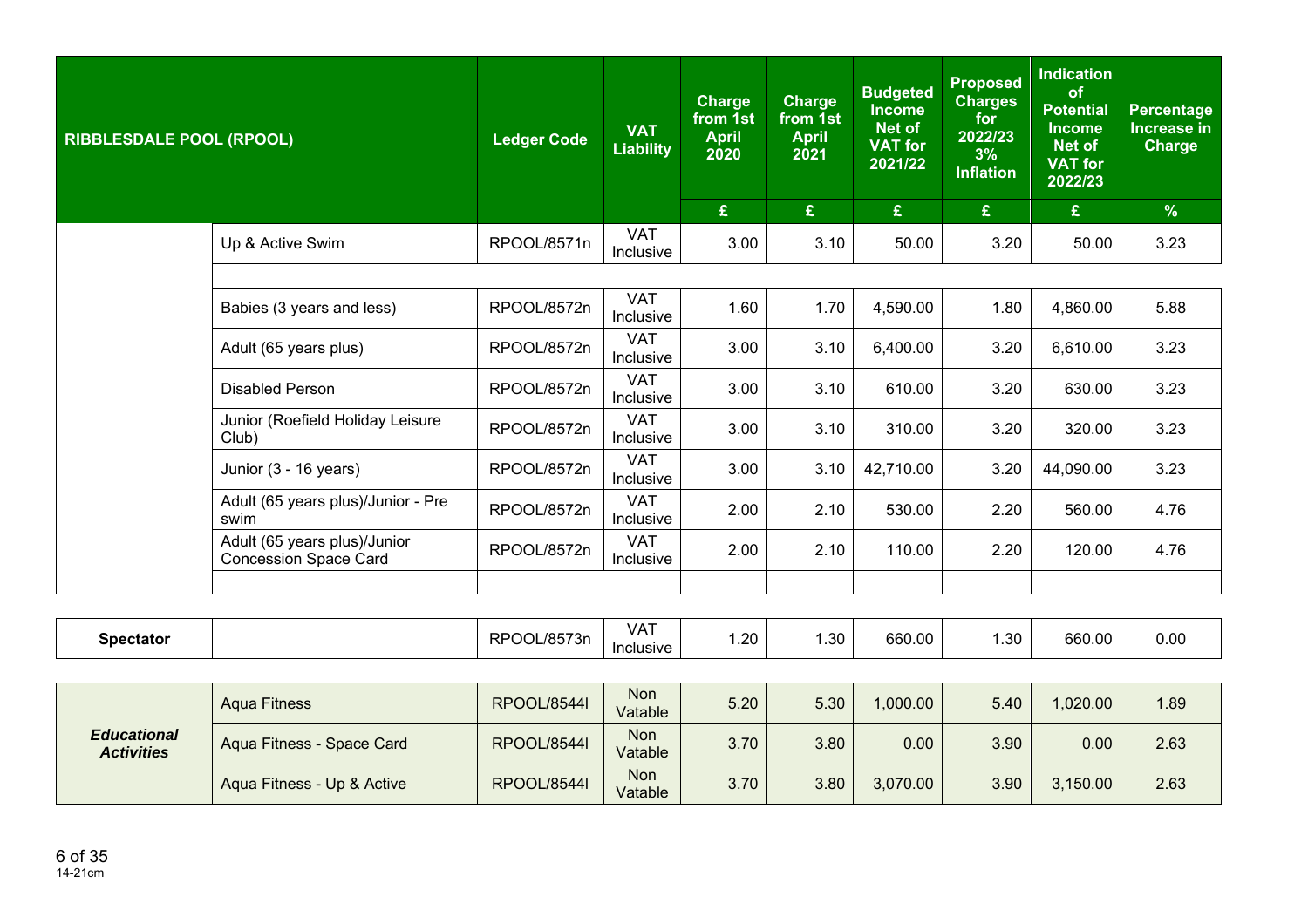| <b>RIBBLESDALE POOL (RPOOL)</b> |                                                              | <b>Ledger Code</b>             | <b>VAT</b><br><b>Liability</b> | Charge<br>from 1st<br><b>April</b><br>2020<br>$\mathbf{f}$ | <b>Charge</b><br>from 1st<br><b>April</b><br>2021<br>£ | <b>Budgeted</b><br><b>Income</b><br>Net of<br><b>VAT for</b><br>2021/22<br>$\mathbf{E}$ | <b>Proposed</b><br><b>Charges</b><br>for<br>2022/23<br>3%<br><b>Inflation</b><br>£ | <b>Indication</b><br>of<br><b>Potential</b><br><b>Income</b><br>Net of<br><b>VAT for</b><br>2022/23<br>£ | <b>Percentage</b><br>Increase in<br><b>Charge</b><br>$\frac{9}{6}$ |
|---------------------------------|--------------------------------------------------------------|--------------------------------|--------------------------------|------------------------------------------------------------|--------------------------------------------------------|-----------------------------------------------------------------------------------------|------------------------------------------------------------------------------------|----------------------------------------------------------------------------------------------------------|--------------------------------------------------------------------|
|                                 |                                                              |                                |                                |                                                            |                                                        |                                                                                         |                                                                                    |                                                                                                          |                                                                    |
|                                 | Up & Active Swim                                             | RPOOL/8571n                    | <b>VAT</b><br><b>Inclusive</b> | 3.00                                                       | 3.10                                                   | 50.00                                                                                   | 3.20                                                                               | 50.00                                                                                                    | 3.23                                                               |
|                                 |                                                              |                                |                                |                                                            |                                                        |                                                                                         |                                                                                    |                                                                                                          |                                                                    |
| Babies (3 years and less)       | RPOOL/8572n                                                  | <b>VAT</b><br><b>Inclusive</b> | 1.60                           | 1.70                                                       | 4,590.00                                               | 1.80                                                                                    | 4,860.00                                                                           | 5.88                                                                                                     |                                                                    |
|                                 | Adult (65 years plus)                                        | RPOOL/8572n                    | <b>VAT</b><br>Inclusive        | 3.00                                                       | 3.10                                                   | 6,400.00                                                                                | 3.20                                                                               | 6,610.00                                                                                                 | 3.23                                                               |
|                                 | <b>Disabled Person</b>                                       | RPOOL/8572n                    | <b>VAT</b><br><b>Inclusive</b> | 3.00                                                       | 3.10                                                   | 610.00                                                                                  | 3.20                                                                               | 630.00                                                                                                   | 3.23                                                               |
|                                 | Junior (Roefield Holiday Leisure<br>Club)                    | RPOOL/8572n                    | <b>VAT</b><br>Inclusive        | 3.00                                                       | 3.10                                                   | 310.00                                                                                  | 3.20                                                                               | 320.00                                                                                                   | 3.23                                                               |
|                                 | Junior (3 - 16 years)                                        | RPOOL/8572n                    | <b>VAT</b><br><b>Inclusive</b> | 3.00                                                       | 3.10                                                   | 42,710.00                                                                               | 3.20                                                                               | 44,090.00                                                                                                | 3.23                                                               |
|                                 | Adult (65 years plus)/Junior - Pre<br>swim                   | RPOOL/8572n                    | <b>VAT</b><br>Inclusive        | 2.00                                                       | 2.10                                                   | 530.00                                                                                  | 2.20                                                                               | 560.00                                                                                                   | 4.76                                                               |
|                                 | Adult (65 years plus)/Junior<br><b>Concession Space Card</b> | RPOOL/8572n                    | <b>VAT</b><br>Inclusive        | 2.00                                                       | 2.10                                                   | 110.00                                                                                  | 2.20                                                                               | 120.00                                                                                                   | 4.76                                                               |
|                                 |                                                              |                                |                                |                                                            |                                                        |                                                                                         |                                                                                    |                                                                                                          |                                                                    |

| Spectator | , 18572<br>RP <sub>(</sub><br>$^{\prime}$ 2n<br>ושו | VAT<br>Inclusive | $\sim$<br>∴∠∪ | ാറ<br>. טט | 660.00 | $\Omega$<br>∪כ.⊦ | 660.00 | 0.00 |
|-----------|-----------------------------------------------------|------------------|---------------|------------|--------|------------------|--------|------|
|-----------|-----------------------------------------------------|------------------|---------------|------------|--------|------------------|--------|------|

| <b>Educational</b><br><b>Activities</b> | Agua Fitness               | RPOOL/8544I | Non<br>Vatable        | 5.20 | 5.30 | 1,000.00 | 5.40 | 1,020.00 | 1.89 |
|-----------------------------------------|----------------------------|-------------|-----------------------|------|------|----------|------|----------|------|
|                                         | Aqua Fitness - Space Card  | RPOOL/8544I | <b>Non</b><br>Vatable | 3.70 | 3.80 | 0.00     | 3.90 | 0.00     | 2.63 |
|                                         | Aqua Fitness - Up & Active | RPOOL/8544I | <b>Non</b><br>Vatable | 3.70 | 3.80 | 3,070.00 | 3.90 | 3,150.00 | 2.63 |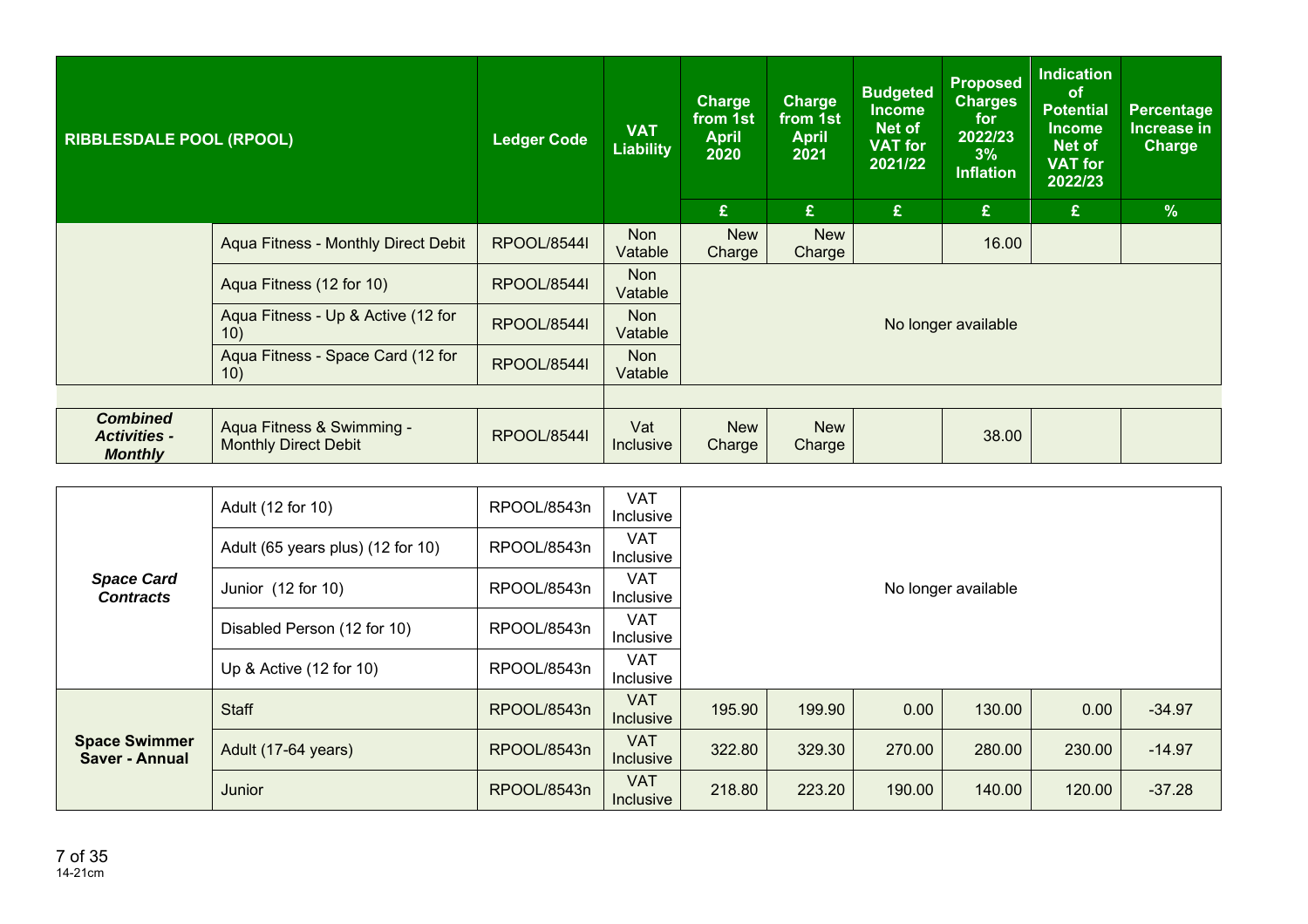| <b>RIBBLESDALE POOL (RPOOL)</b>                          |                                                          | <b>Ledger Code</b> | <b>VAT</b><br><b>Liability</b> | <b>Charge</b><br>from 1st<br><b>April</b><br>2020 | <b>Charge</b><br>from 1st<br><b>April</b><br>2021 | <b>Budgeted</b><br><b>Income</b><br>Net of<br><b>VAT for</b><br>2021/22 | <b>Proposed</b><br><b>Charges</b><br>for<br>2022/23<br>3%<br>Inflation | <b>Indication</b><br><b>of</b><br><b>Potential</b><br><b>Income</b><br><b>Net of</b><br><b>VAT for</b><br>2022/23 | Percentage<br><b>Increase in</b><br><b>Charge</b> |
|----------------------------------------------------------|----------------------------------------------------------|--------------------|--------------------------------|---------------------------------------------------|---------------------------------------------------|-------------------------------------------------------------------------|------------------------------------------------------------------------|-------------------------------------------------------------------------------------------------------------------|---------------------------------------------------|
|                                                          |                                                          |                    |                                | £                                                 | £                                                 | £                                                                       | $\mathbf{f}$                                                           | £                                                                                                                 | $\frac{9}{6}$                                     |
|                                                          | Aqua Fitness - Monthly Direct Debit                      | <b>RPOOL/8544I</b> | <b>Non</b><br>Vatable          | <b>New</b><br>Charge                              | <b>New</b><br>Charge                              |                                                                         | 16.00                                                                  |                                                                                                                   |                                                   |
|                                                          | Aqua Fitness (12 for 10)                                 | <b>RPOOL/8544I</b> | Non<br>Vatable                 |                                                   |                                                   |                                                                         |                                                                        |                                                                                                                   |                                                   |
|                                                          | Aqua Fitness - Up & Active (12 for<br>10)                | <b>RPOOL/8544I</b> | <b>Non</b><br>Vatable          |                                                   |                                                   |                                                                         | No longer available                                                    |                                                                                                                   |                                                   |
|                                                          | Aqua Fitness - Space Card (12 for<br>10)                 | <b>RPOOL/8544I</b> | <b>Non</b><br>Vatable          |                                                   |                                                   |                                                                         |                                                                        |                                                                                                                   |                                                   |
|                                                          |                                                          |                    |                                |                                                   |                                                   |                                                                         |                                                                        |                                                                                                                   |                                                   |
| <b>Combined</b><br><b>Activities -</b><br><b>Monthly</b> | Aqua Fitness & Swimming -<br><b>Monthly Direct Debit</b> | <b>RPOOL/85441</b> | Vat<br><b>Inclusive</b>        | <b>New</b><br>Charge                              | <b>New</b><br>Charge                              |                                                                         | 38.00                                                                  |                                                                                                                   |                                                   |

|                                               | Adult (12 for 10)                 | RPOOL/8543n | <b>VAT</b><br>Inclusive |        |        |        |                     |        |          |  |  |  |
|-----------------------------------------------|-----------------------------------|-------------|-------------------------|--------|--------|--------|---------------------|--------|----------|--|--|--|
|                                               | Adult (65 years plus) (12 for 10) | RPOOL/8543n | <b>VAT</b><br>Inclusive |        |        |        |                     |        |          |  |  |  |
| <b>Space Card</b><br><b>Contracts</b>         | Junior (12 for 10)                | RPOOL/8543n | <b>VAT</b><br>Inclusive |        |        |        | No longer available |        |          |  |  |  |
|                                               | Disabled Person (12 for 10)       | RPOOL/8543n | <b>VAT</b><br>Inclusive |        |        |        |                     |        |          |  |  |  |
|                                               | Up & Active (12 for 10)           | RPOOL/8543n | <b>VAT</b><br>Inclusive |        |        |        |                     |        |          |  |  |  |
|                                               | Staff                             | RPOOL/8543n | <b>VAT</b><br>Inclusive | 195.90 | 199.90 | 0.00   | 130.00              | 0.00   | $-34.97$ |  |  |  |
| <b>Space Swimmer</b><br><b>Saver - Annual</b> | Adult (17-64 years)               | RPOOL/8543n | <b>VAT</b><br>Inclusive | 322.80 | 329.30 | 270.00 | 280.00              | 230.00 | $-14.97$ |  |  |  |
|                                               | Junior                            | RPOOL/8543n | <b>VAT</b><br>Inclusive | 218.80 | 223.20 | 190.00 | 140.00              | 120.00 | $-37.28$ |  |  |  |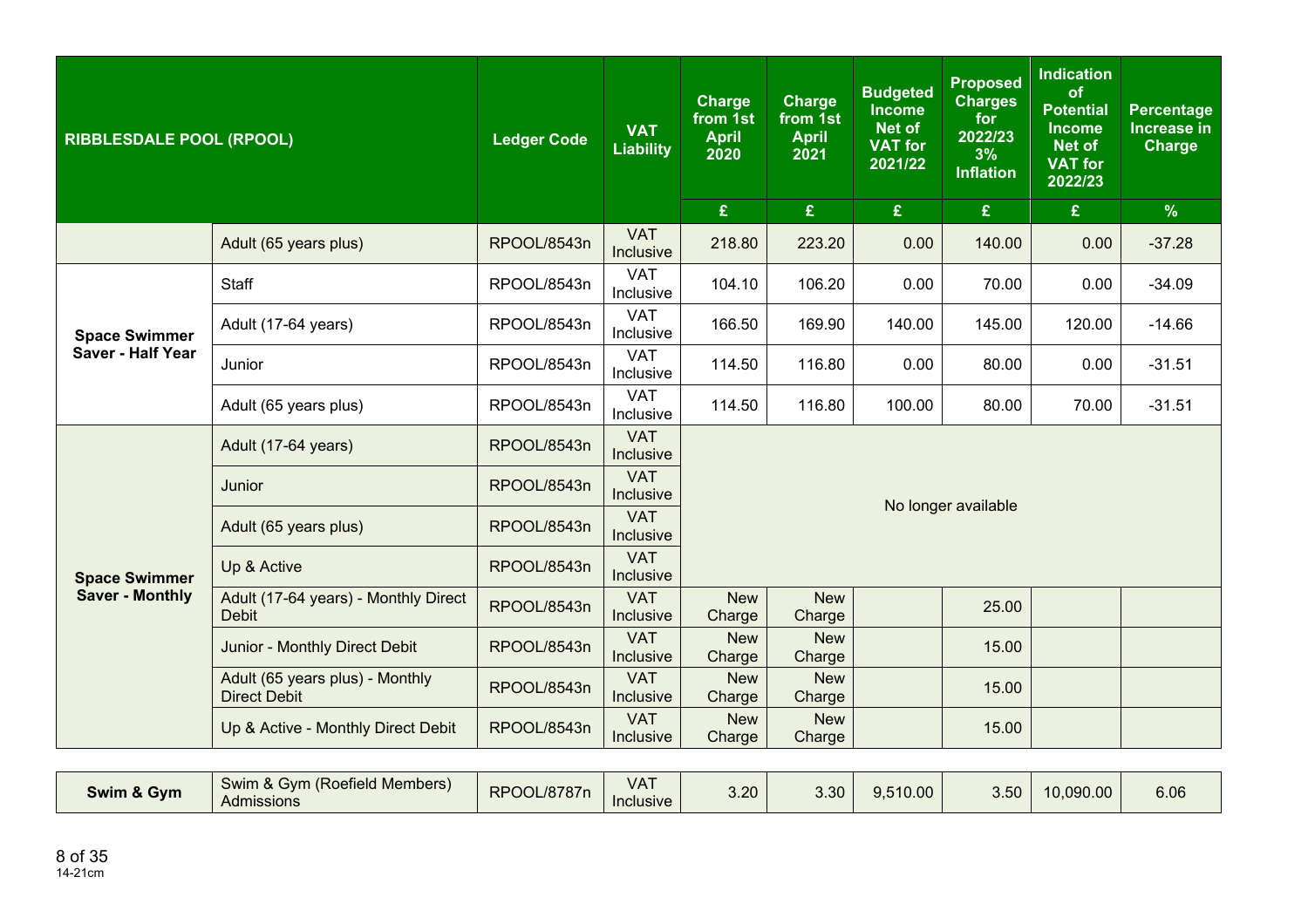| <b>RIBBLESDALE POOL (RPOOL)</b> |                                                        | <b>Ledger Code</b> | <b>VAT</b><br><b>Liability</b> | <b>Charge</b><br>from 1st<br><b>April</b><br>2020 | <b>Charge</b><br>from 1st<br><b>April</b><br>2021 | <b>Budgeted</b><br><b>Income</b><br><b>Net of</b><br><b>VAT for</b><br>2021/22 | <b>Proposed</b><br><b>Charges</b><br>for<br>2022/23<br>3%<br><b>Inflation</b> | <b>Indication</b><br>of<br><b>Potential</b><br><b>Income</b><br><b>Net of</b><br><b>VAT for</b><br>2022/23 | <b>Percentage</b><br>Increase in<br><b>Charge</b> |  |  |
|---------------------------------|--------------------------------------------------------|--------------------|--------------------------------|---------------------------------------------------|---------------------------------------------------|--------------------------------------------------------------------------------|-------------------------------------------------------------------------------|------------------------------------------------------------------------------------------------------------|---------------------------------------------------|--|--|
|                                 |                                                        |                    |                                | $\mathbf{f}$                                      | $\mathbf{E}$                                      | £                                                                              | $\pmb{\mathfrak{L}}$                                                          | £                                                                                                          | $\%$                                              |  |  |
|                                 | Adult (65 years plus)                                  | RPOOL/8543n        | <b>VAT</b><br>Inclusive        | 218.80                                            | 223.20                                            | 0.00                                                                           | 140.00                                                                        | 0.00                                                                                                       | $-37.28$                                          |  |  |
|                                 | Staff                                                  | RPOOL/8543n        | <b>VAT</b><br>Inclusive        | 104.10                                            | 106.20                                            | 0.00                                                                           | 70.00                                                                         | 0.00                                                                                                       | $-34.09$                                          |  |  |
| <b>Space Swimmer</b>            | Adult (17-64 years)                                    | RPOOL/8543n        | <b>VAT</b><br>Inclusive        | 166.50                                            | 169.90                                            | 140.00                                                                         | 145.00                                                                        | 120.00                                                                                                     | $-14.66$                                          |  |  |
| <b>Saver - Half Year</b>        | Junior                                                 | RPOOL/8543n        | <b>VAT</b><br>Inclusive        | 114.50                                            | 116.80                                            | 0.00                                                                           | 80.00                                                                         | 0.00                                                                                                       | $-31.51$                                          |  |  |
|                                 | Adult (65 years plus)                                  | RPOOL/8543n        | <b>VAT</b><br>Inclusive        | 114.50                                            | 116.80                                            | 100.00                                                                         | 80.00                                                                         | 70.00                                                                                                      | $-31.51$                                          |  |  |
|                                 | Adult (17-64 years)                                    | RPOOL/8543n        | <b>VAT</b><br>Inclusive        | No longer available                               |                                                   |                                                                                |                                                                               |                                                                                                            |                                                   |  |  |
|                                 | Junior                                                 | RPOOL/8543n        | <b>VAT</b><br>Inclusive        |                                                   |                                                   |                                                                                |                                                                               |                                                                                                            |                                                   |  |  |
|                                 | Adult (65 years plus)                                  | RPOOL/8543n        | <b>VAT</b><br>Inclusive        |                                                   |                                                   |                                                                                |                                                                               |                                                                                                            |                                                   |  |  |
| <b>Space Swimmer</b>            | Up & Active                                            | RPOOL/8543n        | <b>VAT</b><br>Inclusive        |                                                   |                                                   |                                                                                |                                                                               |                                                                                                            |                                                   |  |  |
| <b>Saver - Monthly</b>          | Adult (17-64 years) - Monthly Direct<br><b>Debit</b>   | RPOOL/8543n        | <b>VAT</b><br>Inclusive        | <b>New</b><br>Charge                              | <b>New</b><br>Charge                              |                                                                                | 25.00                                                                         |                                                                                                            |                                                   |  |  |
|                                 | Junior - Monthly Direct Debit                          | RPOOL/8543n        | <b>VAT</b><br>Inclusive        | <b>New</b><br>Charge                              | <b>New</b><br>Charge                              |                                                                                | 15.00                                                                         |                                                                                                            |                                                   |  |  |
|                                 | Adult (65 years plus) - Monthly<br><b>Direct Debit</b> | RPOOL/8543n        | <b>VAT</b><br>Inclusive        | <b>New</b><br>Charge                              | <b>New</b><br>Charge                              |                                                                                | 15.00                                                                         |                                                                                                            |                                                   |  |  |
|                                 | Up & Active - Monthly Direct Debit                     | RPOOL/8543n        | <b>VAT</b><br>Inclusive        | <b>New</b><br>Charge                              | <b>New</b><br>Charge                              |                                                                                | 15.00                                                                         |                                                                                                            |                                                   |  |  |

| Swim & Gym | (Roefield Members)<br><b>SVM</b><br>Swim &<br>Admissions | <b>OOL/8787r</b><br><b>DDA</b><br>nг | VA <sub>1</sub><br>Inclusive | 3.20 | 3.30 | 9,510.00 | $\sim$<br>$\cup \cup \cup$ | 0.090.00 | $\sim$ $\sim$<br>o.uo |
|------------|----------------------------------------------------------|--------------------------------------|------------------------------|------|------|----------|----------------------------|----------|-----------------------|
|------------|----------------------------------------------------------|--------------------------------------|------------------------------|------|------|----------|----------------------------|----------|-----------------------|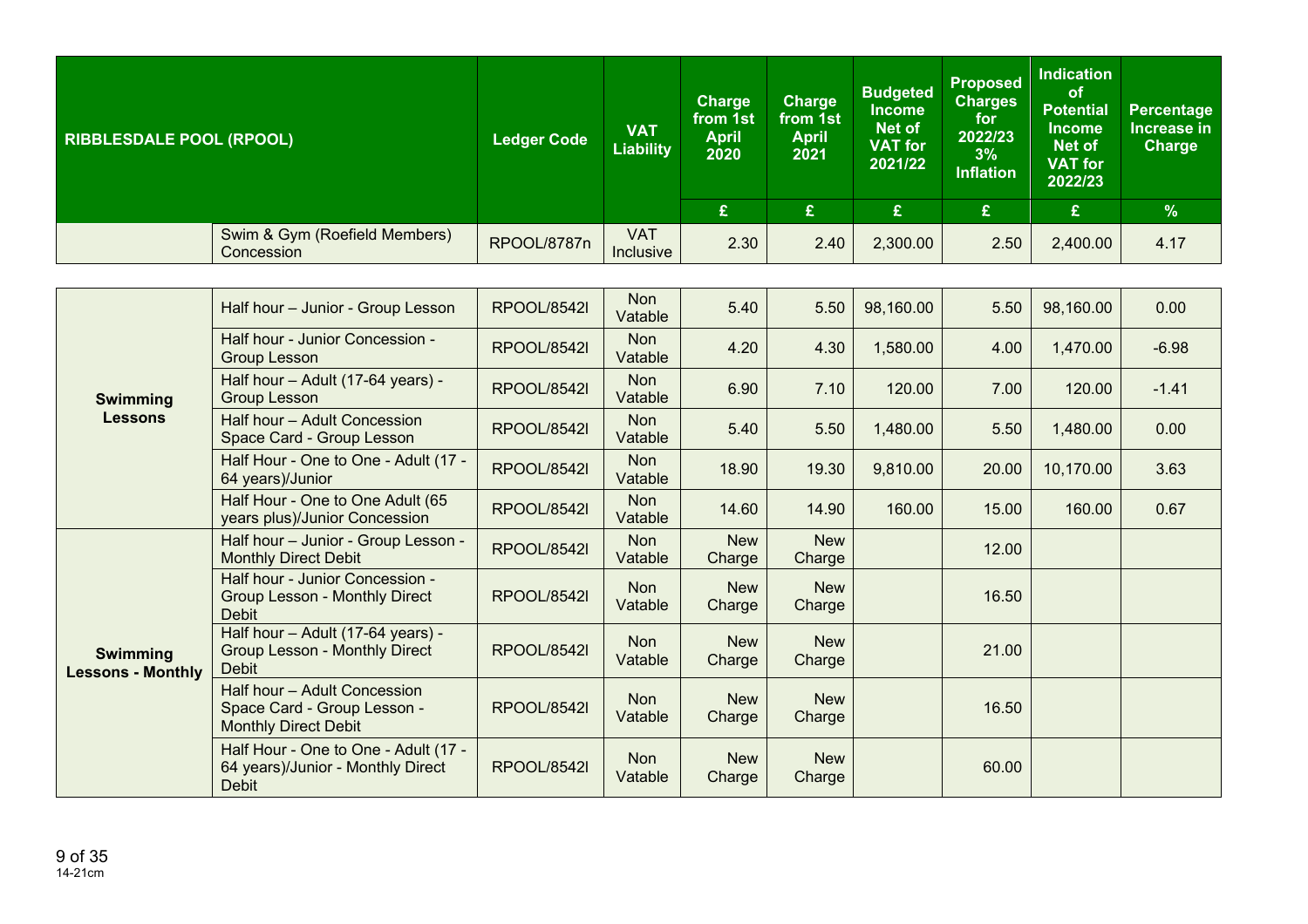| <b>RIBBLESDALE POOL (RPOOL)</b> |                                             | <b>Ledger Code</b> | <b>VAT</b><br><b>Liability</b> | <b>Charge</b><br>from 1st<br>April<br>2020 | <b>Charge</b><br>from 1st<br><b>April</b><br>2021 | <b>Budgeted</b><br><b>Income</b><br>Net of<br><b>VAT for</b><br>2021/22 | <b>Proposed</b><br><b>Charges</b><br>for<br>2022/23<br>3%<br><b>Inflation</b> | <b>Indication</b><br><b>of</b><br><b>Potential</b><br><b>Income</b><br>Net of<br><b>VAT for</b><br>2022/23 | <b>Percentage</b><br>Increase in<br><b>Charge</b> |
|---------------------------------|---------------------------------------------|--------------------|--------------------------------|--------------------------------------------|---------------------------------------------------|-------------------------------------------------------------------------|-------------------------------------------------------------------------------|------------------------------------------------------------------------------------------------------------|---------------------------------------------------|
|                                 |                                             |                    |                                | £                                          | £                                                 | £                                                                       | £                                                                             | £                                                                                                          | $\frac{9}{6}$                                     |
|                                 | Swim & Gym (Roefield Members)<br>Concession | RPOOL/8787n        | <b>VAT</b><br>Inclusive        | 2.30                                       | 2.40                                              | 2,300.00                                                                | 2.50                                                                          | 2,400.00                                                                                                   | 4.17                                              |

|                                             | Half hour - Junior - Group Lesson                                                          | <b>RPOOL/8542l</b> | <b>Non</b><br>Vatable | 5.40                 | 5.50                 | 98,160.00 | 5.50  | 98,160.00 | 0.00    |
|---------------------------------------------|--------------------------------------------------------------------------------------------|--------------------|-----------------------|----------------------|----------------------|-----------|-------|-----------|---------|
|                                             | Half hour - Junior Concession -<br><b>Group Lesson</b>                                     | <b>RPOOL/8542I</b> | <b>Non</b><br>Vatable | 4.20                 | 4.30                 | 1,580.00  | 4.00  | 1,470.00  | $-6.98$ |
| <b>Swimming</b>                             | Half hour - Adult (17-64 years) -<br><b>Group Lesson</b>                                   | <b>RPOOL/8542I</b> | <b>Non</b><br>Vatable | 6.90                 | 7.10                 | 120.00    | 7.00  | 120.00    | $-1.41$ |
| <b>Lessons</b>                              | Half hour - Adult Concession<br>Space Card - Group Lesson                                  | RPOOL/8542I        | <b>Non</b><br>Vatable | 5.40                 | 5.50                 | 1,480.00  | 5.50  | 1,480.00  | 0.00    |
|                                             | Half Hour - One to One - Adult (17 -<br>64 years)/Junior                                   | <b>RPOOL/8542l</b> | <b>Non</b><br>Vatable | 18.90                | 19.30                | 9,810.00  | 20.00 | 10,170.00 | 3.63    |
|                                             | Half Hour - One to One Adult (65<br>years plus)/Junior Concession                          | <b>RPOOL/8542l</b> | <b>Non</b><br>Vatable | 14.60                | 14.90                | 160.00    | 15.00 | 160.00    | 0.67    |
|                                             | Half hour - Junior - Group Lesson -<br><b>Monthly Direct Debit</b>                         | <b>RPOOL/8542l</b> | <b>Non</b><br>Vatable | <b>New</b><br>Charge | <b>New</b><br>Charge |           | 12.00 |           |         |
|                                             | Half hour - Junior Concession -<br><b>Group Lesson - Monthly Direct</b><br><b>Debit</b>    | <b>RPOOL/8542I</b> | Non<br>Vatable        | <b>New</b><br>Charge | <b>New</b><br>Charge |           | 16.50 |           |         |
| <b>Swimming</b><br><b>Lessons - Monthly</b> | Half hour - Adult (17-64 years) -<br><b>Group Lesson - Monthly Direct</b><br><b>Debit</b>  | <b>RPOOL/8542I</b> | <b>Non</b><br>Vatable | <b>New</b><br>Charge | <b>New</b><br>Charge |           | 21.00 |           |         |
|                                             | Half hour - Adult Concession<br>Space Card - Group Lesson -<br><b>Monthly Direct Debit</b> | <b>RPOOL/8542I</b> | <b>Non</b><br>Vatable | <b>New</b><br>Charge | <b>New</b><br>Charge |           | 16.50 |           |         |
|                                             | Half Hour - One to One - Adult (17 -<br>64 years)/Junior - Monthly Direct<br><b>Debit</b>  | <b>RPOOL/8542I</b> | <b>Non</b><br>Vatable | <b>New</b><br>Charge | <b>New</b><br>Charge |           | 60.00 |           |         |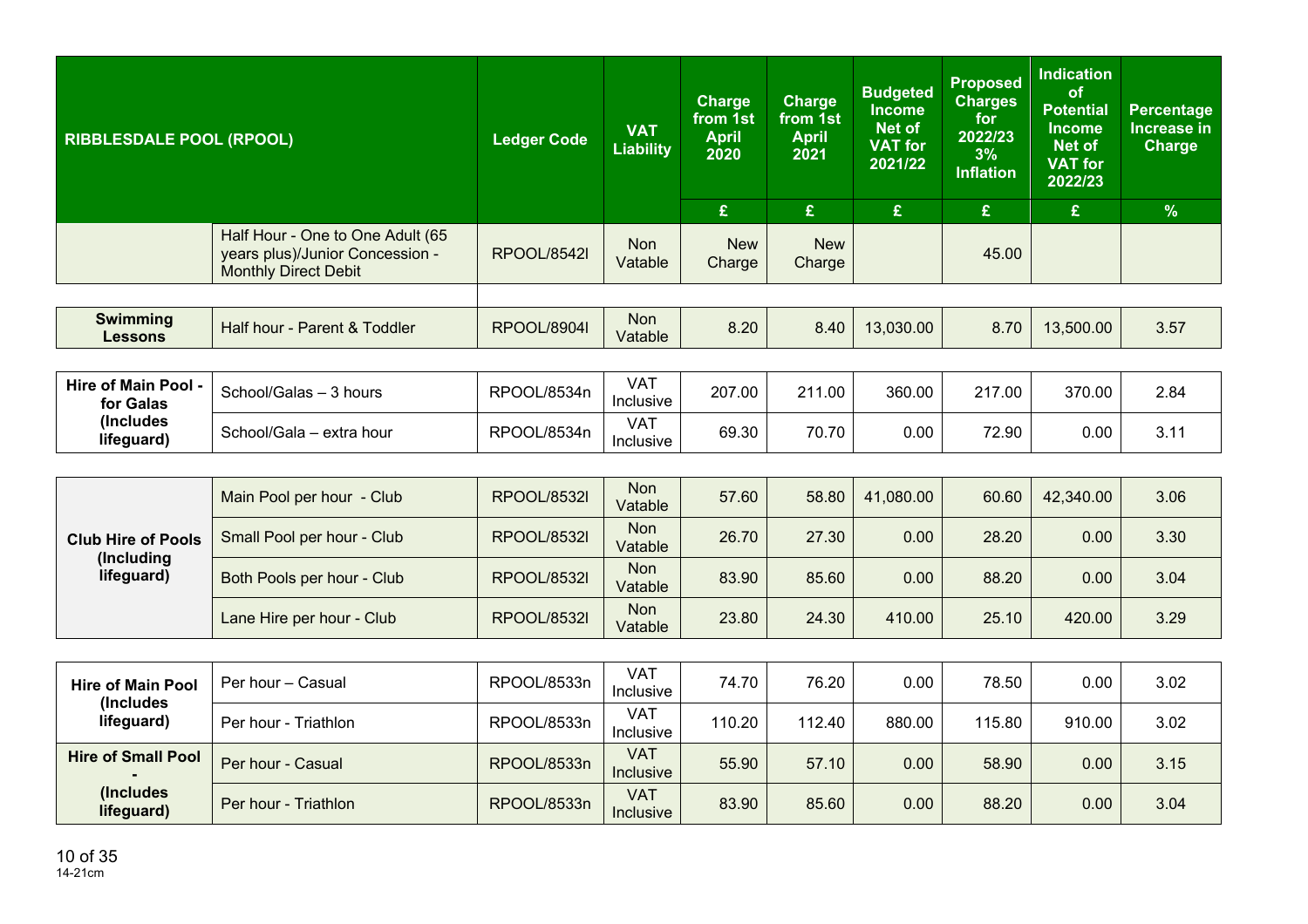| £<br>£<br>£<br>£<br>£                                                                                                                                                                                      | $\frac{9}{6}$ |
|------------------------------------------------------------------------------------------------------------------------------------------------------------------------------------------------------------|---------------|
| Half Hour - One to One Adult (65<br><b>New</b><br><b>Non</b><br><b>New</b><br>years plus)/Junior Concession -<br>45.00<br><b>RPOOL/8542I</b><br>Vatable<br>Charge<br>Charge<br><b>Monthly Direct Debit</b> |               |
|                                                                                                                                                                                                            |               |
| <b>Swimming</b><br><b>Non</b><br>8.20<br>Half hour - Parent & Toddler<br>8.40<br>13,030.00<br>8.70<br>13,500.00<br><b>RPOOL/8904I</b><br>Vatable<br><b>Lessons</b>                                         | 3.57          |

| Hire of Main Pool -<br>for Galas | School/Galas - 3 hours   | RPOOL/8534n | VAT<br>Inclusive | 207.00 | 211<br>1.00 | 360.00 | 217.00 | 370.00   | 2.84 |
|----------------------------------|--------------------------|-------------|------------------|--------|-------------|--------|--------|----------|------|
| (Includes<br>lifeguard)          | School/Gala - extra hour | RPOOL/8534n | VAT<br>Inclusive | 69.30  | 70.70       | 0.00   | 72.90  | $0.00\,$ | 3.11 |

| <b>Club Hire of Pools</b><br>(Including<br>lifeguard) | Main Pool per hour - Club  | <b>RPOOL/8532I</b> | <b>Non</b><br>Vatable | 57.60 | 58.80 | 41,080.00 | 60.60 | 42,340.00 | 3.06 |
|-------------------------------------------------------|----------------------------|--------------------|-----------------------|-------|-------|-----------|-------|-----------|------|
|                                                       | Small Pool per hour - Club | <b>RPOOL/8532I</b> | <b>Non</b><br>Vatable | 26.70 | 27.30 | 0.00      | 28.20 | 0.00      | 3.30 |
|                                                       | Both Pools per hour - Club | <b>RPOOL/8532I</b> | <b>Non</b><br>Vatable | 83.90 | 85.60 | 0.00      | 88.20 | 0.00      | 3.04 |
|                                                       | Lane Hire per hour - Club  | <b>RPOOL/8532I</b> | <b>Non</b><br>Vatable | 23.80 | 24.30 | 410.00    | 25.10 | 420.00    | 3.29 |

| <b>Hire of Main Pool</b><br>(Includes) | Per hour – Casual    | RPOOL/8533n | VAT<br>Inclusive               | 74.70  | 76.20  | 0.00   | 78.50  | 0.00   | 3.02 |
|----------------------------------------|----------------------|-------------|--------------------------------|--------|--------|--------|--------|--------|------|
| lifeguard)                             | Per hour - Triathlon | RPOOL/8533n | VAT<br><b>Inclusive</b>        | 110.20 | 112.40 | 880.00 | 115.80 | 910.00 | 3.02 |
| <b>Hire of Small Pool</b>              | Per hour - Casual    | RPOOL/8533n | <b>VAT</b><br><b>Inclusive</b> | 55.90  | 57.10  | 0.00   | 58.90  | 0.00   | 3.15 |
| (Includes)<br>lifeguard)               | Per hour - Triathlon | RPOOL/8533n | <b>VAT</b><br><b>Inclusive</b> | 83.90  | 85.60  | 0.00   | 88.20  | 0.00   | 3.04 |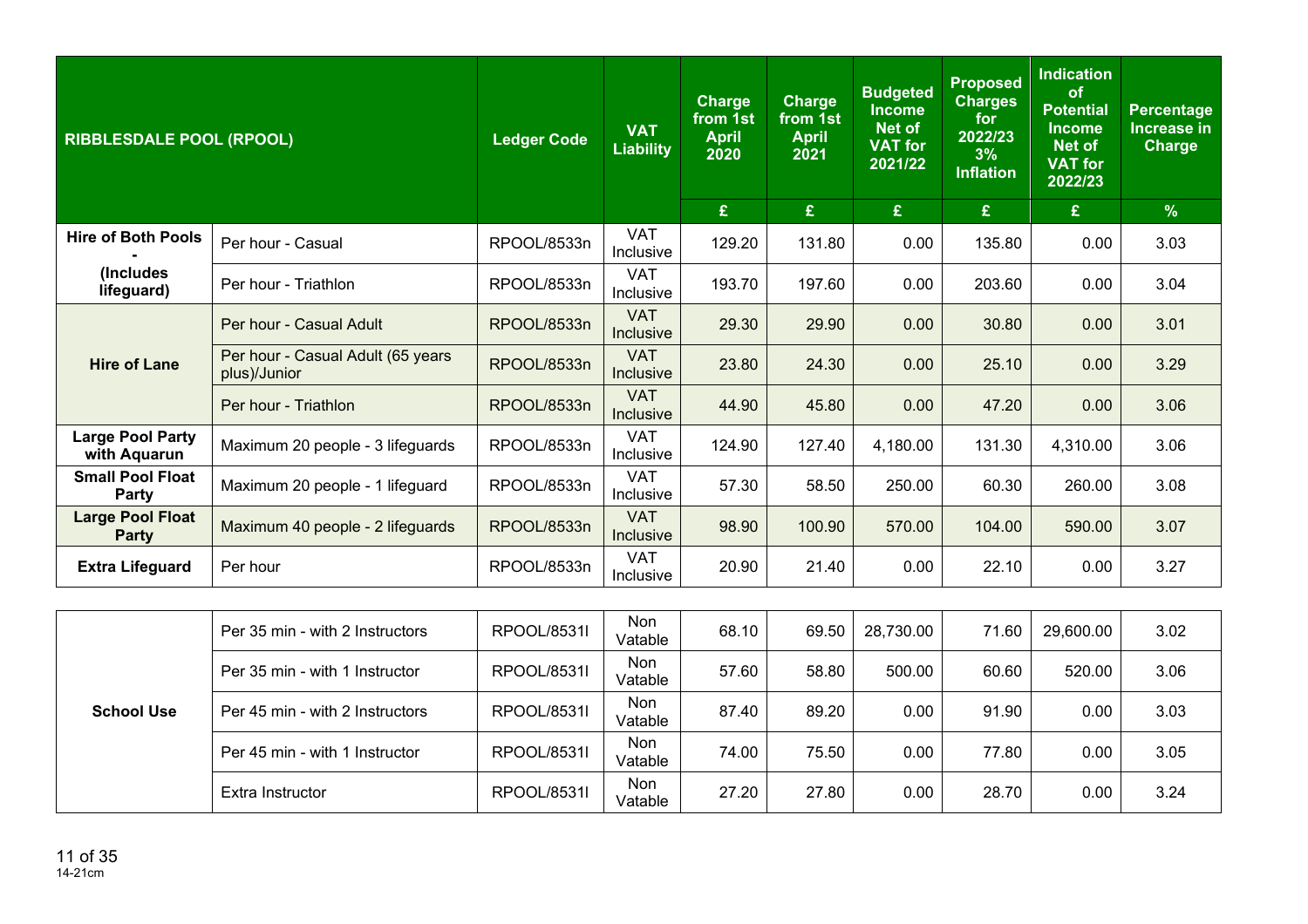| <b>RIBBLESDALE POOL (RPOOL)</b>         |                                                   | <b>Ledger Code</b> | <b>VAT</b><br><b>Liability</b> | <b>Charge</b><br>from 1st<br><b>April</b><br>2020 | <b>Charge</b><br>from 1st<br><b>April</b><br>2021 | <b>Budgeted</b><br><b>Income</b><br><b>Net of</b><br><b>VAT for</b><br>2021/22 | <b>Proposed</b><br><b>Charges</b><br>for<br>2022/23<br>3%<br><b>Inflation</b> | <b>Indication</b><br>of<br><b>Potential</b><br><b>Income</b><br><b>Net of</b><br><b>VAT</b> for<br>2022/23 | <b>Percentage</b><br>Increase in<br>Charge |
|-----------------------------------------|---------------------------------------------------|--------------------|--------------------------------|---------------------------------------------------|---------------------------------------------------|--------------------------------------------------------------------------------|-------------------------------------------------------------------------------|------------------------------------------------------------------------------------------------------------|--------------------------------------------|
|                                         |                                                   |                    |                                | £                                                 | £                                                 | $\mathbf{E}$                                                                   | £                                                                             | £                                                                                                          | $\%$                                       |
| <b>Hire of Both Pools</b>               | Per hour - Casual                                 | RPOOL/8533n        | <b>VAT</b><br>Inclusive        | 129.20                                            | 131.80                                            | 0.00                                                                           | 135.80                                                                        | 0.00                                                                                                       | 3.03                                       |
| (Includes<br>lifeguard)                 | Per hour - Triathlon                              | RPOOL/8533n        | <b>VAT</b><br>Inclusive        | 193.70                                            | 197.60                                            | 0.00                                                                           | 203.60                                                                        | 0.00                                                                                                       | 3.04                                       |
|                                         | Per hour - Casual Adult                           | RPOOL/8533n        | <b>VAT</b><br>Inclusive        | 29.30                                             | 29.90                                             | 0.00                                                                           | 30.80                                                                         | 0.00                                                                                                       | 3.01                                       |
| <b>Hire of Lane</b>                     | Per hour - Casual Adult (65 years<br>plus)/Junior | RPOOL/8533n        | <b>VAT</b><br>Inclusive        | 23.80                                             | 24.30                                             | 0.00                                                                           | 25.10                                                                         | 0.00                                                                                                       | 3.29                                       |
|                                         | Per hour - Triathlon                              | RPOOL/8533n        | <b>VAT</b><br>Inclusive        | 44.90                                             | 45.80                                             | 0.00                                                                           | 47.20                                                                         | 0.00                                                                                                       | 3.06                                       |
| <b>Large Pool Party</b><br>with Aquarun | Maximum 20 people - 3 lifeguards                  | RPOOL/8533n        | <b>VAT</b><br>Inclusive        | 124.90                                            | 127.40                                            | 4,180.00                                                                       | 131.30                                                                        | 4,310.00                                                                                                   | 3.06                                       |
| <b>Small Pool Float</b><br>Party        | Maximum 20 people - 1 lifeguard                   | RPOOL/8533n        | <b>VAT</b><br>Inclusive        | 57.30                                             | 58.50                                             | 250.00                                                                         | 60.30                                                                         | 260.00                                                                                                     | 3.08                                       |
| <b>Large Pool Float</b><br><b>Party</b> | Maximum 40 people - 2 lifeguards                  | RPOOL/8533n        | <b>VAT</b><br>Inclusive        | 98.90                                             | 100.90                                            | 570.00                                                                         | 104.00                                                                        | 590.00                                                                                                     | 3.07                                       |
| <b>Extra Lifeguard</b>                  | Per hour                                          | RPOOL/8533n        | <b>VAT</b><br>Inclusive        | 20.90                                             | 21.40                                             | 0.00                                                                           | 22.10                                                                         | 0.00                                                                                                       | 3.27                                       |
|                                         |                                                   |                    |                                |                                                   |                                                   |                                                                                |                                                                               |                                                                                                            |                                            |
|                                         | Per 35 min - with 2 Instructors                   | RPOOL/8531I        | Non<br>Vatable                 | 68.10                                             | 69.50                                             | 28,730.00                                                                      | 71.60                                                                         | 29,600.00                                                                                                  | 3.02                                       |
|                                         | Per 35 min - with 1 Instructor                    | RPOOL/8531I        | <b>Non</b><br>Vatable          | 57.60                                             | 58.80                                             | 500.00                                                                         | 60.60                                                                         | 520.00                                                                                                     | 3.06                                       |
| <b>School Use</b>                       | Per 45 min - with 2 Instructors                   | RPOOL/8531I        | Non<br>Vatable                 | 87.40                                             | 89.20                                             | 0.00                                                                           | 91.90                                                                         | 0.00                                                                                                       | 3.03                                       |

Per 45 min - with 1 Instructor  $\begin{array}{|c|c|c|c|c|c|}\n\hline\n\end{array}$  RPOOL/8531l  $\begin{array}{|c|c|c|c|c|}\n\hline\n\end{array}$  74.00 75.50 0.00 77.80 0.00 3.05

Extra Instructor RPOOL/8531l  $\begin{array}{|c|c|c|c|c|}\hline \text{Non} & 27.20 & 27.80 & 0.00 & 28.70 & 0.00 & 3.24\hline \end{array}$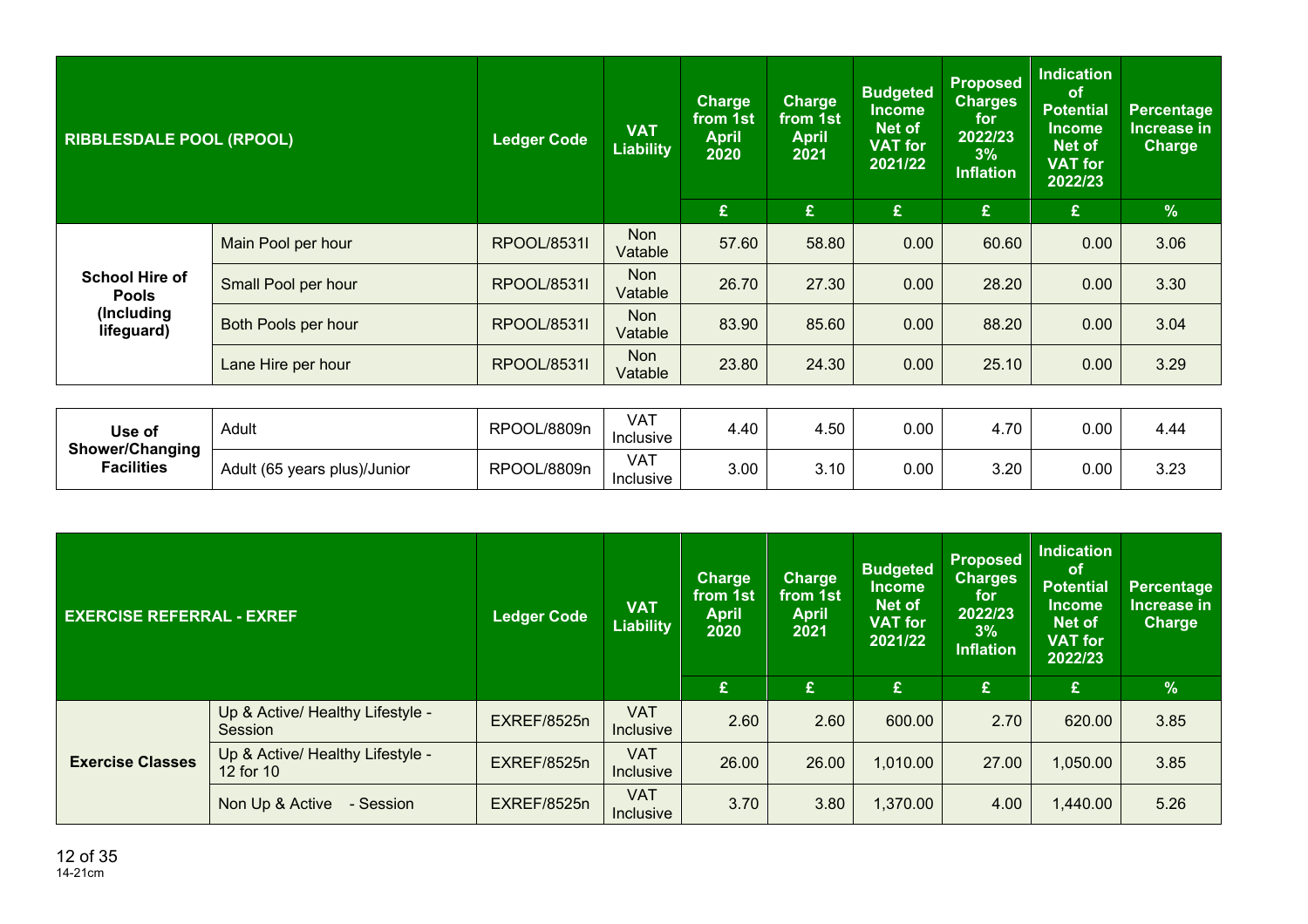| <b>RIBBLESDALE POOL (RPOOL)</b>                                   |                            | <b>Ledger Code</b> | <b>VAT</b><br><b>Liability</b> | <b>Charge</b><br>from 1st<br><b>April</b><br>2020 | <b>Charge</b><br>from 1st<br><b>April</b><br>2021 | <b>Budgeted</b><br><b>Income</b><br>Net of<br><b>VAT</b> for<br>2021/22 | <b>Proposed</b><br><b>Charges</b><br>for<br>2022/23<br>3%<br><b>Inflation</b> | <b>Indication</b><br><b>of</b><br><b>Potential</b><br>Income<br><b>Net of</b><br>VAT for<br>2022/23 | Percentage<br><b>Increase in</b><br>Charge |
|-------------------------------------------------------------------|----------------------------|--------------------|--------------------------------|---------------------------------------------------|---------------------------------------------------|-------------------------------------------------------------------------|-------------------------------------------------------------------------------|-----------------------------------------------------------------------------------------------------|--------------------------------------------|
|                                                                   |                            |                    |                                | £                                                 | £                                                 | £.                                                                      | £                                                                             | $\mathbf{E}$                                                                                        | $\frac{9}{6}$                              |
| <b>School Hire of</b><br><b>Pools</b><br>(Including<br>lifeguard) | Main Pool per hour         | <b>RPOOL/8531I</b> | Non<br>Vatable                 | 57.60                                             | 58.80                                             | 0.00                                                                    | 60.60                                                                         | 0.00                                                                                                | 3.06                                       |
|                                                                   | Small Pool per hour        | <b>RPOOL/8531I</b> | <b>Non</b><br>Vatable          | 26.70                                             | 27.30                                             | 0.00                                                                    | 28.20                                                                         | 0.00                                                                                                | 3.30                                       |
|                                                                   | <b>Both Pools per hour</b> | <b>RPOOL/8531I</b> | <b>Non</b><br>Vatable          | 83.90                                             | 85.60                                             | 0.00                                                                    | 88.20                                                                         | 0.00                                                                                                | 3.04                                       |
|                                                                   | Lane Hire per hour         | <b>RPOOL/8531I</b> | <b>Non</b><br>Vatable          | 23.80                                             | 24.30                                             | 0.00 <sub>1</sub>                                                       | 25.10                                                                         | 0.00                                                                                                | 3.29                                       |

| Use of                               | Adult                        | RPOOL/8809n | VAT<br>Inclusive | 4.40 | 4.50 | $0.00\,$ | 70<br>4.IU   | 0.00 | 4.44 |
|--------------------------------------|------------------------------|-------------|------------------|------|------|----------|--------------|------|------|
| Shower/Changing<br><b>Facilities</b> | Adult (65 years plus)/Junior | RPOOL/8809n | VAT<br>Inclusive | 3.00 | 3.10 | 0.00     | n nn<br>3.∠U | 0.00 | 3.23 |

| <b>EXERCISE REFERRAL - EXREF</b> |                                               | <b>Ledger Code</b> | <b>VAT</b><br><b>Liability</b> | <b>Charge</b><br>from 1st<br><b>April</b><br>2020 | <b>Charge</b><br>from 1st<br><b>April</b><br>2021 | <b>Budgeted</b><br><b>Income</b><br>Net of<br><b>VAT for</b><br>2021/22 | <b>Proposed</b><br><b>Charges</b><br>for<br>2022/23<br>3%<br><b>Inflation</b> | <b>Indication</b><br><b>of</b><br><b>Potential</b><br><b>Income</b><br><b>Net of</b><br><b>VAT for</b><br>2022/23 | Percentage<br>Increase in<br><b>Charge</b> |
|----------------------------------|-----------------------------------------------|--------------------|--------------------------------|---------------------------------------------------|---------------------------------------------------|-------------------------------------------------------------------------|-------------------------------------------------------------------------------|-------------------------------------------------------------------------------------------------------------------|--------------------------------------------|
|                                  |                                               |                    |                                | £                                                 | £                                                 | £                                                                       | £                                                                             | £                                                                                                                 | $\frac{9}{6}$                              |
|                                  | Up & Active/ Healthy Lifestyle -<br>Session   | EXREF/8525n        | <b>VAT</b><br><b>Inclusive</b> | 2.60                                              | 2.60                                              | 600.00                                                                  | 2.70                                                                          | 620.00                                                                                                            | 3.85                                       |
| <b>Exercise Classes</b>          | Up & Active/ Healthy Lifestyle -<br>12 for 10 | EXREF/8525n        | <b>VAT</b><br><b>Inclusive</b> | 26.00                                             | 26.00                                             | 1,010.00                                                                | 27.00                                                                         | 1,050.00                                                                                                          | 3.85                                       |
|                                  | Non Up & Active<br>- Session                  | EXREF/8525n        | <b>VAT</b><br><b>Inclusive</b> | 3.70                                              | 3.80                                              | 1,370.00                                                                | 4.00                                                                          | 1,440.00                                                                                                          | 5.26                                       |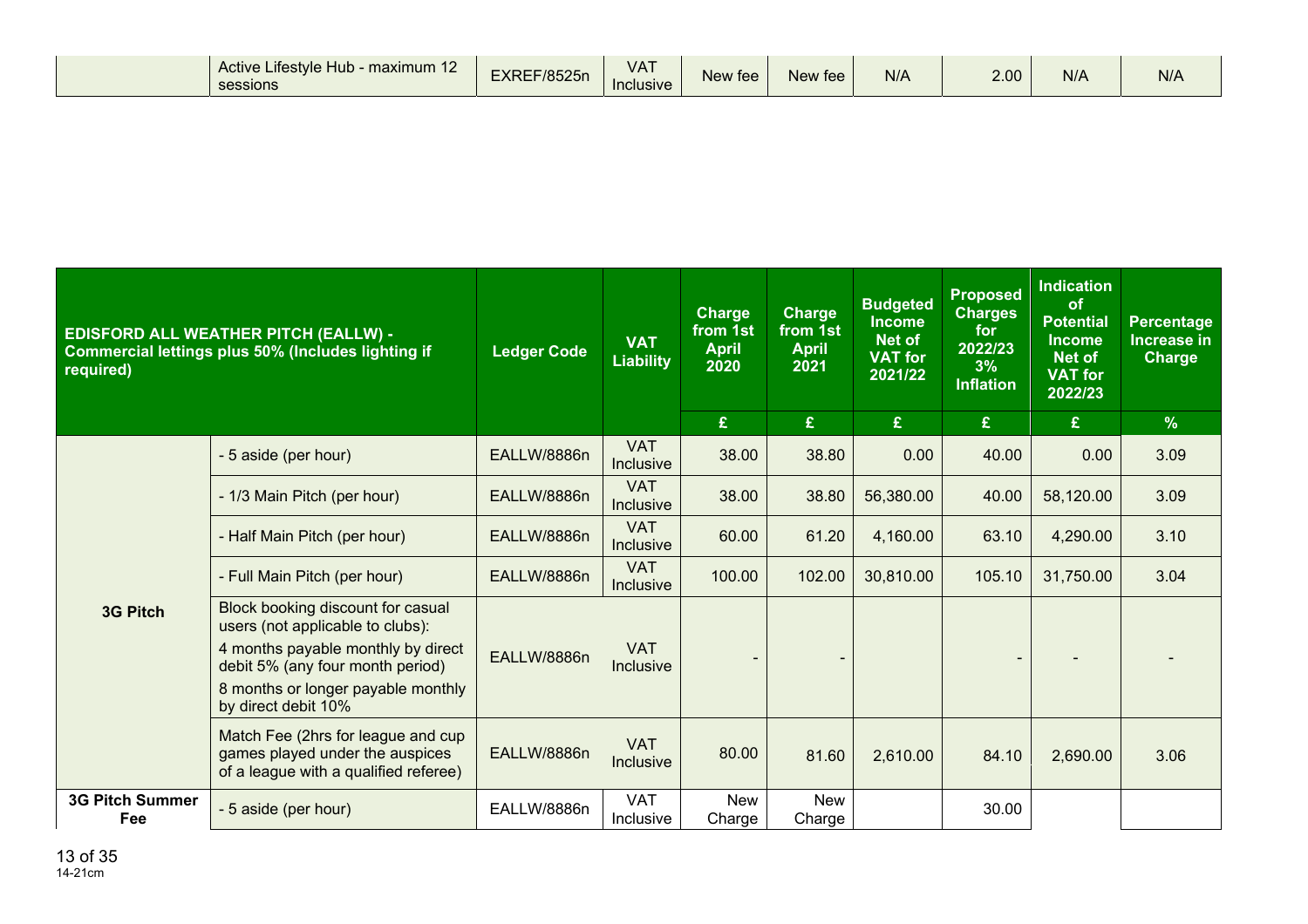|  | Active Lifestyle Hub - maximum 12<br>sessions | F/8525n<br><b>CVDCI</b><br>ᄃᄉᇊᆮ | $\mathbf{r}$ and $\mathbf{r}$<br>VA.<br><b>Inclusive</b> | $\sim$<br>New fee | New fee | N/A | 2.00 <sub>1</sub> | N/A | N/A |
|--|-----------------------------------------------|---------------------------------|----------------------------------------------------------|-------------------|---------|-----|-------------------|-----|-----|
|--|-----------------------------------------------|---------------------------------|----------------------------------------------------------|-------------------|---------|-----|-------------------|-----|-----|

| required)                     | <b>EDISFORD ALL WEATHER PITCH (EALLW) -</b><br>Commercial lettings plus 50% (Includes lighting if                                                                                                            | <b>Ledger Code</b> | <b>VAT</b><br><b>Liability</b> | <b>Charge</b><br>from 1st<br><b>April</b><br>2020<br>£ | <b>Charge</b><br>from 1st<br><b>April</b><br>2021<br>£ | <b>Budgeted</b><br><b>Income</b><br><b>Net of</b><br><b>VAT for</b><br>2021/22<br>£ | <b>Proposed</b><br><b>Charges</b><br>for<br>2022/23<br>3%<br><b>Inflation</b><br>$\mathbf{f}$ | <b>Indication</b><br>of<br><b>Potential</b><br><b>Income</b><br><b>Net of</b><br><b>VAT for</b><br>2022/23<br>£ | Percentage<br><b>Increase in</b><br><b>Charge</b><br>$\frac{9}{6}$ |
|-------------------------------|--------------------------------------------------------------------------------------------------------------------------------------------------------------------------------------------------------------|--------------------|--------------------------------|--------------------------------------------------------|--------------------------------------------------------|-------------------------------------------------------------------------------------|-----------------------------------------------------------------------------------------------|-----------------------------------------------------------------------------------------------------------------|--------------------------------------------------------------------|
|                               | - 5 aside (per hour)                                                                                                                                                                                         | EALLW/8886n        | <b>VAT</b><br><b>Inclusive</b> | 38.00                                                  | 38.80                                                  | 0.00                                                                                | 40.00                                                                                         | 0.00                                                                                                            | 3.09                                                               |
|                               | - 1/3 Main Pitch (per hour)                                                                                                                                                                                  | EALLW/8886n        | <b>VAT</b><br><b>Inclusive</b> | 38.00                                                  | 38.80                                                  | 56,380.00                                                                           | 40.00                                                                                         | 58,120.00                                                                                                       | 3.09                                                               |
|                               | - Half Main Pitch (per hour)                                                                                                                                                                                 | EALLW/8886n        | <b>VAT</b><br><b>Inclusive</b> | 60.00                                                  | 61.20                                                  | 4,160.00                                                                            | 63.10                                                                                         | 4,290.00                                                                                                        | 3.10                                                               |
|                               | - Full Main Pitch (per hour)                                                                                                                                                                                 | EALLW/8886n        | <b>VAT</b><br><b>Inclusive</b> | 100.00                                                 | 102.00                                                 | 30,810.00                                                                           | 105.10                                                                                        | 31,750.00                                                                                                       | 3.04                                                               |
| <b>3G Pitch</b>               | Block booking discount for casual<br>users (not applicable to clubs):<br>4 months payable monthly by direct<br>debit 5% (any four month period)<br>8 months or longer payable monthly<br>by direct debit 10% | EALLW/8886n        | <b>VAT</b><br>Inclusive        |                                                        | $\overline{\phantom{a}}$                               |                                                                                     |                                                                                               |                                                                                                                 |                                                                    |
|                               | Match Fee (2hrs for league and cup<br>games played under the auspices<br>of a league with a qualified referee)                                                                                               | EALLW/8886n        | <b>VAT</b><br>Inclusive        | 80.00                                                  | 81.60                                                  | 2,610.00                                                                            | 84.10                                                                                         | 2,690.00                                                                                                        | 3.06                                                               |
| <b>3G Pitch Summer</b><br>Fee | - 5 aside (per hour)                                                                                                                                                                                         | EALLW/8886n        | <b>VAT</b><br>Inclusive        | <b>New</b><br>Charge                                   | <b>New</b><br>Charge                                   |                                                                                     | 30.00                                                                                         |                                                                                                                 |                                                                    |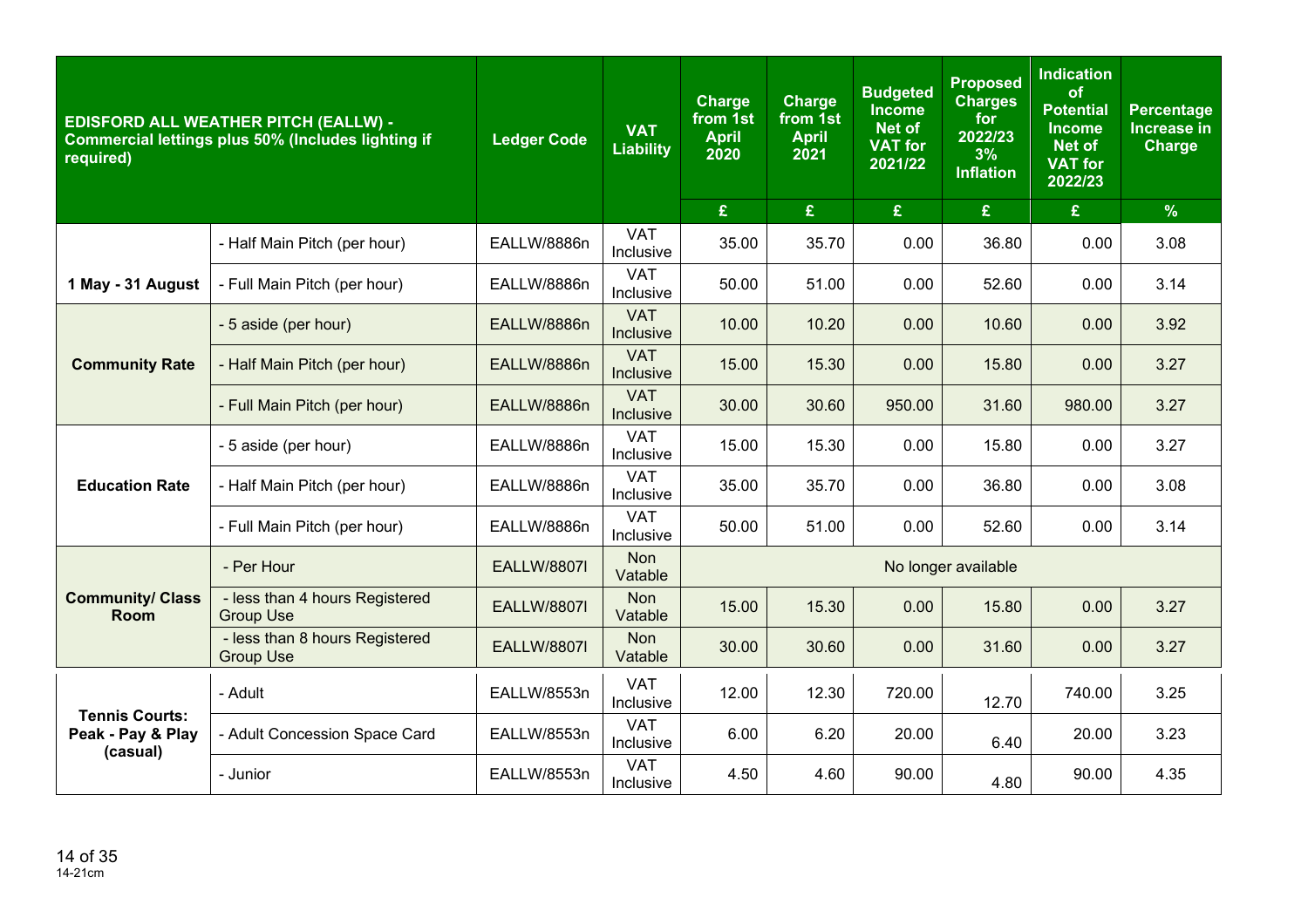| required)                       | <b>EDISFORD ALL WEATHER PITCH (EALLW) -</b><br>Commercial lettings plus 50% (Includes lighting if | <b>Ledger Code</b> | <b>VAT</b><br><b>Liability</b> | <b>Charge</b><br>from 1st<br><b>April</b><br>2020 | <b>Charge</b><br>from 1st<br><b>April</b><br>2021 | <b>Budgeted</b><br><b>Income</b><br>Net of<br><b>VAT for</b><br>2021/22 | <b>Proposed</b><br><b>Charges</b><br>for<br>2022/23<br>3%<br><b>Inflation</b> | <b>Indication</b><br>of<br><b>Potential</b><br><b>Income</b><br><b>Net of</b><br><b>VAT</b> for<br>2022/23 | <b>Percentage</b><br><b>Increase in</b><br><b>Charge</b> |
|---------------------------------|---------------------------------------------------------------------------------------------------|--------------------|--------------------------------|---------------------------------------------------|---------------------------------------------------|-------------------------------------------------------------------------|-------------------------------------------------------------------------------|------------------------------------------------------------------------------------------------------------|----------------------------------------------------------|
|                                 |                                                                                                   |                    |                                | £                                                 | £                                                 | £                                                                       | $\pmb{\mathfrak{L}}$                                                          | $\mathbf{E}$                                                                                               | $\frac{9}{6}$                                            |
|                                 | - Half Main Pitch (per hour)                                                                      | EALLW/8886n        | <b>VAT</b><br>Inclusive        | 35.00                                             | 35.70                                             | 0.00                                                                    | 36.80                                                                         | 0.00                                                                                                       | 3.08                                                     |
| 1 May - 31 August               | - Full Main Pitch (per hour)                                                                      | EALLW/8886n        | <b>VAT</b><br>Inclusive        | 50.00                                             | 51.00                                             | 0.00                                                                    | 52.60                                                                         | 0.00                                                                                                       | 3.14                                                     |
|                                 | - 5 aside (per hour)                                                                              | EALLW/8886n        | <b>VAT</b><br>Inclusive        | 10.00                                             | 10.20                                             | 0.00                                                                    | 10.60                                                                         | 0.00                                                                                                       | 3.92                                                     |
| <b>Community Rate</b>           | - Half Main Pitch (per hour)                                                                      | EALLW/8886n        | <b>VAT</b><br>Inclusive        | 15.00                                             | 15.30                                             | 0.00                                                                    | 15.80                                                                         | 0.00                                                                                                       | 3.27                                                     |
|                                 | - Full Main Pitch (per hour)                                                                      | EALLW/8886n        | <b>VAT</b><br>Inclusive        | 30.00                                             | 30.60                                             | 950.00                                                                  | 31.60                                                                         | 980.00                                                                                                     | 3.27                                                     |
|                                 | - 5 aside (per hour)                                                                              | EALLW/8886n        | <b>VAT</b><br>Inclusive        | 15.00                                             | 15.30                                             | 0.00                                                                    | 15.80                                                                         | 0.00                                                                                                       | 3.27                                                     |
| <b>Education Rate</b>           | - Half Main Pitch (per hour)                                                                      | EALLW/8886n        | <b>VAT</b><br>Inclusive        | 35.00                                             | 35.70                                             | 0.00                                                                    | 36.80                                                                         | 0.00                                                                                                       | 3.08                                                     |
|                                 | - Full Main Pitch (per hour)                                                                      | EALLW/8886n        | <b>VAT</b><br>Inclusive        | 50.00                                             | 51.00                                             | 0.00                                                                    | 52.60                                                                         | 0.00                                                                                                       | 3.14                                                     |
|                                 | - Per Hour                                                                                        | <b>EALLW/8807I</b> | <b>Non</b><br>Vatable          |                                                   |                                                   |                                                                         | No longer available                                                           |                                                                                                            |                                                          |
| <b>Community/ Class</b><br>Room | - less than 4 hours Registered<br><b>Group Use</b>                                                | <b>EALLW/8807I</b> | <b>Non</b><br>Vatable          | 15.00                                             | 15.30                                             | 0.00                                                                    | 15.80                                                                         | 0.00                                                                                                       | 3.27                                                     |
|                                 | - less than 8 hours Registered<br><b>Group Use</b>                                                | <b>EALLW/8807I</b> | <b>Non</b><br>Vatable          | 30.00                                             | 30.60                                             | 0.00                                                                    | 31.60                                                                         | 0.00                                                                                                       | 3.27                                                     |
| <b>Tennis Courts:</b>           | - Adult                                                                                           | EALLW/8553n        | <b>VAT</b><br>Inclusive        | 12.00                                             | 12.30                                             | 720.00                                                                  | 12.70                                                                         | 740.00                                                                                                     | 3.25                                                     |
| Peak - Pay & Play               | - Adult Concession Space Card                                                                     | EALLW/8553n        | <b>VAT</b><br>Inclusive        | 6.00                                              | 6.20                                              | 20.00                                                                   | 6.40                                                                          | 20.00                                                                                                      | 3.23                                                     |
| (casual)                        | - Junior                                                                                          | EALLW/8553n        | <b>VAT</b><br>Inclusive        | 4.50                                              | 4.60                                              | 90.00                                                                   | 4.80                                                                          | 90.00                                                                                                      | 4.35                                                     |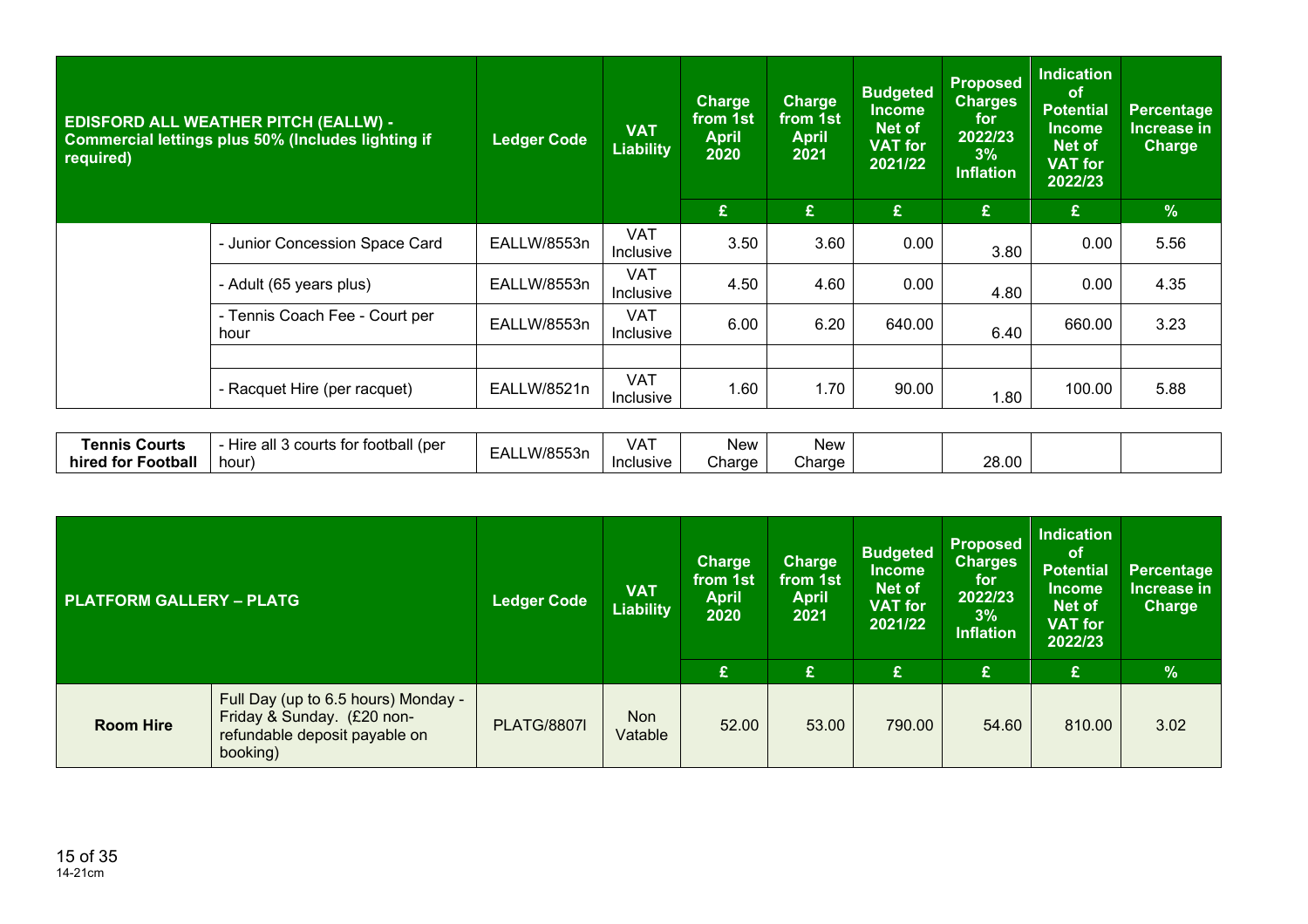| <b>EDISFORD ALL WEATHER PITCH (EALLW) -</b><br>Commercial lettings plus 50% (Includes lighting if<br>required) |                                                | <b>Ledger Code</b> | <b>VAT</b><br><b>Liability</b> | <b>Charge</b><br>from 1st<br><b>April</b><br>2020 | <b>Charge</b><br>from 1st<br><b>April</b><br>2021 | <b>Budgeted</b><br><b>Income</b><br>Net of<br><b>VAT</b> for<br>2021/22 | <b>Proposed</b><br><b>Charges</b><br>for<br>2022/23<br>3%<br><b>Inflation</b> | <b>Indication</b><br><b>of</b><br><b>Potential</b><br><b>Income</b><br>Net of<br><b>VAT for</b><br>2022/23 | <b>Percentage</b><br>Increase in<br><b>Charge</b> |
|----------------------------------------------------------------------------------------------------------------|------------------------------------------------|--------------------|--------------------------------|---------------------------------------------------|---------------------------------------------------|-------------------------------------------------------------------------|-------------------------------------------------------------------------------|------------------------------------------------------------------------------------------------------------|---------------------------------------------------|
|                                                                                                                |                                                |                    |                                | £                                                 | £                                                 | £                                                                       | £                                                                             | £                                                                                                          | $\%$                                              |
|                                                                                                                | - Junior Concession Space Card                 | EALLW/8553n        | <b>VAT</b><br>Inclusive        | 3.50                                              | 3.60                                              | 0.00                                                                    | 3.80                                                                          | 0.00                                                                                                       | 5.56                                              |
|                                                                                                                | - Adult (65 years plus)                        | EALLW/8553n        | <b>VAT</b><br>Inclusive        | 4.50                                              | 4.60                                              | 0.00                                                                    | 4.80                                                                          | 0.00                                                                                                       | 4.35                                              |
|                                                                                                                | - Tennis Coach Fee - Court per<br>hour         | EALLW/8553n        | <b>VAT</b><br><b>Inclusive</b> | 6.00                                              | 6.20                                              | 640.00                                                                  | 6.40                                                                          | 660.00                                                                                                     | 3.23                                              |
|                                                                                                                |                                                |                    |                                |                                                   |                                                   |                                                                         |                                                                               |                                                                                                            |                                                   |
|                                                                                                                | - Racquet Hire (per racquet)                   | EALLW/8521n        | <b>VAT</b><br>Inclusive        | 1.60                                              | 1.70                                              | 90.00                                                                   | 1.80                                                                          | 100.00                                                                                                     | 5.88                                              |
|                                                                                                                |                                                |                    |                                |                                                   |                                                   |                                                                         |                                                                               |                                                                                                            |                                                   |
| <b>Tennis Courts</b><br>hired for Football                                                                     | - Hire all 3 courts for football (per<br>hour) | EALLW/8553n        | <b>VAT</b><br>Inclusive        | New<br>Charge                                     | New<br>Charge                                     |                                                                         | 28.00                                                                         |                                                                                                            |                                                   |

| <b>PLATFORM GALLERY - PLATG</b> |                                                                                                                | <b>Ledger Code</b> | <b>VAT</b><br><b>Liability</b> | <b>Charge</b><br>from 1st<br><b>April</b><br>2020 | <b>Charge</b><br>from 1st<br><b>April</b><br>2021 | <b>Budgeted</b><br><b>Income</b><br>Net of<br><b>VAT for</b><br>2021/22 | <b>Proposed</b><br><b>Charges</b><br>for<br>2022/23<br>3%<br><b>Inflation</b> | <b>Indication</b><br><b>of</b><br><b>Potential</b><br><b>Income</b><br><b>Net of</b><br><b>VAT for</b><br>2022/23 | Percentage<br>Increase in<br>Charge |
|---------------------------------|----------------------------------------------------------------------------------------------------------------|--------------------|--------------------------------|---------------------------------------------------|---------------------------------------------------|-------------------------------------------------------------------------|-------------------------------------------------------------------------------|-------------------------------------------------------------------------------------------------------------------|-------------------------------------|
|                                 |                                                                                                                |                    |                                | £                                                 | £                                                 | £                                                                       | £                                                                             | £                                                                                                                 | $\%$                                |
| <b>Room Hire</b>                | Full Day (up to 6.5 hours) Monday -<br>Friday & Sunday. (£20 non-<br>refundable deposit payable on<br>booking) | <b>PLATG/8807I</b> | <b>Non</b><br>Vatable          | 52.00                                             | 53.00                                             | 790.00                                                                  | 54.60                                                                         | 810.00                                                                                                            | 3.02                                |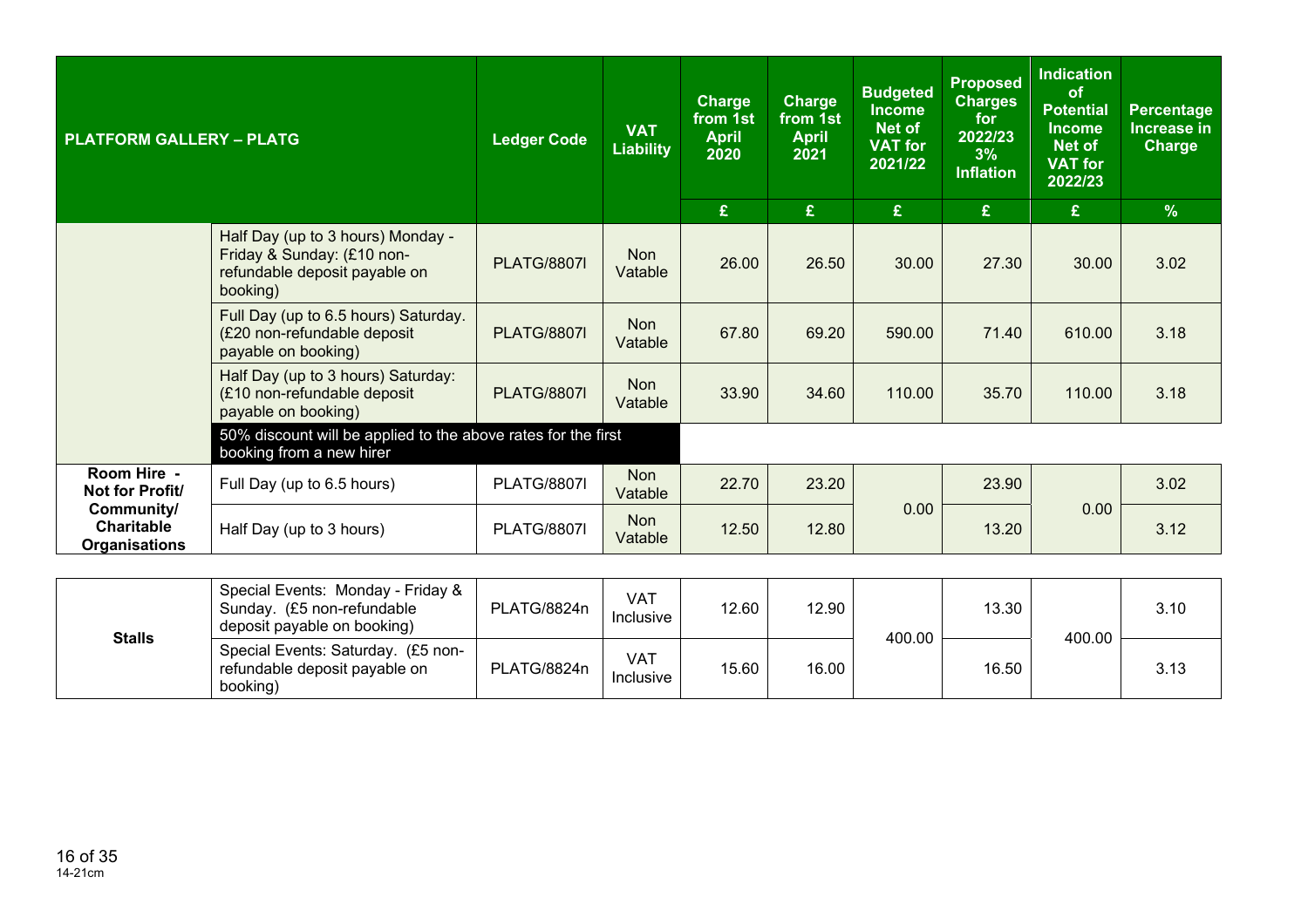| <b>PLATFORM GALLERY - PLATG</b>                                                           |                                                                                                              | <b>Ledger Code</b> | <b>VAT</b><br><b>Liability</b> | <b>Charge</b><br>from 1st<br><b>April</b><br>2020<br>£ | <b>Charge</b><br>from 1st<br><b>April</b><br>2021<br>£ | <b>Budgeted</b><br><b>Income</b><br>Net of<br><b>VAT for</b><br>2021/22<br>$\mathbf{E}$ | <b>Proposed</b><br><b>Charges</b><br>for<br>2022/23<br>3%<br><b>Inflation</b><br>£ | <b>Indication</b><br><b>of</b><br><b>Potential</b><br><b>Income</b><br>Net of<br><b>VAT for</b><br>2022/23<br>£ | Percentage<br>Increase in<br>Charge<br>$\frac{9}{6}$ |
|-------------------------------------------------------------------------------------------|--------------------------------------------------------------------------------------------------------------|--------------------|--------------------------------|--------------------------------------------------------|--------------------------------------------------------|-----------------------------------------------------------------------------------------|------------------------------------------------------------------------------------|-----------------------------------------------------------------------------------------------------------------|------------------------------------------------------|
|                                                                                           | Half Day (up to 3 hours) Monday -<br>Friday & Sunday: (£10 non-<br>refundable deposit payable on<br>booking) | <b>PLATG/8807I</b> | <b>Non</b><br>Vatable          | 26.00                                                  | 26.50                                                  | 30.00                                                                                   | 27.30                                                                              | 30.00                                                                                                           | 3.02                                                 |
|                                                                                           | Full Day (up to 6.5 hours) Saturday.<br>(£20 non-refundable deposit<br>payable on booking)                   | <b>PLATG/8807I</b> | <b>Non</b><br>Vatable          | 67.80                                                  | 69.20                                                  | 590.00                                                                                  | 71.40                                                                              | 610.00                                                                                                          | 3.18                                                 |
|                                                                                           | Half Day (up to 3 hours) Saturday:<br>(£10 non-refundable deposit<br>payable on booking)                     | <b>PLATG/8807I</b> | <b>Non</b><br>Vatable          | 33.90                                                  | 34.60                                                  | 110.00                                                                                  | 35.70                                                                              | 110.00                                                                                                          | 3.18                                                 |
|                                                                                           | 50% discount will be applied to the above rates for the first<br>booking from a new hirer                    |                    |                                |                                                        |                                                        |                                                                                         |                                                                                    |                                                                                                                 |                                                      |
| Room Hire -<br>Not for Profit/<br>Community/<br><b>Charitable</b><br><b>Organisations</b> | Full Day (up to 6.5 hours)                                                                                   | <b>PLATG/8807I</b> | <b>Non</b><br>Vatable          | 22.70                                                  | 23.20                                                  |                                                                                         | 23.90                                                                              |                                                                                                                 | 3.02                                                 |
|                                                                                           | Half Day (up to 3 hours)                                                                                     | <b>PLATG/8807I</b> | <b>Non</b><br>Vatable          | 12.50                                                  | 12.80                                                  | 0.00                                                                                    | 13.20                                                                              | 0.00                                                                                                            | 3.12                                                 |
|                                                                                           |                                                                                                              |                    |                                |                                                        |                                                        |                                                                                         |                                                                                    |                                                                                                                 |                                                      |

| <b>Stalls</b> | Special Events: Monday - Friday &<br>Sunday. (£5 non-refundable<br>deposit payable on booking) | PLATG/8824n | VAT<br>Inclusive        | 12.60 | 12.90 | 400.00 | 13.30 | 400.00 | 3.10 |
|---------------|------------------------------------------------------------------------------------------------|-------------|-------------------------|-------|-------|--------|-------|--------|------|
|               | Special Events: Saturday. (£5 non-<br>refundable deposit payable on<br>booking)                | PLATG/8824n | <b>VAT</b><br>Inclusive | 15.60 | 16.00 |        | 16.50 |        | 3.13 |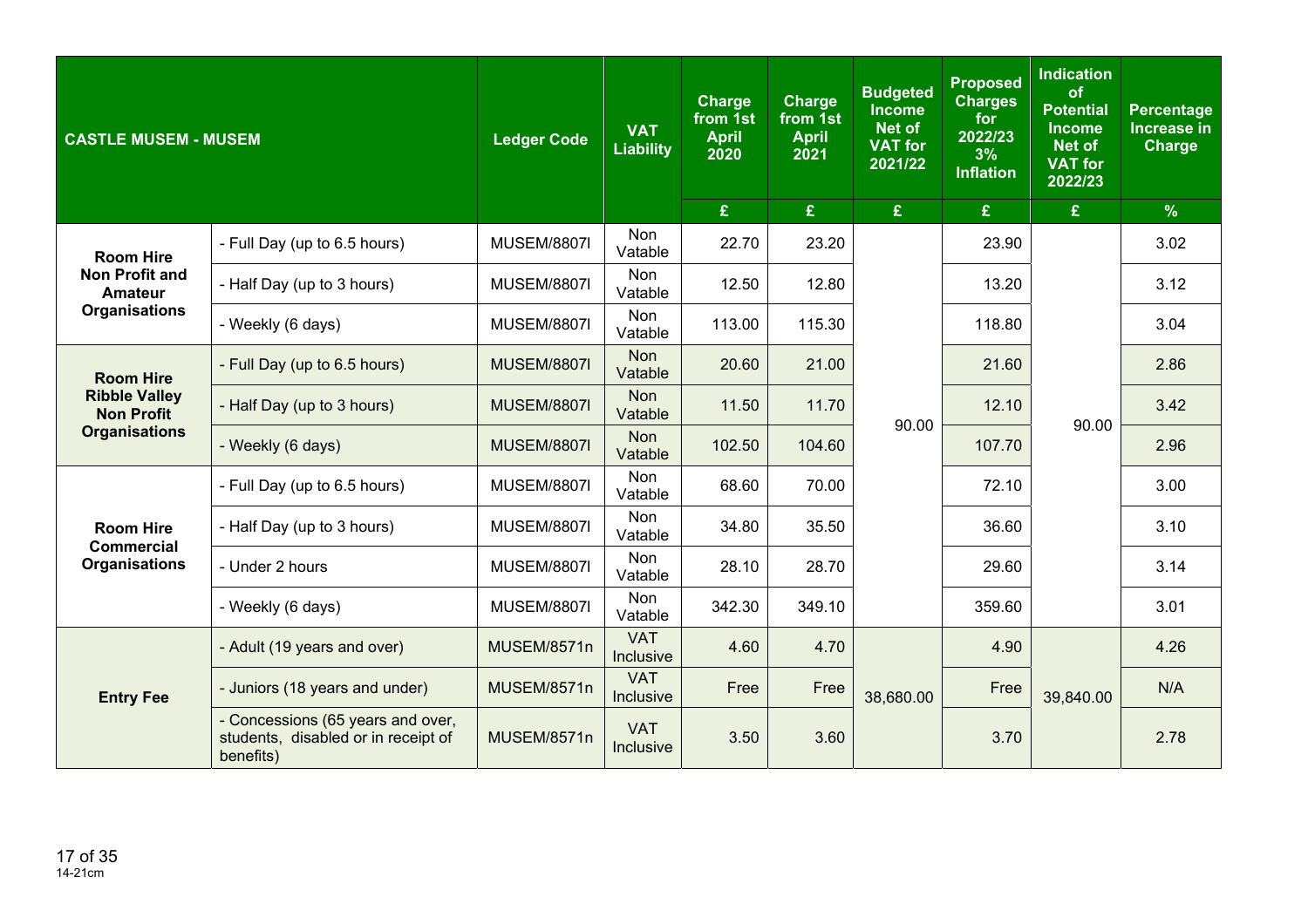| <b>CASTLE MUSEM - MUSEM</b>                                                         |                                                                                       | <b>Ledger Code</b> | <b>VAT</b><br><b>Liability</b> | <b>Charge</b><br>from 1st<br><b>April</b><br>2020 | <b>Charge</b><br>from 1st<br><b>April</b><br>2021 | <b>Budgeted</b><br><b>Income</b><br><b>Net of</b><br><b>VAT for</b><br>2021/22 | <b>Proposed</b><br><b>Charges</b><br>for<br>2022/23<br>3%<br><b>Inflation</b> | <b>Indication</b><br>of<br><b>Potential</b><br><b>Income</b><br><b>Net of</b><br><b>VAT for</b><br>2022/23 | <b>Percentage</b><br><b>Increase in</b><br><b>Charge</b> |
|-------------------------------------------------------------------------------------|---------------------------------------------------------------------------------------|--------------------|--------------------------------|---------------------------------------------------|---------------------------------------------------|--------------------------------------------------------------------------------|-------------------------------------------------------------------------------|------------------------------------------------------------------------------------------------------------|----------------------------------------------------------|
|                                                                                     |                                                                                       |                    |                                | $\mathbf{E}$                                      | £                                                 | £                                                                              | £                                                                             | £                                                                                                          | $\frac{9}{6}$                                            |
| <b>Room Hire</b>                                                                    | - Full Day (up to 6.5 hours)                                                          | <b>MUSEM/8807I</b> | <b>Non</b><br>Vatable          | 22.70                                             | 23.20                                             |                                                                                | 23.90                                                                         |                                                                                                            | 3.02                                                     |
| <b>Non Profit and</b><br><b>Amateur</b><br><b>Organisations</b><br><b>Room Hire</b> | - Half Day (up to 3 hours)                                                            | <b>MUSEM/8807I</b> | Non<br>Vatable                 | 12.50                                             | 12.80                                             |                                                                                | 13.20                                                                         |                                                                                                            | 3.12                                                     |
|                                                                                     | - Weekly (6 days)                                                                     | <b>MUSEM/8807I</b> | Non<br>Vatable                 | 113.00                                            | 115.30                                            |                                                                                | 118.80                                                                        | 90.00                                                                                                      | 3.04                                                     |
|                                                                                     | - Full Day (up to 6.5 hours)                                                          | <b>MUSEM/8807I</b> | <b>Non</b><br>Vatable          | 20.60                                             | 21.00                                             |                                                                                | 21.60                                                                         |                                                                                                            | 2.86                                                     |
| <b>Ribble Valley</b><br><b>Non Profit</b>                                           | - Half Day (up to 3 hours)                                                            | <b>MUSEM/8807I</b> | <b>Non</b><br>Vatable          | 11.50                                             | 11.70                                             | 90.00                                                                          | 12.10                                                                         |                                                                                                            | 3.42                                                     |
| <b>Organisations</b>                                                                | - Weekly (6 days)                                                                     | <b>MUSEM/8807I</b> | <b>Non</b><br>Vatable          | 102.50                                            | 104.60                                            |                                                                                | 107.70                                                                        |                                                                                                            | 2.96                                                     |
|                                                                                     | - Full Day (up to 6.5 hours)                                                          | <b>MUSEM/8807I</b> | Non<br>Vatable                 | 68.60                                             | 70.00                                             |                                                                                | 72.10                                                                         |                                                                                                            | 3.00                                                     |
| <b>Room Hire</b><br><b>Commercial</b>                                               | - Half Day (up to 3 hours)                                                            | <b>MUSEM/8807I</b> | Non<br>Vatable                 | 34.80                                             | 35.50                                             |                                                                                | 36.60                                                                         |                                                                                                            | 3.10                                                     |
| <b>Organisations</b>                                                                | - Under 2 hours                                                                       | <b>MUSEM/8807I</b> | <b>Non</b><br>Vatable          | 28.10                                             | 28.70                                             |                                                                                | 29.60                                                                         |                                                                                                            | 3.14                                                     |
|                                                                                     | - Weekly (6 days)                                                                     | <b>MUSEM/8807I</b> | Non<br>Vatable                 | 342.30                                            | 349.10                                            |                                                                                | 359.60                                                                        |                                                                                                            | 3.01                                                     |
|                                                                                     | - Adult (19 years and over)                                                           | MUSEM/8571n        | <b>VAT</b><br>Inclusive        | 4.60                                              | 4.70                                              |                                                                                | 4.90                                                                          |                                                                                                            | 4.26                                                     |
| <b>Entry Fee</b>                                                                    | - Juniors (18 years and under)                                                        | MUSEM/8571n        | <b>VAT</b><br>Inclusive        | Free                                              | Free                                              | 38,680.00                                                                      | Free                                                                          | 39,840.00                                                                                                  | N/A                                                      |
|                                                                                     | - Concessions (65 years and over,<br>students, disabled or in receipt of<br>benefits) | MUSEM/8571n        | <b>VAT</b><br>Inclusive        | 3.50                                              | 3.60                                              |                                                                                | 3.70                                                                          |                                                                                                            | 2.78                                                     |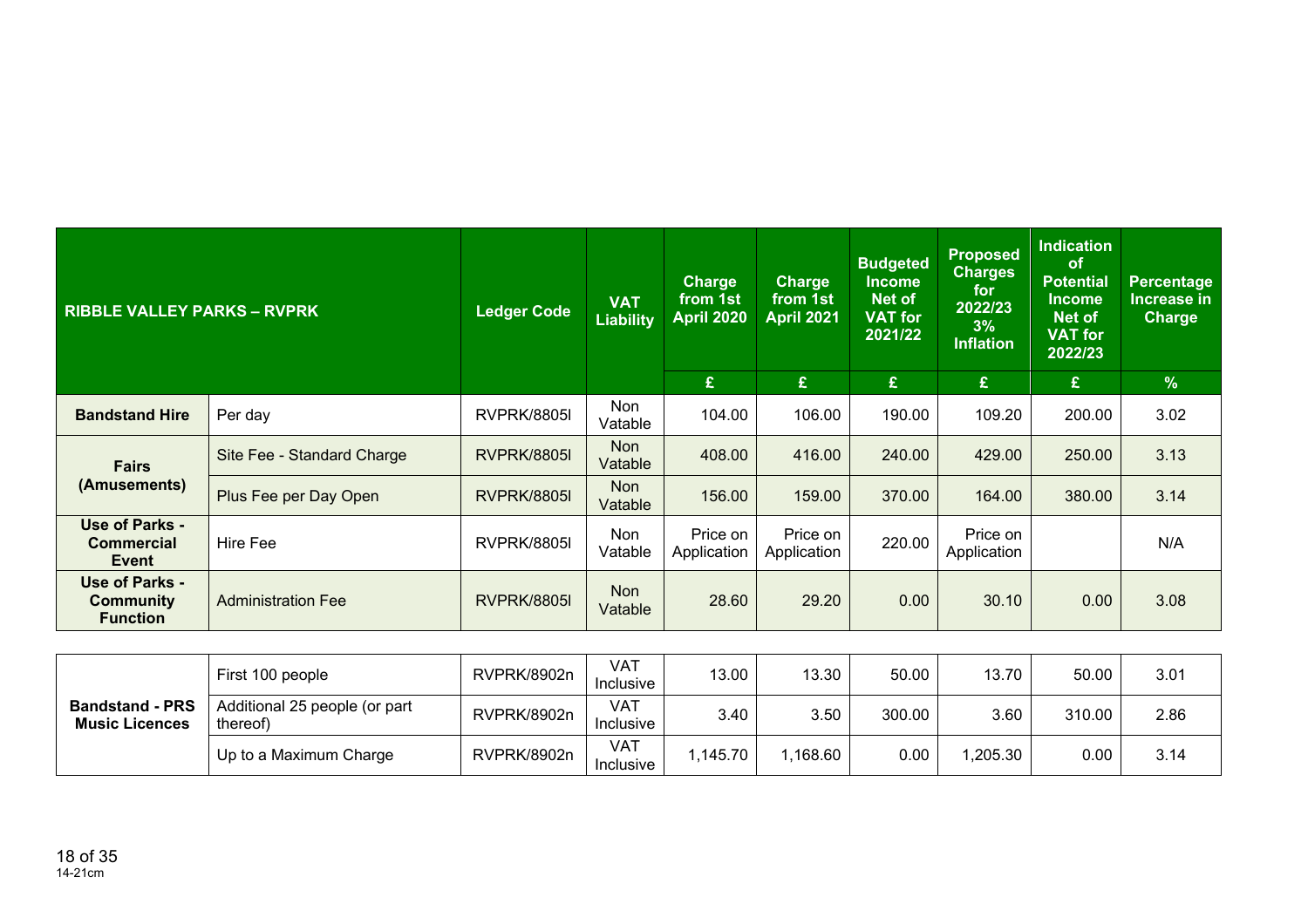| <b>RIBBLE VALLEY PARKS - RVPRK</b>             |                            | <b>Ledger Code</b> | <b>VAT</b><br><b>Liability</b> | <b>Charge</b><br>from 1st<br>April 2020 | <b>Charge</b><br>from 1st<br>April 2021 | <b>Budgeted</b><br><b>Income</b><br>Net of<br><b>VAT</b> for<br>2021/22 | <b>Proposed</b><br><b>Charges</b><br>for<br>2022/23<br>3%<br><b>Inflation</b> | <b>Indication</b><br><b>of</b><br><b>Potential</b><br>Income<br><b>Net of</b><br><b>VAT for</b><br>2022/23 | <b>Percentage</b><br>Increase in<br><b>Charge</b> |
|------------------------------------------------|----------------------------|--------------------|--------------------------------|-----------------------------------------|-----------------------------------------|-------------------------------------------------------------------------|-------------------------------------------------------------------------------|------------------------------------------------------------------------------------------------------------|---------------------------------------------------|
|                                                |                            |                    |                                | £.                                      | £                                       | £                                                                       | £                                                                             | £                                                                                                          | $\frac{9}{6}$                                     |
| <b>Bandstand Hire</b>                          | Per day                    | <b>RVPRK/8805I</b> | Non<br>Vatable                 | 104.00                                  | 106.00                                  | 190.00                                                                  | 109.20                                                                        | 200.00                                                                                                     | 3.02                                              |
| <b>Fairs</b>                                   | Site Fee - Standard Charge | <b>RVPRK/8805I</b> | <b>Non</b><br>Vatable          | 408.00                                  | 416.00                                  | 240.00                                                                  | 429.00                                                                        | 250.00                                                                                                     | 3.13                                              |
| (Amusements)                                   | Plus Fee per Day Open      | <b>RVPRK/8805I</b> | <b>Non</b><br>Vatable          | 156.00                                  | 159.00                                  | 370.00                                                                  | 164.00                                                                        | 380.00                                                                                                     | 3.14                                              |
| Use of Parks -<br><b>Commercial</b><br>Event   | Hire Fee                   | <b>RVPRK/8805I</b> | Non<br>Vatable                 | Price on<br>Application                 | Price on<br>Application                 | 220.00                                                                  | Price on<br>Application                                                       |                                                                                                            | N/A                                               |
| Use of Parks -<br>Community<br><b>Function</b> | <b>Administration Fee</b>  | <b>RVPRK/8805I</b> | <b>Non</b><br>Vatable          | 28.60                                   | 29.20                                   | 0.00                                                                    | 30.10                                                                         | 0.00                                                                                                       | 3.08                                              |

| <b>Bandstand - PRS</b><br><b>Music Licences</b> | First 100 people                          | RVPRK/8902n | <b>VAT</b><br>Inclusive | 13.00   | 13.30   | 50.00  | 13.70   | 50.00  | 3.01 |
|-------------------------------------------------|-------------------------------------------|-------------|-------------------------|---------|---------|--------|---------|--------|------|
|                                                 | Additional 25 people (or part<br>thereof) | RVPRK/8902n | <b>VAT</b><br>Inclusive | 3.40    | 3.50    | 300.00 | 3.60    | 310.00 | 2.86 |
|                                                 | Up to a Maximum Charge                    | RVPRK/8902n | <b>VAT</b><br>Inclusive | .145.70 | .168.60 | 0.00   | ,205.30 | 0.00   | 3.14 |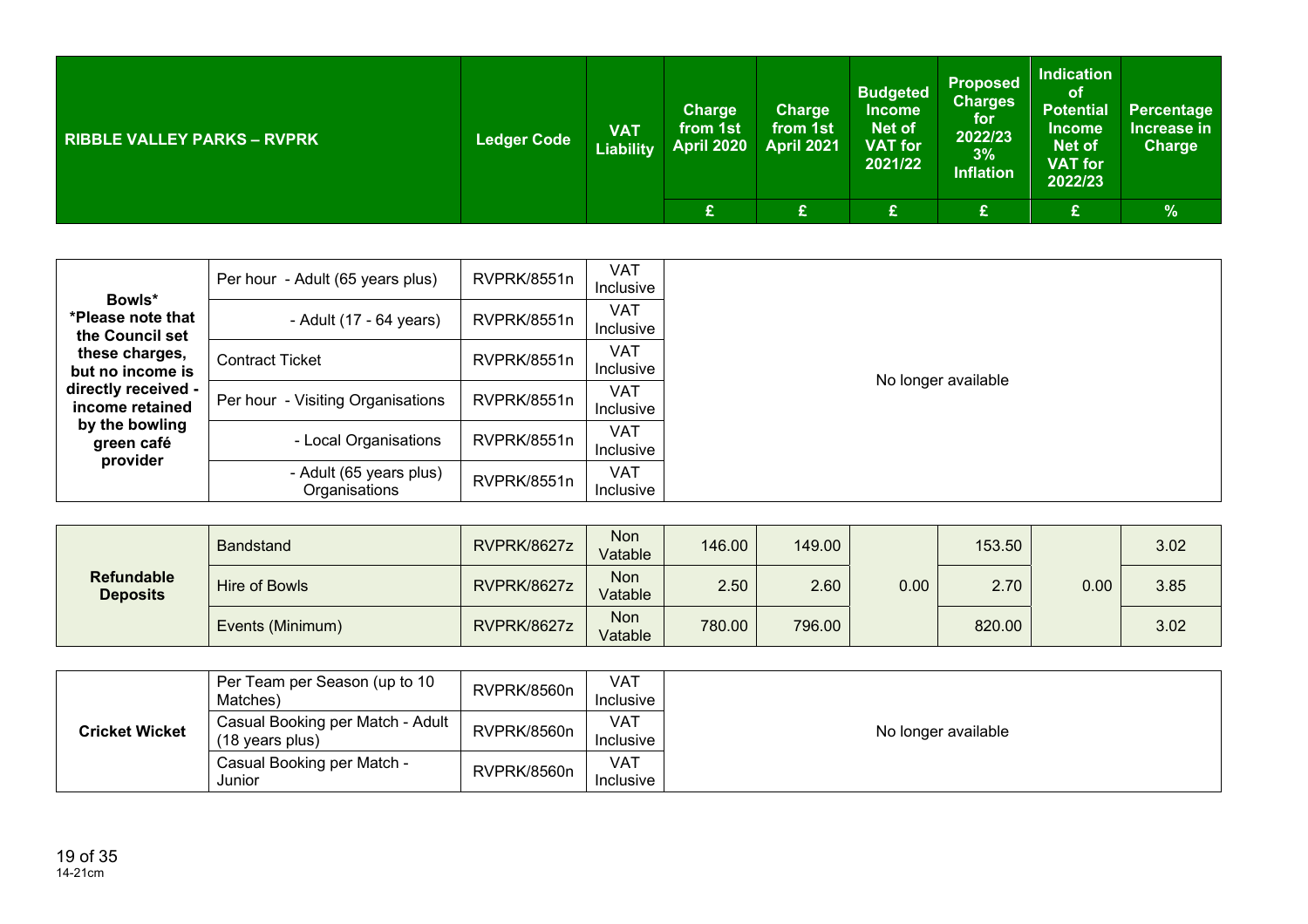| <b>RIBBLE VALLEY PARKS - RVPRK</b> | <b>Ledger Code</b> | <b>VAT</b><br><b>Liability</b> | <b>Charge</b><br>from 1st<br><b>April 2020</b> | Charge<br>from 1st<br>April 2021 | <b>Budgeted</b><br><b>Income</b><br>Net of<br><b>VAT for</b><br>2021/22 | <b>Proposed</b><br><b>Charges</b><br>for<br>2022/23<br>3%<br><b>Inflation</b> | <b>Indication</b><br>lof.<br><b>Potential</b><br><b>Income</b><br><b>Net of</b><br><b>VAT</b> for<br>2022/23 | Percentage<br>Increase in<br><b>Charge</b> |
|------------------------------------|--------------------|--------------------------------|------------------------------------------------|----------------------------------|-------------------------------------------------------------------------|-------------------------------------------------------------------------------|--------------------------------------------------------------------------------------------------------------|--------------------------------------------|
|                                    |                    |                                | ⌒<br>$\sim$                                    |                                  | £                                                                       | £                                                                             | £                                                                                                            | $\frac{9}{6}$                              |

| Bowls*                                                                             | Per hour - Adult (65 years plus)         | RVPRK/8551n | <b>VAT</b><br>Inclusive |                     |
|------------------------------------------------------------------------------------|------------------------------------------|-------------|-------------------------|---------------------|
| *Please note that<br>the Council set                                               | - Adult (17 - 64 years)                  | RVPRK/8551n | <b>VAT</b><br>Inclusive |                     |
| these charges,<br>but no income is                                                 | <b>Contract Ticket</b>                   | RVPRK/8551n | <b>VAT</b><br>Inclusive |                     |
| directly received -<br>income retained<br>by the bowling<br>green café<br>provider | Per hour - Visiting Organisations        | RVPRK/8551n | <b>VAT</b><br>Inclusive | No longer available |
|                                                                                    | - Local Organisations                    | RVPRK/8551n | <b>VAT</b><br>Inclusive |                     |
|                                                                                    | - Adult (65 years plus)<br>Organisations | RVPRK/8551n | <b>VAT</b><br>Inclusive |                     |

| <b>Refundable</b><br><b>Deposits</b> | <b>Bandstand</b> | RVPRK/8627z | Non<br>Vatable        | 146.00 | 149.00 |      | 153.50 |      | 3.02 |
|--------------------------------------|------------------|-------------|-----------------------|--------|--------|------|--------|------|------|
|                                      | Hire of Bowls    | RVPRK/8627z | <b>Non</b><br>Vatable | 2.50   | 2.60   | 0.00 | 2.70   | 0.00 | 3.85 |
|                                      | Events (Minimum) | RVPRK/8627z | Non<br>Vatable        | 780.00 | 796.00 |      | 820.00 |      | 3.02 |

| <b>Cricket Wicket</b> | Per Team per Season (up to 10<br>Matches)                     | RVPRK/8560n | <b>VAT</b><br>Inclusive |                     |
|-----------------------|---------------------------------------------------------------|-------------|-------------------------|---------------------|
|                       | Casual Booking per Match - Adult<br>$(18 \text{ years plus})$ | RVPRK/8560n | <b>VAT</b><br>Inclusive | No longer available |
|                       | Casual Booking per Match -<br>Junior                          | RVPRK/8560n | <b>VAT</b><br>Inclusive |                     |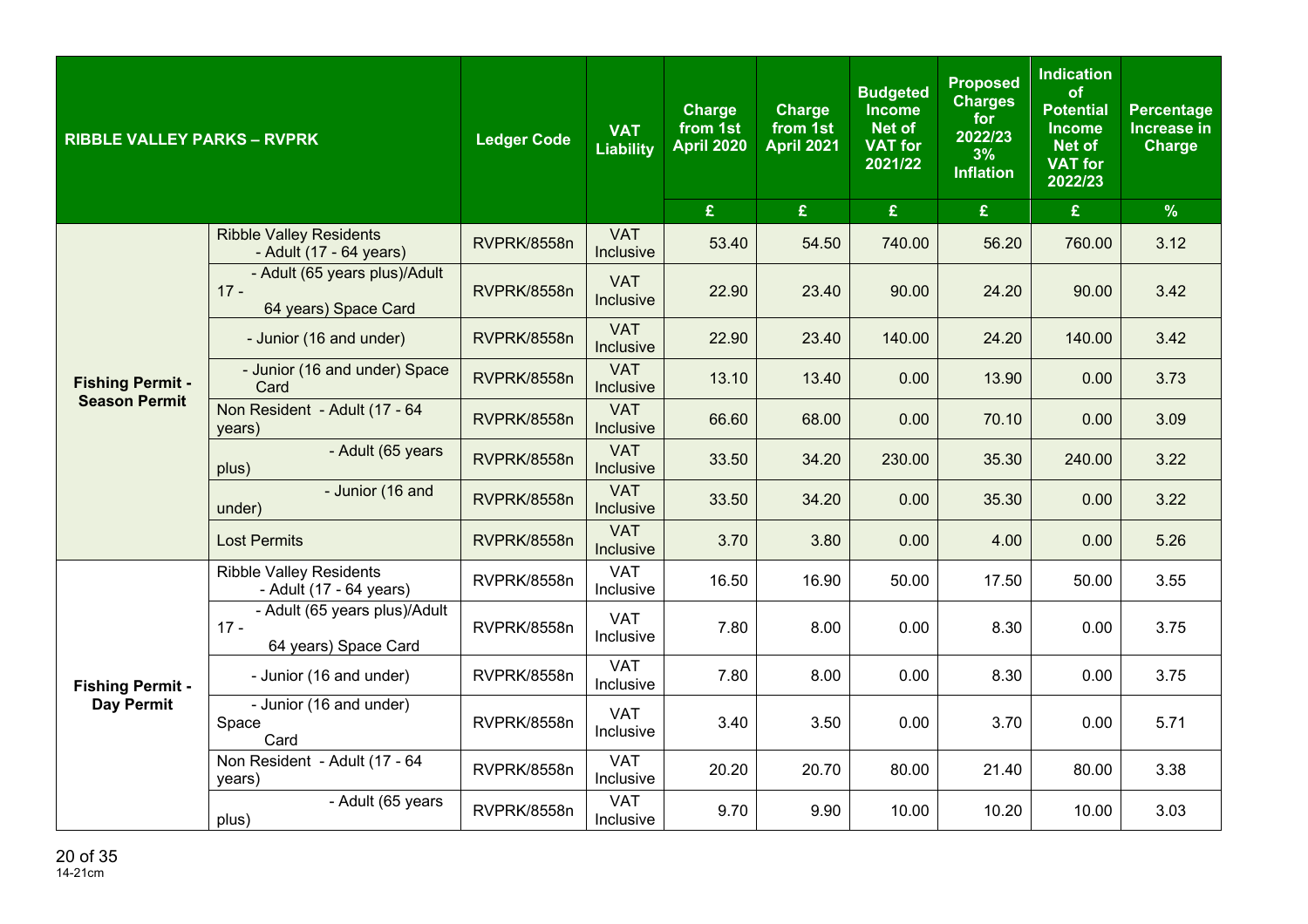| <b>RIBBLE VALLEY PARKS - RVPRK</b>              |                                                                 | <b>Ledger Code</b> | <b>VAT</b><br><b>Liability</b> | <b>Charge</b><br>from 1st<br><b>April 2020</b> | <b>Charge</b><br>from 1st<br><b>April 2021</b> | <b>Budgeted</b><br><b>Income</b><br>Net of<br><b>VAT for</b><br>2021/22 | <b>Proposed</b><br><b>Charges</b><br>for<br>2022/23<br>3%<br><b>Inflation</b> | <b>Indication</b><br>of<br><b>Potential</b><br><b>Income</b><br><b>Net of</b><br><b>VAT for</b><br>2022/23 | <b>Percentage</b><br>Increase in<br><b>Charge</b> |
|-------------------------------------------------|-----------------------------------------------------------------|--------------------|--------------------------------|------------------------------------------------|------------------------------------------------|-------------------------------------------------------------------------|-------------------------------------------------------------------------------|------------------------------------------------------------------------------------------------------------|---------------------------------------------------|
|                                                 |                                                                 |                    |                                | £                                              | £                                              | £                                                                       | £                                                                             | £                                                                                                          | $\frac{9}{6}$                                     |
|                                                 | <b>Ribble Valley Residents</b><br>- Adult (17 - 64 years)       | RVPRK/8558n        | <b>VAT</b><br>Inclusive        | 53.40                                          | 54.50                                          | 740.00                                                                  | 56.20                                                                         | 760.00                                                                                                     | 3.12                                              |
|                                                 | - Adult (65 years plus)/Adult<br>$17 -$<br>64 years) Space Card | RVPRK/8558n        | <b>VAT</b><br>Inclusive        | 22.90                                          | 23.40                                          | 90.00                                                                   | 24.20                                                                         | 90.00                                                                                                      | 3.42                                              |
| <b>Fishing Permit -</b><br><b>Season Permit</b> | - Junior (16 and under)                                         | RVPRK/8558n        | <b>VAT</b><br>Inclusive        | 22.90                                          | 23.40                                          | 140.00                                                                  | 24.20                                                                         | 140.00                                                                                                     | 3.42                                              |
|                                                 | - Junior (16 and under) Space<br>Card                           | RVPRK/8558n        | <b>VAT</b><br>Inclusive        | 13.10                                          | 13.40                                          | 0.00                                                                    | 13.90                                                                         | 0.00                                                                                                       | 3.73                                              |
|                                                 | Non Resident - Adult (17 - 64<br>years)                         | RVPRK/8558n        | <b>VAT</b><br>Inclusive        | 66.60                                          | 68.00                                          | 0.00                                                                    | 70.10                                                                         | 0.00                                                                                                       | 3.09                                              |
|                                                 | - Adult (65 years<br>plus)                                      | RVPRK/8558n        | <b>VAT</b><br>Inclusive        | 33.50                                          | 34.20                                          | 230.00                                                                  | 35.30                                                                         | 240.00                                                                                                     | 3.22                                              |
|                                                 | - Junior (16 and<br>under)                                      | RVPRK/8558n        | <b>VAT</b><br>Inclusive        | 33.50                                          | 34.20                                          | 0.00                                                                    | 35.30                                                                         | 0.00                                                                                                       | 3.22                                              |
|                                                 | <b>Lost Permits</b>                                             | RVPRK/8558n        | <b>VAT</b><br>Inclusive        | 3.70                                           | 3.80                                           | 0.00                                                                    | 4.00                                                                          | 0.00                                                                                                       | 5.26                                              |
|                                                 | <b>Ribble Valley Residents</b><br>- Adult (17 - 64 years)       | RVPRK/8558n        | <b>VAT</b><br>Inclusive        | 16.50                                          | 16.90                                          | 50.00                                                                   | 17.50                                                                         | 50.00                                                                                                      | 3.55                                              |
|                                                 | - Adult (65 years plus)/Adult<br>$17 -$<br>64 years) Space Card | RVPRK/8558n        | <b>VAT</b><br>Inclusive        | 7.80                                           | 8.00                                           | 0.00                                                                    | 8.30                                                                          | 0.00                                                                                                       | 3.75                                              |
| <b>Fishing Permit -</b>                         | - Junior (16 and under)                                         | RVPRK/8558n        | <b>VAT</b><br>Inclusive        | 7.80                                           | 8.00                                           | 0.00                                                                    | 8.30                                                                          | 0.00                                                                                                       | 3.75                                              |
| <b>Day Permit</b>                               | - Junior (16 and under)<br>Space<br>Card                        | RVPRK/8558n        | <b>VAT</b><br>Inclusive        | 3.40                                           | 3.50                                           | 0.00                                                                    | 3.70                                                                          | 0.00                                                                                                       | 5.71                                              |
|                                                 | Non Resident - Adult (17 - 64<br>years)                         | RVPRK/8558n        | <b>VAT</b><br>Inclusive        | 20.20                                          | 20.70                                          | 80.00                                                                   | 21.40                                                                         | 80.00                                                                                                      | 3.38                                              |
|                                                 | - Adult (65 years<br>plus)                                      | RVPRK/8558n        | <b>VAT</b><br>Inclusive        | 9.70                                           | 9.90                                           | 10.00                                                                   | 10.20                                                                         | 10.00                                                                                                      | 3.03                                              |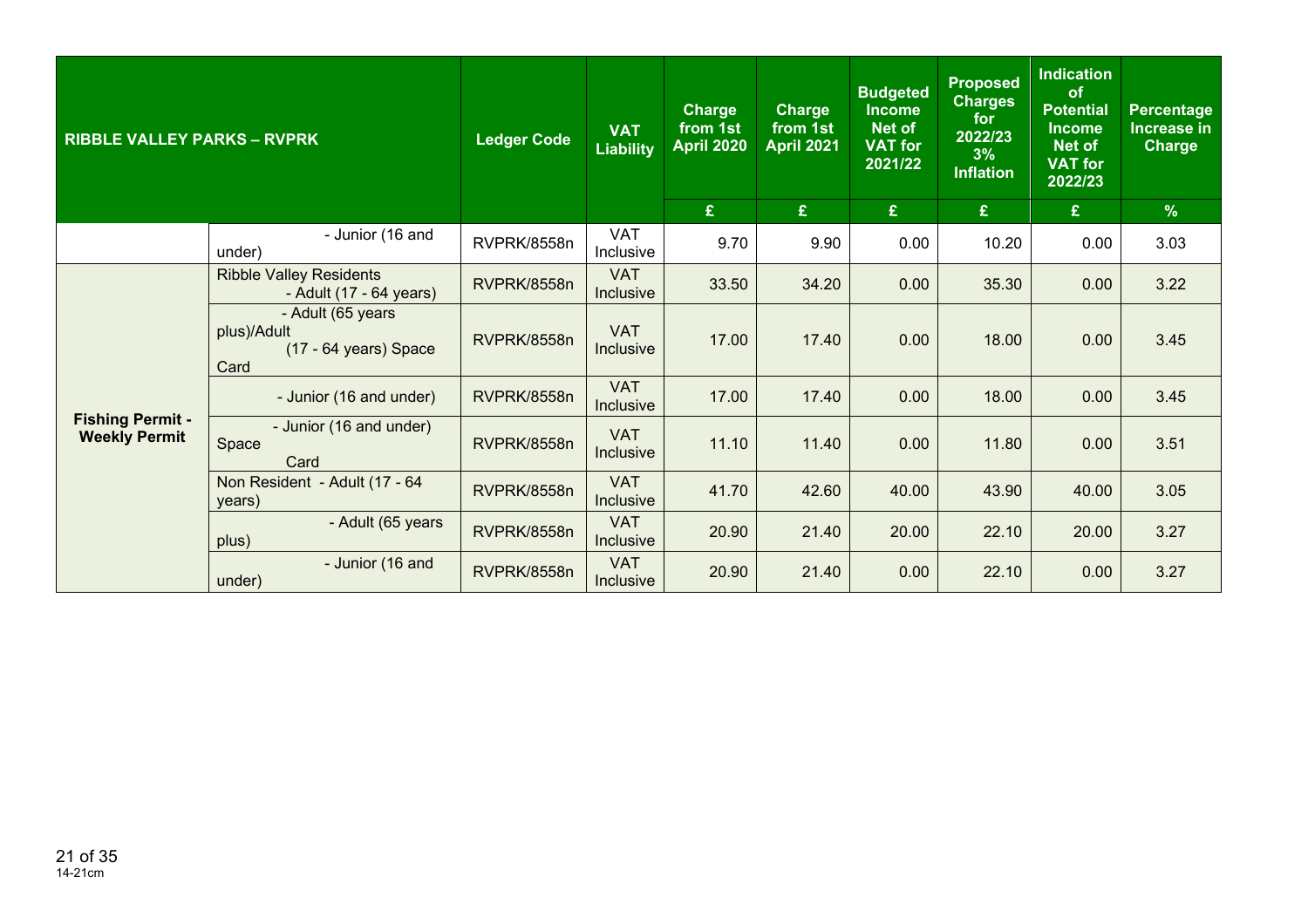| <b>RIBBLE VALLEY PARKS - RVPRK</b>              |                                                                   | <b>Ledger Code</b> | <b>VAT</b><br><b>Liability</b> | <b>Charge</b><br>from 1st<br><b>April 2020</b><br>£ | <b>Charge</b><br>from 1st<br><b>April 2021</b><br>£ | <b>Budgeted</b><br><b>Income</b><br>Net of<br><b>VAT for</b><br>2021/22<br>$\mathbf{E}$ | <b>Proposed</b><br><b>Charges</b><br>for<br>2022/23<br>3%<br><b>Inflation</b><br>£ | <b>Indication</b><br>of<br><b>Potential</b><br><b>Income</b><br><b>Net of</b><br><b>VAT for</b><br>2022/23<br>£ | <b>Percentage</b><br>Increase in<br><b>Charge</b><br>$\%$ |
|-------------------------------------------------|-------------------------------------------------------------------|--------------------|--------------------------------|-----------------------------------------------------|-----------------------------------------------------|-----------------------------------------------------------------------------------------|------------------------------------------------------------------------------------|-----------------------------------------------------------------------------------------------------------------|-----------------------------------------------------------|
|                                                 | - Junior (16 and                                                  |                    | <b>VAT</b>                     |                                                     |                                                     |                                                                                         |                                                                                    |                                                                                                                 |                                                           |
|                                                 | under)                                                            | RVPRK/8558n        | Inclusive                      | 9.70                                                | 9.90                                                | 0.00                                                                                    | 10.20                                                                              | 0.00                                                                                                            | 3.03                                                      |
|                                                 | <b>Ribble Valley Residents</b><br>- Adult (17 - 64 years)         | RVPRK/8558n        | <b>VAT</b><br><b>Inclusive</b> | 33.50                                               | 34.20                                               | 0.00                                                                                    | 35.30                                                                              | 0.00                                                                                                            | 3.22                                                      |
| <b>Fishing Permit -</b><br><b>Weekly Permit</b> | - Adult (65 years<br>plus)/Adult<br>(17 - 64 years) Space<br>Card | RVPRK/8558n        | <b>VAT</b><br>Inclusive        | 17.00                                               | 17.40                                               | 0.00                                                                                    | 18.00                                                                              | 0.00                                                                                                            | 3.45                                                      |
|                                                 | - Junior (16 and under)                                           | RVPRK/8558n        | <b>VAT</b><br>Inclusive        | 17.00                                               | 17.40                                               | 0.00                                                                                    | 18.00                                                                              | 0.00                                                                                                            | 3.45                                                      |
|                                                 | - Junior (16 and under)<br>Space<br>Card                          | RVPRK/8558n        | <b>VAT</b><br>Inclusive        | 11.10                                               | 11.40                                               | 0.00                                                                                    | 11.80                                                                              | 0.00                                                                                                            | 3.51                                                      |
|                                                 | Non Resident - Adult (17 - 64<br>years)                           | RVPRK/8558n        | <b>VAT</b><br><b>Inclusive</b> | 41.70                                               | 42.60                                               | 40.00                                                                                   | 43.90                                                                              | 40.00                                                                                                           | 3.05                                                      |
|                                                 | - Adult (65 years<br>plus)                                        | RVPRK/8558n        | <b>VAT</b><br><b>Inclusive</b> | 20.90                                               | 21.40                                               | 20.00                                                                                   | 22.10                                                                              | 20.00                                                                                                           | 3.27                                                      |
|                                                 | - Junior (16 and<br>under)                                        | RVPRK/8558n        | <b>VAT</b><br><b>Inclusive</b> | 20.90                                               | 21.40                                               | 0.00                                                                                    | 22.10                                                                              | 0.00                                                                                                            | 3.27                                                      |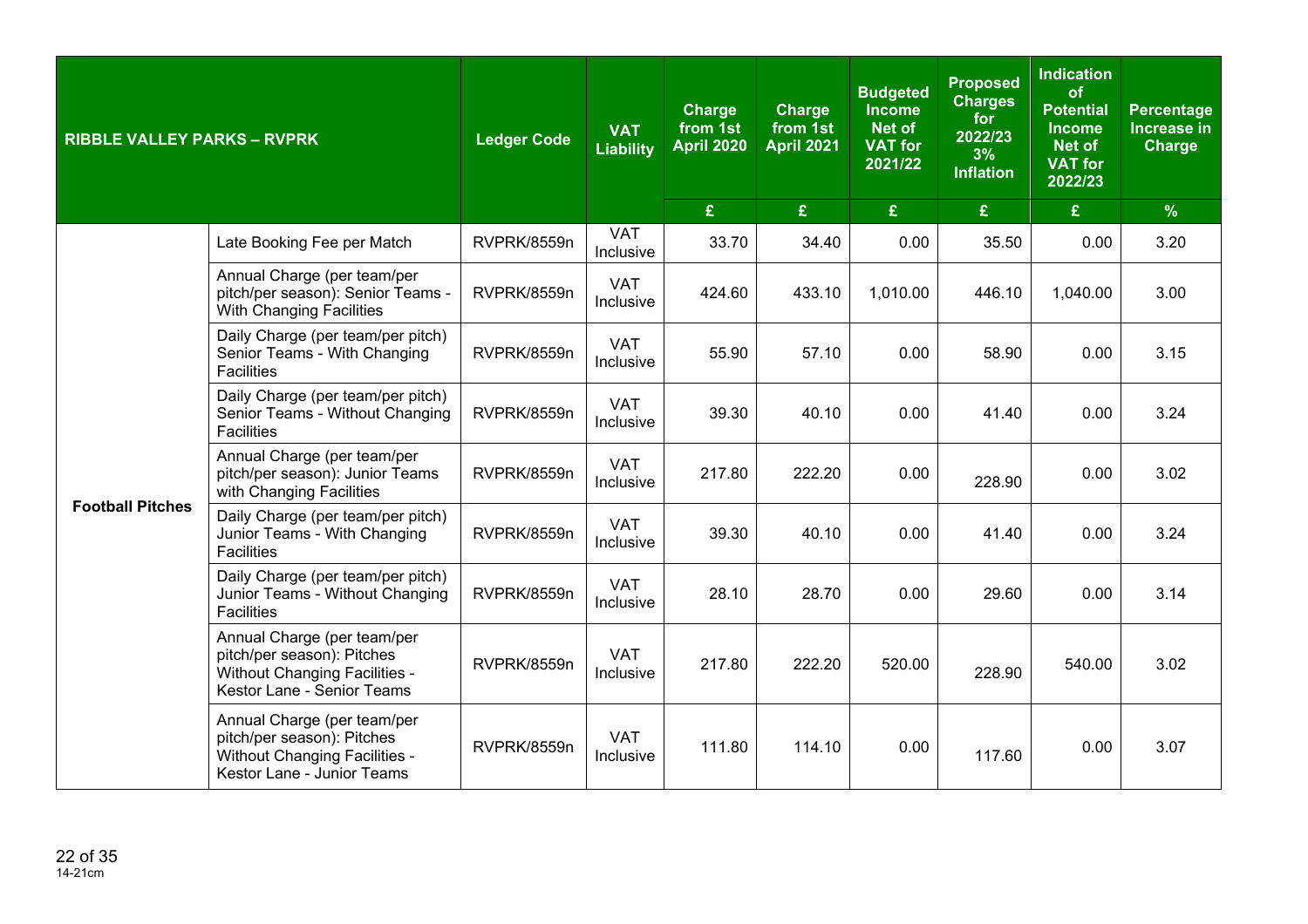| <b>RIBBLE VALLEY PARKS - RVPRK</b> |                                                                                                                                                                                         | <b>Ledger Code</b> | <b>VAT</b><br><b>Liability</b> | <b>Charge</b><br>from 1st<br><b>April 2020</b> | <b>Charge</b><br>from 1st<br><b>April 2021</b> | <b>Budgeted</b><br><b>Income</b><br><b>Net of</b><br><b>VAT for</b><br>2021/22 | <b>Proposed</b><br><b>Charges</b><br>for<br>2022/23<br>3%<br><b>Inflation</b> | <b>Indication</b><br>of<br><b>Potential</b><br><b>Income</b><br><b>Net of</b><br><b>VAT for</b><br>2022/23 | Percentage<br><b>Increase in</b><br><b>Charge</b> |
|------------------------------------|-----------------------------------------------------------------------------------------------------------------------------------------------------------------------------------------|--------------------|--------------------------------|------------------------------------------------|------------------------------------------------|--------------------------------------------------------------------------------|-------------------------------------------------------------------------------|------------------------------------------------------------------------------------------------------------|---------------------------------------------------|
|                                    |                                                                                                                                                                                         |                    |                                | £                                              | £                                              | £                                                                              | £                                                                             | $\mathbf{E}$                                                                                               | $\%$                                              |
|                                    | Late Booking Fee per Match                                                                                                                                                              | RVPRK/8559n        | <b>VAT</b><br>Inclusive        | 33.70                                          | 34.40                                          | 0.00                                                                           | 35.50                                                                         | 0.00                                                                                                       | 3.20                                              |
|                                    | Annual Charge (per team/per<br>pitch/per season): Senior Teams -<br>With Changing Facilities                                                                                            | RVPRK/8559n        | <b>VAT</b><br>Inclusive        | 424.60                                         | 433.10                                         | 1,010.00                                                                       | 446.10                                                                        | 1,040.00                                                                                                   | 3.00                                              |
|                                    | Daily Charge (per team/per pitch)<br>Senior Teams - With Changing<br><b>Facilities</b>                                                                                                  | RVPRK/8559n        | <b>VAT</b><br>Inclusive        | 55.90                                          | 57.10                                          | 0.00                                                                           | 58.90                                                                         | 0.00                                                                                                       | 3.15                                              |
|                                    | Daily Charge (per team/per pitch)<br>Senior Teams - Without Changing<br><b>Facilities</b><br>Annual Charge (per team/per<br>pitch/per season): Junior Teams<br>with Changing Facilities | RVPRK/8559n        | <b>VAT</b><br>Inclusive        | 39.30                                          | 40.10                                          | 0.00                                                                           | 41.40                                                                         | 0.00                                                                                                       | 3.24                                              |
|                                    |                                                                                                                                                                                         | RVPRK/8559n        | <b>VAT</b><br>Inclusive        | 217.80                                         | 222.20                                         | 0.00                                                                           | 228.90                                                                        | 0.00                                                                                                       | 3.02                                              |
| <b>Football Pitches</b>            | Daily Charge (per team/per pitch)<br>Junior Teams - With Changing<br>Facilities                                                                                                         | RVPRK/8559n        | <b>VAT</b><br>Inclusive        | 39.30                                          | 40.10                                          | 0.00                                                                           | 41.40                                                                         | 0.00                                                                                                       | 3.24                                              |
|                                    | Daily Charge (per team/per pitch)<br>Junior Teams - Without Changing<br><b>Facilities</b>                                                                                               | RVPRK/8559n        | <b>VAT</b><br>Inclusive        | 28.10                                          | 28.70                                          | 0.00                                                                           | 29.60                                                                         | 0.00                                                                                                       | 3.14                                              |
|                                    | Annual Charge (per team/per<br>pitch/per season): Pitches<br><b>Without Changing Facilities -</b><br>Kestor Lane - Senior Teams                                                         | RVPRK/8559n        | <b>VAT</b><br>Inclusive        | 217.80                                         | 222.20                                         | 520.00                                                                         | 228.90                                                                        | 540.00                                                                                                     | 3.02                                              |
|                                    | Annual Charge (per team/per<br>pitch/per season): Pitches<br>Without Changing Facilities -<br>Kestor Lane - Junior Teams                                                                | RVPRK/8559n        | <b>VAT</b><br>Inclusive        | 111.80                                         | 114.10                                         | 0.00                                                                           | 117.60                                                                        | 0.00                                                                                                       | 3.07                                              |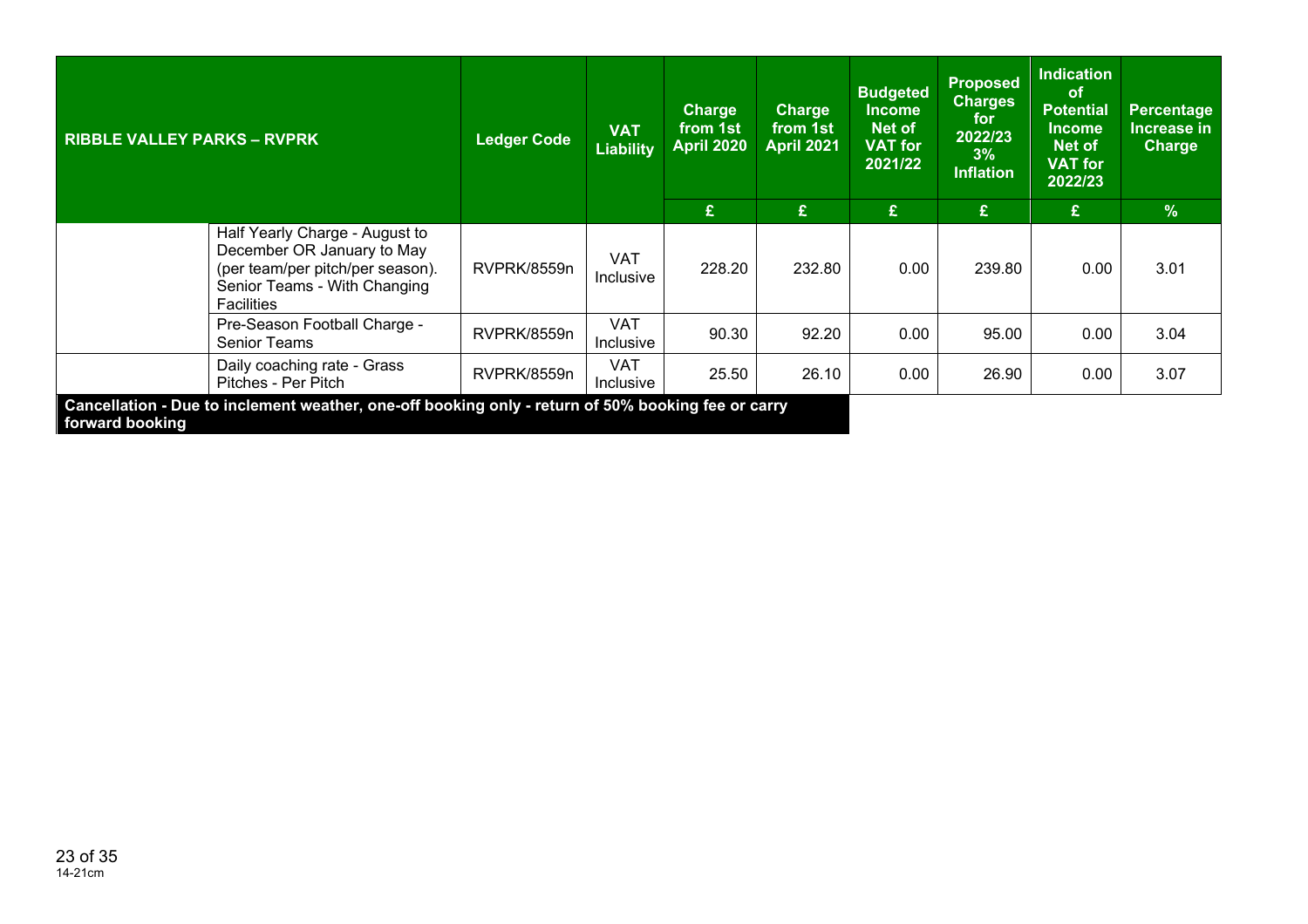| <b>RIBBLE VALLEY PARKS - RVPRK</b>                                                                                                                    | <b>Ledger Code</b> | <b>VAT</b><br><b>Liability</b> | <b>Charge</b><br>from 1st<br><b>April 2020</b> | <b>Charge</b><br>from 1st<br><b>April 2021</b> | <b>Budgeted</b><br><b>Income</b><br>Net of<br><b>VAT for</b><br>2021/22 | <b>Proposed</b><br><b>Charges</b><br>for<br>2022/23<br>3%<br><b>Inflation</b> | <b>Indication</b><br><b>of</b><br><b>Potential</b><br><b>Income</b><br>Net of<br><b>VAT for</b><br>2022/23 | Percentage<br>Increase in<br><b>Charge</b> |
|-------------------------------------------------------------------------------------------------------------------------------------------------------|--------------------|--------------------------------|------------------------------------------------|------------------------------------------------|-------------------------------------------------------------------------|-------------------------------------------------------------------------------|------------------------------------------------------------------------------------------------------------|--------------------------------------------|
|                                                                                                                                                       |                    |                                | £                                              | £                                              | £                                                                       | £                                                                             | £                                                                                                          | $\frac{9}{6}$                              |
| Half Yearly Charge - August to<br>December OR January to May<br>(per team/per pitch/per season).<br>Senior Teams - With Changing<br><b>Facilities</b> | RVPRK/8559n        | <b>VAT</b><br><b>Inclusive</b> | 228.20                                         | 232.80                                         | 0.00                                                                    | 239.80                                                                        | 0.00                                                                                                       | 3.01                                       |
| Pre-Season Football Charge -<br><b>Senior Teams</b>                                                                                                   | RVPRK/8559n        | <b>VAT</b><br><b>Inclusive</b> | 90.30                                          | 92.20                                          | 0.00                                                                    | 95.00                                                                         | 0.00                                                                                                       | 3.04                                       |
| Daily coaching rate - Grass<br>Pitches - Per Pitch                                                                                                    | RVPRK/8559n        | VAT<br>Inclusive               | 25.50                                          | 26.10                                          | 0.00                                                                    | 26.90                                                                         | 0.00                                                                                                       | 3.07                                       |
| Cancellation - Due to inclement weather, one-off booking only - return of 50% booking fee or carry<br>forward booking                                 |                    |                                |                                                |                                                |                                                                         |                                                                               |                                                                                                            |                                            |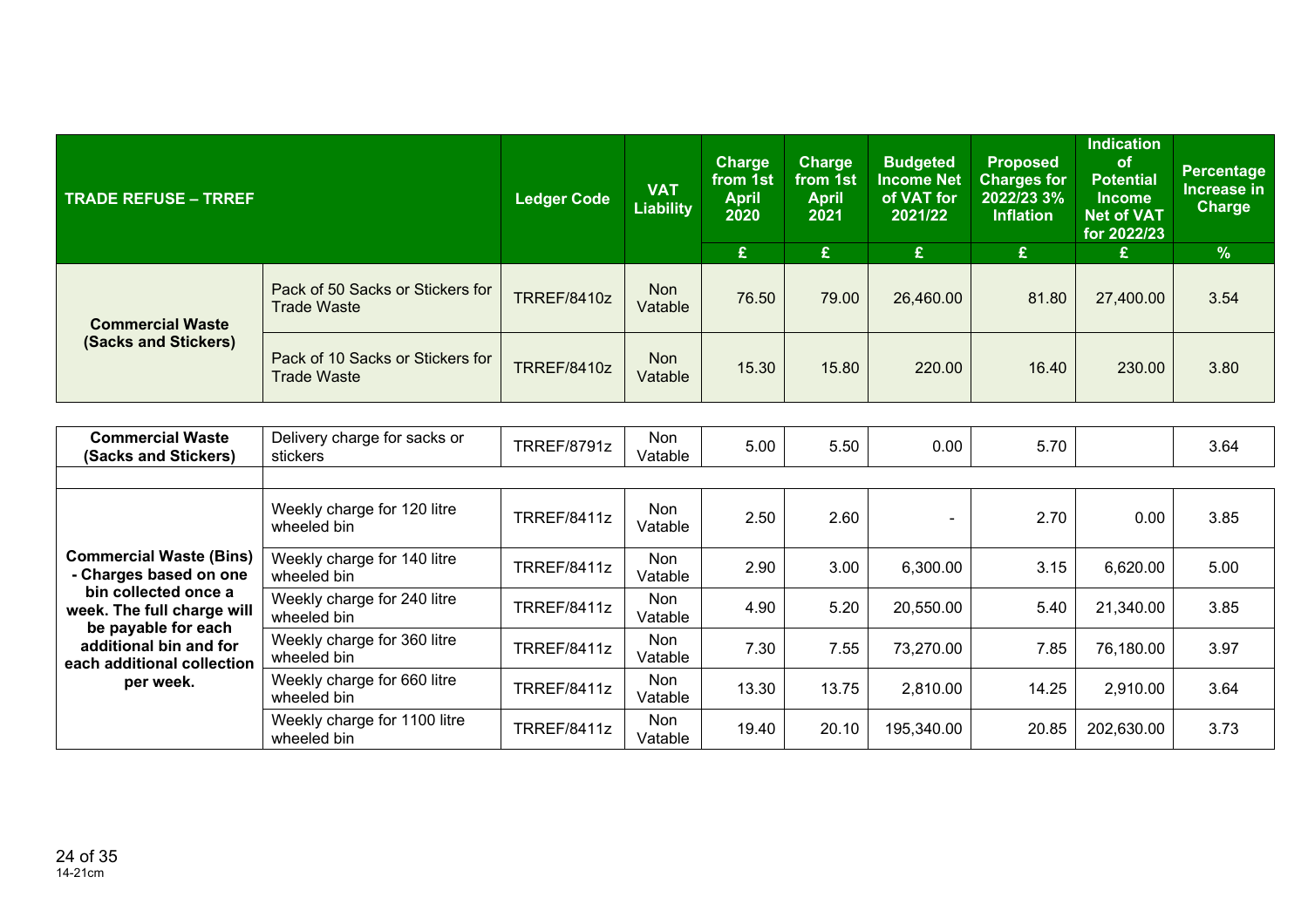| <b>TRADE REFUSE - TRREF</b>                     |                                                        | <b>Ledger Code</b> | <b>VAT</b><br><b>Liability</b> | <b>Charge</b><br>from 1st<br><b>April</b><br>2020<br>£ | <b>Charge</b><br>from 1st<br><b>April</b><br>2021<br>£ | <b>Budgeted</b><br><b>Income Net</b><br>of VAT for<br>2021/22<br>£ | Proposed<br><b>Charges for</b><br>2022/23 3%<br><b>Inflation</b><br>£ | <b>Indication</b><br>of<br><b>Potential</b><br><b>Income</b><br><b>Net of VAT</b><br>for 2022/23<br>£ | <b>Percentage</b><br>Increase in<br><b>Charge</b><br>$\frac{9}{6}$ |
|-------------------------------------------------|--------------------------------------------------------|--------------------|--------------------------------|--------------------------------------------------------|--------------------------------------------------------|--------------------------------------------------------------------|-----------------------------------------------------------------------|-------------------------------------------------------------------------------------------------------|--------------------------------------------------------------------|
| <b>Commercial Waste</b><br>(Sacks and Stickers) | Pack of 50 Sacks or Stickers for<br><b>Trade Waste</b> | <b>TRREF/8410z</b> | <b>Non</b><br>Vatable          | 76.50                                                  | 79.00                                                  | 26,460.00                                                          | 81.80                                                                 | 27,400.00                                                                                             | 3.54                                                               |
|                                                 | Pack of 10 Sacks or Stickers for<br><b>Trade Waste</b> | <b>TRREF/8410z</b> | <b>Non</b><br>Vatable          | 15.30                                                  | 15.80                                                  | 220.00                                                             | 16.40                                                                 | 230.00                                                                                                | 3.80                                                               |
|                                                 |                                                        |                    |                                |                                                        |                                                        |                                                                    |                                                                       |                                                                                                       |                                                                    |
| <b>Commercial Waste</b><br>(Sacks and Stickers) | Delivery charge for sacks or<br>stickers               | <b>TRREF/8791z</b> | <b>Non</b><br>Vatable          | 5.00                                                   | 5.50                                                   | 0.00                                                               | 5.70                                                                  |                                                                                                       | 3.64                                                               |

|                                                                                          | Weekly charge for 120 litre<br>wheeled bin  | <b>TRREF/8411z</b> | Non<br>Vatable | 2.50  | 2.60  |            | 2.70  | 0.00       | 3.85 |
|------------------------------------------------------------------------------------------|---------------------------------------------|--------------------|----------------|-------|-------|------------|-------|------------|------|
| <b>Commercial Waste (Bins)</b><br>- Charges based on one                                 | Weekly charge for 140 litre<br>wheeled bin  | TRREF/8411z        | Non<br>Vatable | 2.90  | 3.00  | 6,300.00   | 3.15  | 6,620.00   | 5.00 |
| bin collected once a<br>week. The full charge will                                       | Weekly charge for 240 litre<br>wheeled bin  | TRREF/8411z        | Non<br>Vatable | 4.90  | 5.20  | 20,550.00  | 5.40  | 21,340.00  | 3.85 |
| be payable for each<br>additional bin and for<br>each additional collection<br>per week. | Weekly charge for 360 litre<br>wheeled bin  | TRREF/8411z        | Non<br>Vatable | 7.30  | 7.55  | 73,270.00  | 7.85  | 76,180.00  | 3.97 |
|                                                                                          | Weekly charge for 660 litre<br>wheeled bin  | TRREF/8411z        | Non<br>Vatable | 13.30 | 13.75 | 2,810.00   | 14.25 | 2,910.00   | 3.64 |
|                                                                                          | Weekly charge for 1100 litre<br>wheeled bin | TRREF/8411z        | Non<br>Vatable | 19.40 | 20.10 | 195,340.00 | 20.85 | 202,630.00 | 3.73 |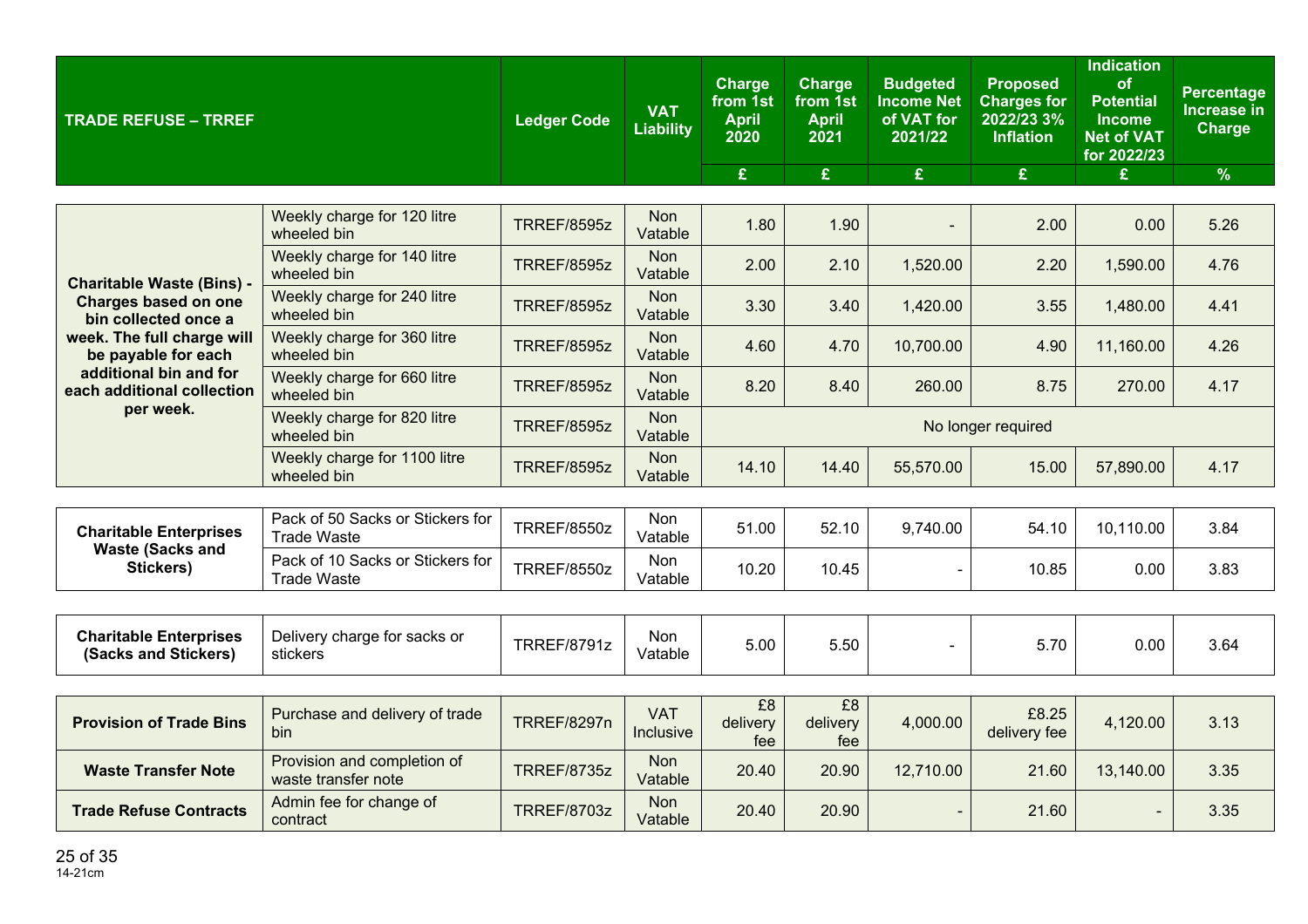| <b>TRADE REFUSE - TRREF</b>                              |                                                        | <b>Ledger Code</b> | <b>VAT</b><br><b>Liability</b> | Charge<br>from 1st<br><b>April</b><br>2020 | <b>Charge</b><br>from 1st<br><b>April</b><br>2021 | <b>Budgeted</b><br><b>Income Net</b><br>of VAT for<br>2021/22 | <b>Proposed</b><br><b>Charges for</b><br>2022/23 3%<br><b>Inflation</b> | <b>Indication</b><br>of<br><b>Potential</b><br><b>Income</b><br><b>Net of VAT</b><br>for 2022/23 | <b>Percentage</b><br><b>Increase in</b><br>Charge |
|----------------------------------------------------------|--------------------------------------------------------|--------------------|--------------------------------|--------------------------------------------|---------------------------------------------------|---------------------------------------------------------------|-------------------------------------------------------------------------|--------------------------------------------------------------------------------------------------|---------------------------------------------------|
|                                                          |                                                        |                    |                                | £                                          | £                                                 | £                                                             | £                                                                       | £                                                                                                | $\frac{9}{6}$                                     |
|                                                          | Weekly charge for 120 litre<br>wheeled bin             | <b>TRREF/8595z</b> | <b>Non</b><br>Vatable          | 1.80                                       | 1.90                                              |                                                               | 2.00                                                                    | 0.00                                                                                             | 5.26                                              |
| <b>Charitable Waste (Bins) -</b>                         | Weekly charge for 140 litre<br>wheeled bin             | <b>TRREF/8595z</b> | <b>Non</b><br>Vatable          | 2.00                                       | 2.10                                              | 1,520.00                                                      | 2.20                                                                    | 1,590.00                                                                                         | 4.76                                              |
| <b>Charges based on one</b><br>bin collected once a      | Weekly charge for 240 litre<br>wheeled bin             | <b>TRREF/8595z</b> | <b>Non</b><br>Vatable          | 3.30                                       | 3.40                                              | 1,420.00                                                      | 3.55                                                                    | 1,480.00                                                                                         | 4.41                                              |
| week. The full charge will<br>be payable for each        | Weekly charge for 360 litre<br>wheeled bin             | <b>TRREF/8595z</b> | <b>Non</b><br>Vatable          | 4.60                                       | 4.70                                              | 10,700.00                                                     | 4.90                                                                    | 11,160.00                                                                                        | 4.26                                              |
| additional bin and for<br>each additional collection     | Weekly charge for 660 litre<br>wheeled bin             | <b>TRREF/8595z</b> | <b>Non</b><br>Vatable          | 8.20                                       | 8.40                                              | 260.00                                                        | 8.75                                                                    | 270.00                                                                                           | 4.17                                              |
| per week.                                                | Weekly charge for 820 litre<br>wheeled bin             | <b>TRREF/8595z</b> | Non<br>Vatable                 |                                            |                                                   |                                                               | No longer required                                                      |                                                                                                  |                                                   |
|                                                          | Weekly charge for 1100 litre<br>wheeled bin            | <b>TRREF/8595z</b> | <b>Non</b><br>Vatable          | 14.10                                      | 14.40                                             | 55,570.00                                                     | 15.00                                                                   | 57,890.00                                                                                        | 4.17                                              |
|                                                          |                                                        |                    |                                |                                            |                                                   |                                                               |                                                                         |                                                                                                  |                                                   |
| <b>Charitable Enterprises</b><br><b>Waste (Sacks and</b> | Pack of 50 Sacks or Stickers for<br><b>Trade Waste</b> | <b>TRREF/8550z</b> | Non<br>Vatable                 | 51.00                                      | 52.10                                             | 9,740.00                                                      | 54.10                                                                   | 10,110.00                                                                                        | 3.84                                              |
| Stickers)                                                | Pack of 10 Sacks or Stickers for<br><b>Trade Waste</b> | <b>TRREF/8550z</b> | Non<br>Vatable                 | 10.20                                      | 10.45                                             |                                                               | 10.85                                                                   | 0.00                                                                                             | 3.83                                              |
|                                                          |                                                        |                    |                                |                                            |                                                   |                                                               |                                                                         |                                                                                                  |                                                   |
| <b>Charitable Enterprises</b><br>(Sacks and Stickers)    | Delivery charge for sacks or<br>stickers               | <b>TRREF/8791z</b> | <b>Non</b><br>Vatable          | 5.00                                       | 5.50                                              |                                                               | 5.70                                                                    | 0.00                                                                                             | 3.64                                              |
|                                                          |                                                        |                    |                                |                                            |                                                   |                                                               |                                                                         |                                                                                                  |                                                   |
| <b>Provision of Trade Bins</b>                           | Purchase and delivery of trade<br>bin                  | <b>TRREF/8297n</b> | <b>VAT</b><br>Inclusive        | £8<br>delivery<br>fee                      | E8<br>delivery<br>fee                             | 4,000.00                                                      | £8.25<br>delivery fee                                                   | 4,120.00                                                                                         | 3.13                                              |
| <b>Waste Transfer Note</b>                               | Provision and completion of<br>waste transfer note     | <b>TRREF/8735z</b> | <b>Non</b><br>Vatable          | 20.40                                      | 20.90                                             | 12,710.00                                                     | 21.60                                                                   | 13,140.00                                                                                        | 3.35                                              |
| <b>Trade Refuse Contracts</b>                            | Admin fee for change of<br>contract                    | <b>TRREF/8703z</b> | Non<br>Vatable                 | 20.40                                      | 20.90                                             |                                                               | 21.60                                                                   |                                                                                                  | 3.35                                              |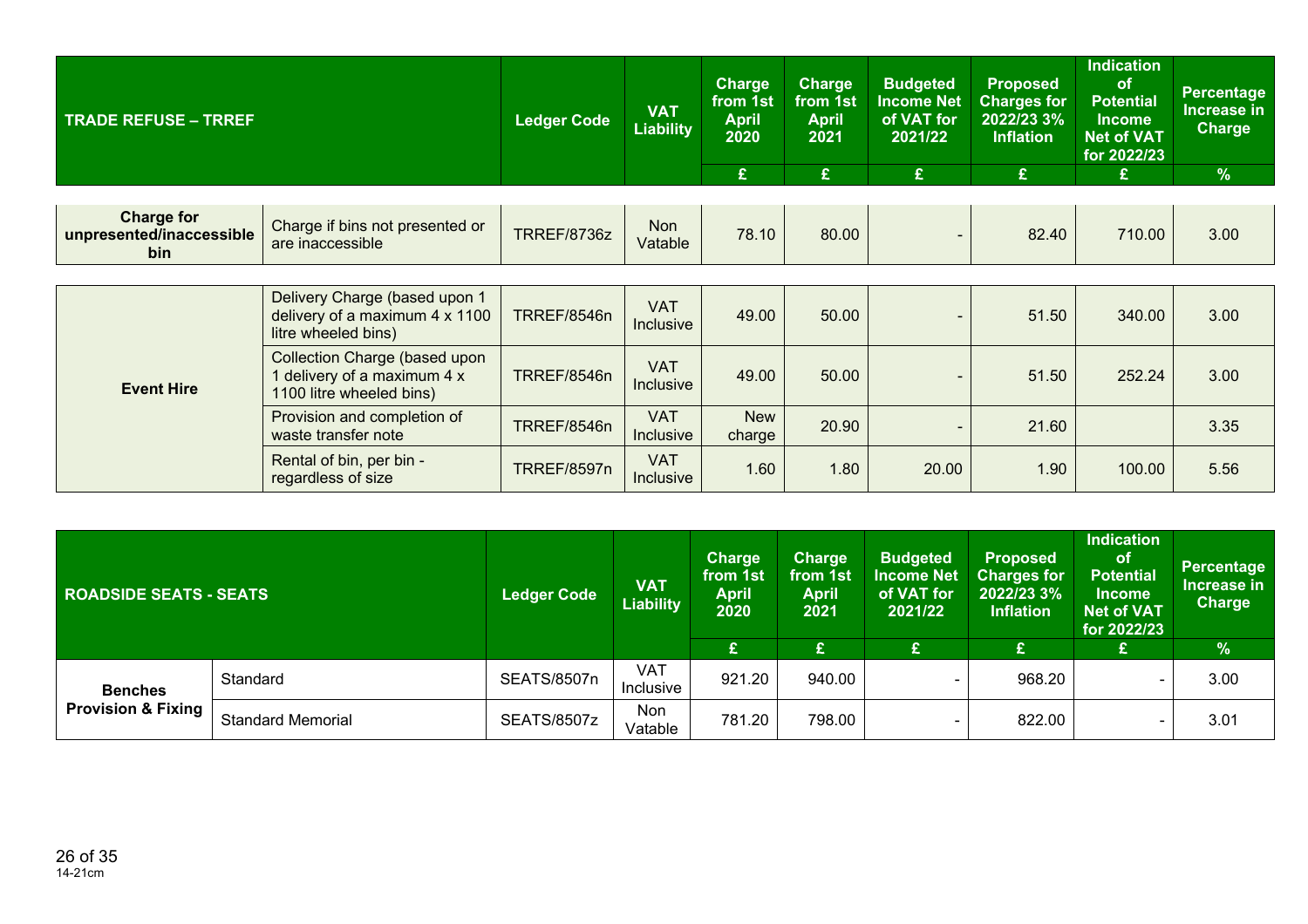| <b>TRADE REFUSE - TRREF</b>                          |                                                                                               | <b>Ledger Code</b> | <b>VAT</b><br><b>Liability</b> | <b>Charge</b><br>from 1st<br><b>April</b><br>2020<br>£ | <b>Charge</b><br>from 1st<br><b>April</b><br>2021<br>$\mathbf{E}$ | <b>Budgeted</b><br><b>Income Net</b><br>of VAT for<br>2021/22<br>£ | <b>Proposed</b><br><b>Charges for</b><br>2022/23 3%<br><b>Inflation</b><br>£ | <b>Indication</b><br>of<br><b>Potential</b><br><b>Income</b><br><b>Net of VAT</b><br>for 2022/23 | <b>Percentage</b><br>Increase in<br><b>Charge</b><br>$\frac{9}{6}$ |
|------------------------------------------------------|-----------------------------------------------------------------------------------------------|--------------------|--------------------------------|--------------------------------------------------------|-------------------------------------------------------------------|--------------------------------------------------------------------|------------------------------------------------------------------------------|--------------------------------------------------------------------------------------------------|--------------------------------------------------------------------|
|                                                      |                                                                                               |                    |                                |                                                        |                                                                   |                                                                    |                                                                              | £                                                                                                |                                                                    |
| <b>Charge for</b><br>unpresented/inaccessible<br>bin | Charge if bins not presented or<br>are inaccessible                                           | TRREF/8736z        | <b>Non</b><br>Vatable          | 78.10                                                  | 80.00                                                             | $\sim$                                                             | 82.40                                                                        | 710.00                                                                                           | 3.00                                                               |
|                                                      |                                                                                               |                    |                                |                                                        |                                                                   |                                                                    |                                                                              |                                                                                                  |                                                                    |
|                                                      | Delivery Charge (based upon 1<br>delivery of a maximum 4 x 1100<br>litre wheeled bins)        | <b>TRREF/8546n</b> | <b>VAT</b><br>Inclusive        | 49.00                                                  | 50.00                                                             |                                                                    | 51.50                                                                        | 340.00                                                                                           | 3.00                                                               |
| <b>Event Hire</b>                                    | <b>Collection Charge (based upon</b><br>delivery of a maximum 4 x<br>1100 litre wheeled bins) | <b>TRREF/8546n</b> | <b>VAT</b><br><b>Inclusive</b> | 49.00                                                  | 50.00                                                             | $\blacksquare$                                                     | 51.50                                                                        | 252.24                                                                                           | 3.00                                                               |
|                                                      | Provision and completion of<br>waste transfer note                                            | TRREF/8546n        | <b>VAT</b><br>Inclusive        | <b>New</b><br>charge                                   | 20.90                                                             |                                                                    | 21.60                                                                        |                                                                                                  | 3.35                                                               |
|                                                      | Rental of bin, per bin -<br>regardless of size                                                | <b>TRREF/8597n</b> | <b>VAT</b><br>Inclusive        | 1.60                                                   | 1.80                                                              | 20.00                                                              | 1.90                                                                         | 100.00                                                                                           | 5.56                                                               |

| <b>ROADSIDE SEATS - SEATS</b> |                          | <b>Ledger Code</b> | <b>VAT</b><br><b>Liability</b> | <b>Charge</b><br>from 1st<br><b>April</b><br>2020 | <b>Charge</b><br>from 1st<br><b>April</b><br>2021 | <b>Budgeted</b><br><b>Income Net</b><br>of VAT for<br>2021/22 | <b>Proposed</b><br><b>Charges for</b><br>2022/23 3%<br><b>Inflation</b> | <b>Indication</b><br><b>of</b><br><b>Potential</b><br>Income<br><b>Net of VAT</b><br>for 2022/23 | <b>Percentage</b><br>Increase in<br><b>Charge</b> |
|-------------------------------|--------------------------|--------------------|--------------------------------|---------------------------------------------------|---------------------------------------------------|---------------------------------------------------------------|-------------------------------------------------------------------------|--------------------------------------------------------------------------------------------------|---------------------------------------------------|
|                               |                          |                    |                                | £                                                 | £                                                 | £                                                             |                                                                         | £                                                                                                | %                                                 |
| <b>Benches</b>                | Standard                 | <b>SEATS/8507n</b> | <b>VAT</b><br>Inclusive        | 921.20                                            | 940.00                                            |                                                               | 968.20                                                                  | $\overline{\phantom{0}}$                                                                         | 3.00                                              |
| <b>Provision &amp; Fixing</b> | <b>Standard Memorial</b> | SEATS/8507z        | Non<br>Vatable                 | 781.20                                            | 798.00                                            |                                                               | 822.00                                                                  | $\overline{\phantom{0}}$                                                                         | 3.01                                              |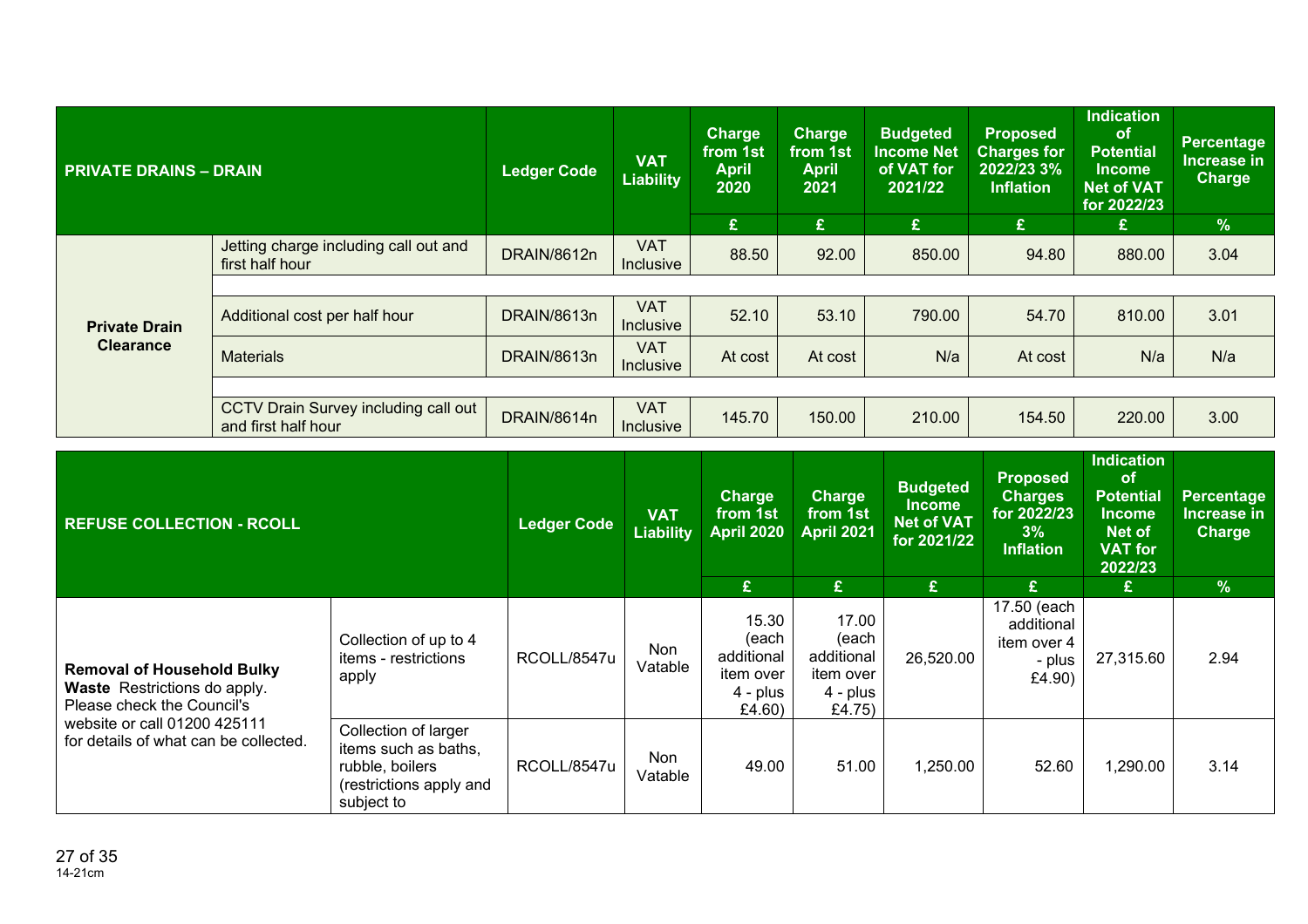| <b>PRIVATE DRAINS - DRAIN</b>            |                                                             | <b>Ledger Code</b> | <b>VAT</b><br>Liability        | <b>Charge</b><br>from 1st<br><b>April</b><br>2020<br>£ | <b>Charge</b><br>from 1st<br><b>April</b><br>2021<br>£ | <b>Budgeted</b><br><b>Income Net</b><br>of VAT for<br>2021/22<br>£ | <b>Proposed</b><br><b>Charges for</b><br>2022/23 3%<br><b>Inflation</b><br>£ | <b>Indication</b><br>of<br><b>Potential</b><br>Income<br><b>Net of VAT</b><br>for 2022/23<br>£ | <b>Percentage</b><br>Increase in<br><b>Charge</b><br>$\frac{9}{6}$ |
|------------------------------------------|-------------------------------------------------------------|--------------------|--------------------------------|--------------------------------------------------------|--------------------------------------------------------|--------------------------------------------------------------------|------------------------------------------------------------------------------|------------------------------------------------------------------------------------------------|--------------------------------------------------------------------|
|                                          | Jetting charge including call out and<br>first half hour    | DRAIN/8612n        | <b>VAT</b><br><b>Inclusive</b> | 88.50                                                  | 92.00                                                  | 850.00                                                             | 94.80                                                                        | 880.00                                                                                         | 3.04                                                               |
| <b>Private Drain</b><br><b>Clearance</b> |                                                             |                    |                                |                                                        |                                                        |                                                                    |                                                                              |                                                                                                |                                                                    |
|                                          | Additional cost per half hour                               | DRAIN/8613n        | <b>VAT</b><br>Inclusive        | 52.10                                                  | 53.10                                                  | 790.00                                                             | 54.70                                                                        | 810.00                                                                                         | 3.01                                                               |
|                                          | <b>Materials</b>                                            | DRAIN/8613n        | <b>VAT</b><br><b>Inclusive</b> | At cost                                                | At cost                                                | N/a                                                                | At cost                                                                      | N/a                                                                                            | N/a                                                                |
|                                          |                                                             |                    |                                |                                                        |                                                        |                                                                    |                                                                              |                                                                                                |                                                                    |
|                                          | CCTV Drain Survey including call out<br>and first half hour | DRAIN/8614n        | <b>VAT</b><br><b>Inclusive</b> | 145.70                                                 | 150.00                                                 | 210.00                                                             | 154.50                                                                       | 220.00                                                                                         | 3.00                                                               |

| <b>REFUSE COLLECTION - RCOLL</b>                                                                       |                                                                                                          | <b>Ledger Code</b> | <b>VAT</b><br><b>Liability</b> | <b>Charge</b><br>from 1st<br><b>April 2020</b><br>£             | <b>Charge</b><br>from 1st<br><b>April 2021</b><br>£               | <b>Budgeted</b><br><b>Income</b><br><b>Net of VAT</b><br>for 2021/22<br>£ | <b>Proposed</b><br><b>Charges</b><br>for 2022/23<br>3%<br>Inflation<br>£ | <b>Indication</b><br>of<br><b>Potential</b><br><b>Income</b><br>Net of<br><b>VAT for</b><br>2022/23<br>£. | Percentage<br>Increase in<br>Charge<br>$\frac{9}{6}$ |
|--------------------------------------------------------------------------------------------------------|----------------------------------------------------------------------------------------------------------|--------------------|--------------------------------|-----------------------------------------------------------------|-------------------------------------------------------------------|---------------------------------------------------------------------------|--------------------------------------------------------------------------|-----------------------------------------------------------------------------------------------------------|------------------------------------------------------|
|                                                                                                        |                                                                                                          |                    |                                |                                                                 |                                                                   |                                                                           |                                                                          |                                                                                                           |                                                      |
| <b>Removal of Household Bulky</b><br><b>Waste</b> Restrictions do apply.<br>Please check the Council's | Collection of up to 4<br>items - restrictions<br>apply                                                   | RCOLL/8547u        | Non<br>Vatable                 | 15.30<br>(each<br>additional<br>item over<br>4 - plus<br>£4.60) | 17.00<br>(each<br>additional<br>item over<br>$4 - plus$<br>£4.75) | 26,520.00                                                                 | 17.50 (each<br>additional<br>item over 4<br>- plus<br>£4.90)             | 27,315.60                                                                                                 | 2.94                                                 |
| website or call 01200 425111<br>for details of what can be collected.                                  | Collection of larger<br>items such as baths,<br>rubble, boilers<br>(restrictions apply and<br>subject to | RCOLL/8547u        | Non<br>Vatable                 | 49.00                                                           | 51.00                                                             | 1,250.00                                                                  | 52.60                                                                    | ,290.00                                                                                                   | 3.14                                                 |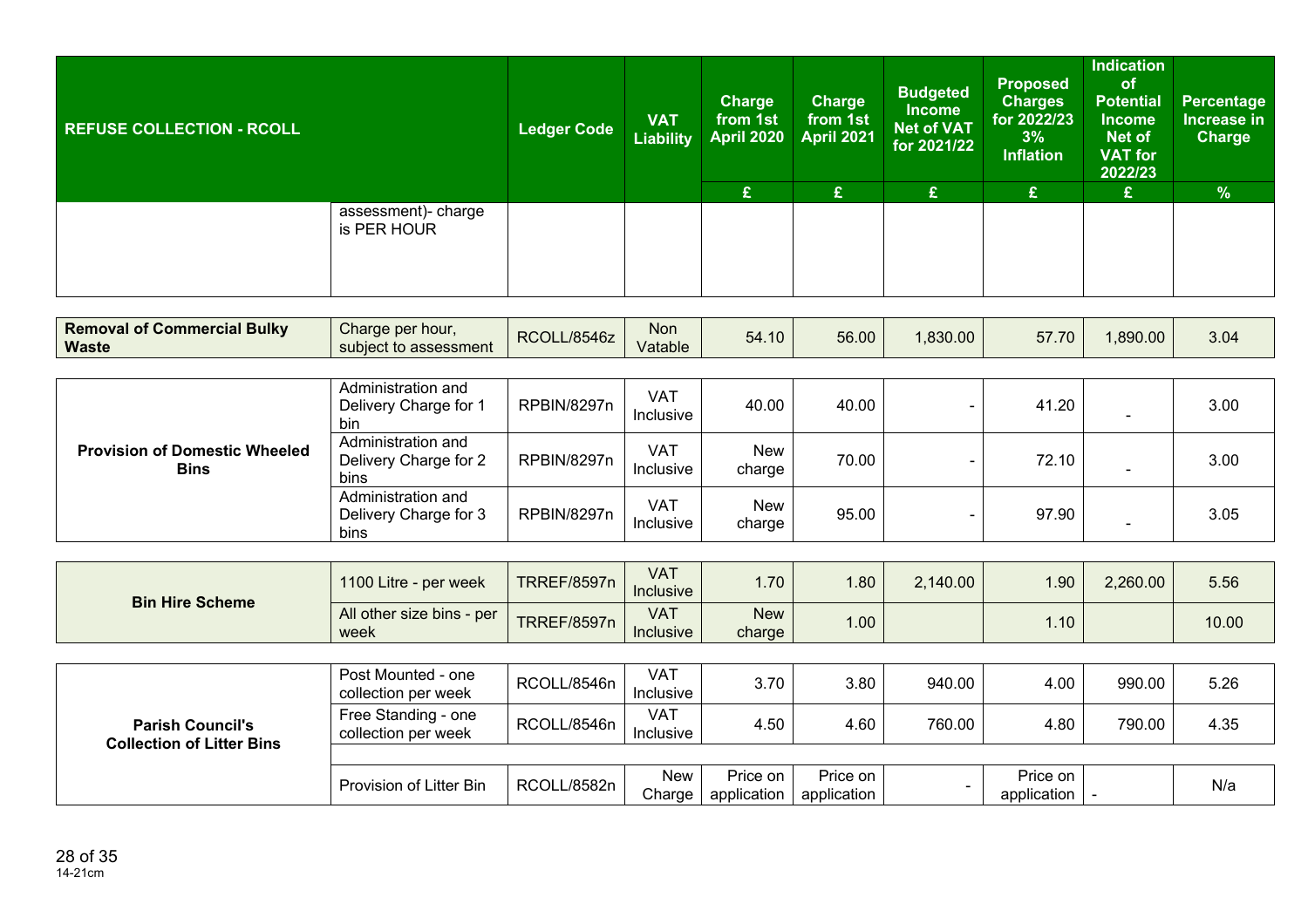| <b>REFUSE COLLECTION - RCOLL</b>                   |                                                    | <b>Ledger Code</b>                              | <b>VAT</b><br><b>Liability</b> | <b>Charge</b><br>from 1st<br><b>April 2020</b> | Charge<br>from 1st<br><b>April 2021</b> | <b>Budgeted</b><br><b>Income</b><br><b>Net of VAT</b><br>for 2021/22 | <b>Proposed</b><br><b>Charges</b><br>for 2022/23<br>3%<br><b>Inflation</b> | <b>Indication</b><br>of<br><b>Potential</b><br><b>Income</b><br><b>Net of</b><br><b>VAT for</b><br>2022/23 | <b>Percentage</b><br>Increase in<br><b>Charge</b> |
|----------------------------------------------------|----------------------------------------------------|-------------------------------------------------|--------------------------------|------------------------------------------------|-----------------------------------------|----------------------------------------------------------------------|----------------------------------------------------------------------------|------------------------------------------------------------------------------------------------------------|---------------------------------------------------|
|                                                    |                                                    |                                                 |                                | £                                              | £                                       | $\mathbf{E}$                                                         | £                                                                          | £                                                                                                          | %                                                 |
|                                                    | assessment)- charge<br>is PER HOUR                 |                                                 |                                |                                                |                                         |                                                                      |                                                                            |                                                                                                            |                                                   |
|                                                    |                                                    |                                                 |                                |                                                |                                         |                                                                      |                                                                            |                                                                                                            |                                                   |
| <b>Removal of Commercial Bulky</b><br><b>Waste</b> | Charge per hour,<br>subject to assessment          | RCOLL/8546z                                     | <b>Non</b><br>Vatable          | 54.10                                          | 56.00                                   | 1,830.00                                                             | 57.70                                                                      | 1,890.00                                                                                                   | 3.04                                              |
|                                                    |                                                    |                                                 |                                |                                                |                                         |                                                                      |                                                                            |                                                                                                            |                                                   |
|                                                    | Administration and<br>Delivery Charge for 1<br>bin | <b>RPBIN/8297n</b>                              | <b>VAT</b><br>Inclusive        | 40.00                                          | 40.00                                   | $\overline{\phantom{0}}$                                             | 41.20                                                                      |                                                                                                            | 3.00                                              |
| <b>Provision of Domestic Wheeled</b>               | Administration and<br>$D = 0.128$                  | $P$ $P$ $R$ $R$ $R$ $R$ $R$ $R$ $R$ $R$ $R$ $R$ | <b>VAT</b>                     | New                                            | 70.00                                   |                                                                      | 70.40                                                                      |                                                                                                            | 0.00                                              |

| <b>Provision of Domestic Wheeled</b><br><b>Bins</b> | Delivery Charge for 2<br>bins                       | RPBIN/8297n | VA1<br>Inclusive | New<br>charge | 70.00 | 72.10 | 3.00 |
|-----------------------------------------------------|-----------------------------------------------------|-------------|------------------|---------------|-------|-------|------|
|                                                     | Administration and<br>Delivery Charge for 3<br>bins | RPBIN/8297n | VAT<br>Inclusive | New<br>charge | 95.00 | 97.90 | 3.05 |

| <b>Bin Hire Scheme</b> | 1100 Litre - per week             | <b>TRREF/8597n</b> | <b>VAT</b><br><b>Inclusive</b> | .70 <sub>1</sub>     | 1.80  | 2,140.00 | 1.90 <sub>1</sub> | 2,260.00 | 5.56  |
|------------------------|-----------------------------------|--------------------|--------------------------------|----------------------|-------|----------|-------------------|----------|-------|
|                        | All other size bins - per<br>week | <b>TRREF/8597n</b> | <b>VAT</b><br><b>Inclusive</b> | <b>New</b><br>charge | 0.001 |          | .10 <sub>1</sub>  |          | 10.00 |

| <b>Parish Council's</b><br><b>Collection of Litter Bins</b> | Post Mounted - one<br>collection per week  | RCOLL/8546n | VAT<br>Inclusive        | 3.70                    | 3.80                    | 940.00 | 4.00                                | 990.00 | 5.26 |
|-------------------------------------------------------------|--------------------------------------------|-------------|-------------------------|-------------------------|-------------------------|--------|-------------------------------------|--------|------|
|                                                             | Free Standing - one<br>collection per week | RCOLL/8546n | <b>VAT</b><br>Inclusive | 4.50                    | 4.60                    | 760.00 | 4.80                                | 790.00 | 4.35 |
|                                                             |                                            |             |                         |                         |                         |        |                                     |        |      |
|                                                             | Provision of Litter Bin                    | RCOLL/8582n | <b>New</b><br>Charge    | Price on<br>application | Price on<br>application |        | Price on I<br>application $\vert$ - |        | N/a  |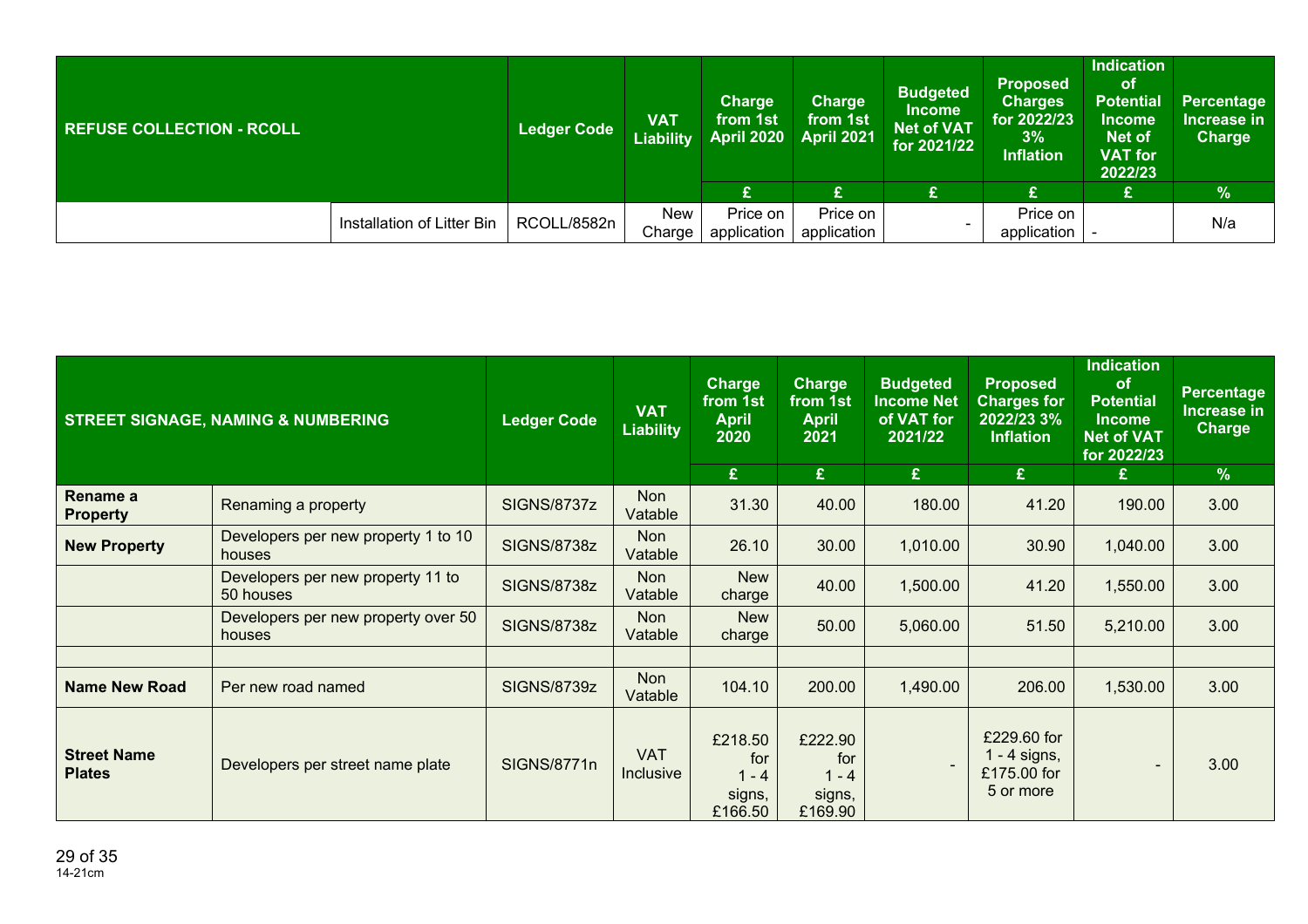| <b>REFUSE COLLECTION - RCOLL</b> |                            | <b>Ledger Code</b> | <b>VAT</b><br>Liability | <b>Charge</b><br>from 1st<br><b>April 2020</b> | <b>Charge</b><br>from 1st<br><b>April 2021</b> | <b>Budgeted</b><br><b>Income</b><br><b>Net of VAT</b><br>for $2021/22$ | <b>Proposed</b><br><b>Charges</b><br>for 2022/23<br>3%<br><b>Inflation</b> | <b>Indication</b><br>οf<br><b>Potential</b><br><b>Income</b><br><b>Net of</b><br><b>VAT</b> for<br>2022/23 | Percentage<br>Increase in<br><b>Charge</b> |
|----------------------------------|----------------------------|--------------------|-------------------------|------------------------------------------------|------------------------------------------------|------------------------------------------------------------------------|----------------------------------------------------------------------------|------------------------------------------------------------------------------------------------------------|--------------------------------------------|
|                                  |                            |                    |                         | £                                              | £                                              | £                                                                      |                                                                            | £                                                                                                          | $\frac{9}{6}$                              |
|                                  | Installation of Litter Bin | RCOLL/8582n        | <b>New</b><br>Charge    | Price on<br>application                        | Price on<br>application                        |                                                                        | Price on<br>application                                                    |                                                                                                            | N/a                                        |

|                                     | <b>STREET SIGNAGE, NAMING &amp; NUMBERING</b>  | <b>Ledger Code</b> | <b>VAT</b><br><b>Liability</b> | <b>Charge</b><br>from 1st<br><b>April</b><br>2020<br>£ | <b>Charge</b><br>from 1st<br><b>April</b><br>2021<br>E | <b>Budgeted</b><br><b>Income Net</b><br>of VAT for<br>2021/22<br>£ | <b>Proposed</b><br><b>Charges for</b><br>2022/23 3%<br><b>Inflation</b><br>£ | <b>Indication</b><br>of<br><b>Potential</b><br><b>Income</b><br><b>Net of VAT</b><br>for 2022/23<br>£ | Percentage<br>Increase in<br><b>Charge</b><br>$\frac{9}{6}$ |
|-------------------------------------|------------------------------------------------|--------------------|--------------------------------|--------------------------------------------------------|--------------------------------------------------------|--------------------------------------------------------------------|------------------------------------------------------------------------------|-------------------------------------------------------------------------------------------------------|-------------------------------------------------------------|
| Rename a<br><b>Property</b>         | Renaming a property                            | SIGNS/8737z        | Non<br>Vatable                 | 31.30                                                  | 40.00                                                  | 180.00                                                             | 41.20                                                                        | 190.00                                                                                                | 3.00                                                        |
| <b>New Property</b>                 | Developers per new property 1 to 10<br>houses  | <b>SIGNS/8738z</b> | Non<br>Vatable                 | 26.10                                                  | 30.00                                                  | 1,010.00                                                           | 30.90                                                                        | 1,040.00                                                                                              | 3.00                                                        |
|                                     | Developers per new property 11 to<br>50 houses | <b>SIGNS/8738z</b> | Non<br>Vatable                 | <b>New</b><br>charge                                   | 40.00                                                  | 1,500.00                                                           | 41.20                                                                        | 1,550.00                                                                                              | 3.00                                                        |
|                                     | Developers per new property over 50<br>houses  | SIGNS/8738z        | Non<br>Vatable                 | <b>New</b><br>charge                                   | 50.00                                                  | 5,060.00                                                           | 51.50                                                                        | 5,210.00                                                                                              | 3.00                                                        |
|                                     |                                                |                    |                                |                                                        |                                                        |                                                                    |                                                                              |                                                                                                       |                                                             |
| <b>Name New Road</b>                | Per new road named                             | <b>SIGNS/8739z</b> | Non<br>Vatable                 | 104.10                                                 | 200.00                                                 | 1,490.00                                                           | 206.00                                                                       | 1,530.00                                                                                              | 3.00                                                        |
| <b>Street Name</b><br><b>Plates</b> | Developers per street name plate               | <b>SIGNS/8771n</b> | <b>VAT</b><br>Inclusive        | £218.50<br>for<br>$1 - 4$<br>signs,<br>£166.50         | £222.90<br>for<br>$1 - 4$<br>signs,<br>£169.90         |                                                                    | £229.60 for<br>$1 - 4$ signs,<br>£175.00 for<br>5 or more                    | $\blacksquare$                                                                                        | 3.00                                                        |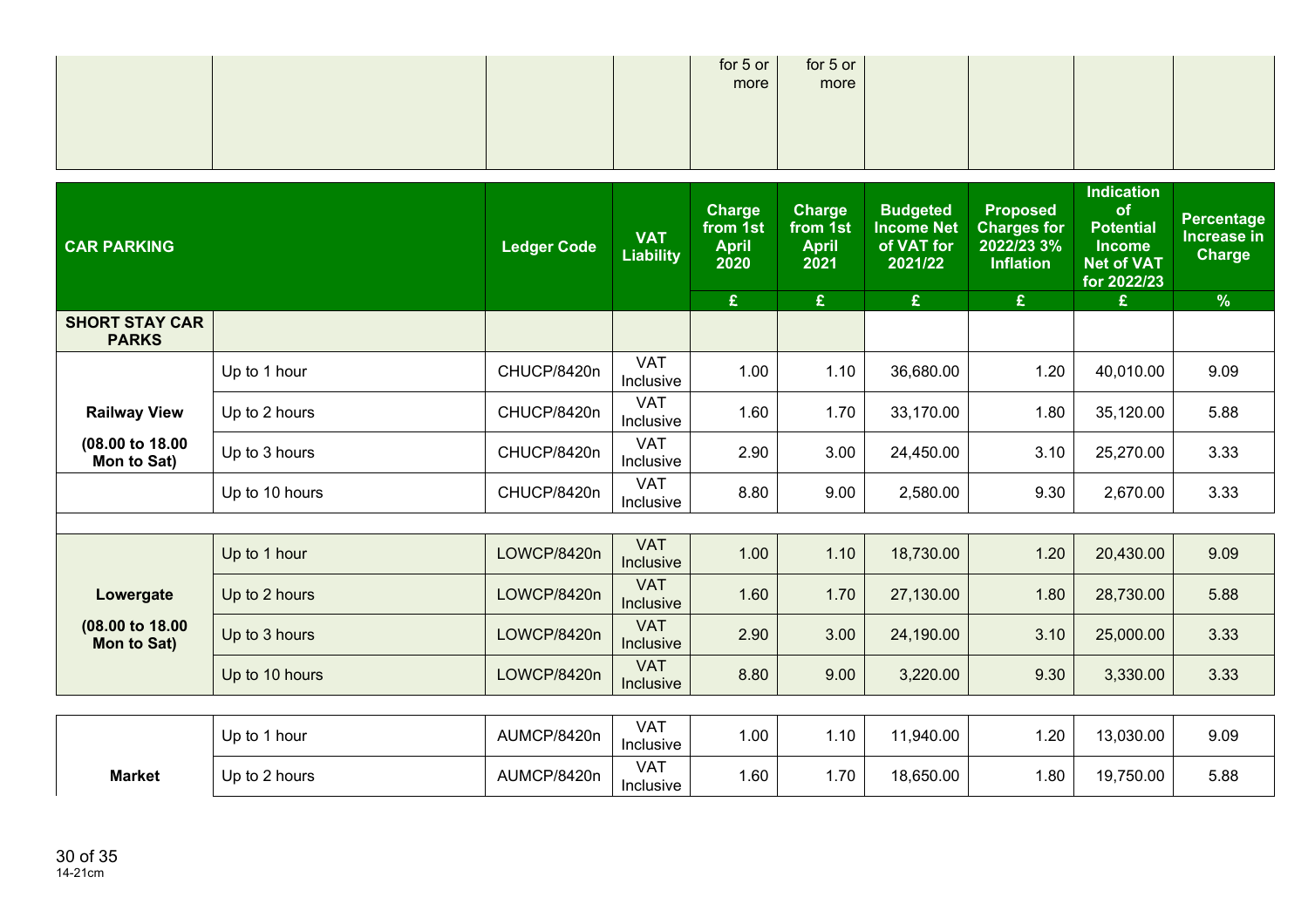|  | for 5 or $\vert$ | for $5$ or |  |  |
|--|------------------|------------|--|--|
|  | more             | more       |  |  |
|  |                  |            |  |  |
|  |                  |            |  |  |
|  |                  |            |  |  |

| <b>CAR PARKING</b>                    |                | <b>Ledger Code</b> | <b>VAT</b><br><b>Liability</b> | <b>Charge</b><br>from 1st<br><b>April</b><br>2020 | <b>Charge</b><br>from 1st<br><b>April</b><br>2021 | <b>Budgeted</b><br><b>Income Net</b><br>of VAT for<br>2021/22 | <b>Proposed</b><br><b>Charges for</b><br>2022/23 3%<br><b>Inflation</b> | <b>Indication</b><br>of<br><b>Potential</b><br><b>Income</b><br><b>Net of VAT</b><br>for 2022/23 | <b>Percentage</b><br>Increase in<br><b>Charge</b> |
|---------------------------------------|----------------|--------------------|--------------------------------|---------------------------------------------------|---------------------------------------------------|---------------------------------------------------------------|-------------------------------------------------------------------------|--------------------------------------------------------------------------------------------------|---------------------------------------------------|
|                                       |                |                    |                                | $\pmb{\mathfrak{L}}$                              | $\mathbf{E}$                                      | $\mathbf{E}$                                                  | £                                                                       | £                                                                                                | $\frac{9}{6}$                                     |
| <b>SHORT STAY CAR</b><br><b>PARKS</b> |                |                    |                                |                                                   |                                                   |                                                               |                                                                         |                                                                                                  |                                                   |
|                                       | Up to 1 hour   | CHUCP/8420n        | <b>VAT</b><br>Inclusive        | 1.00                                              | 1.10                                              | 36,680.00                                                     | 1.20                                                                    | 40,010.00                                                                                        | 9.09                                              |
| <b>Railway View</b>                   | Up to 2 hours  | CHUCP/8420n        | <b>VAT</b><br>Inclusive        | 1.60                                              | 1.70                                              | 33,170.00                                                     | 1.80                                                                    | 35,120.00                                                                                        | 5.88                                              |
| (08.00 to 18.00<br>Mon to Sat)        | Up to 3 hours  | CHUCP/8420n        | <b>VAT</b><br>Inclusive        | 2.90                                              | 3.00                                              | 24,450.00                                                     | 3.10                                                                    | 25,270.00                                                                                        | 3.33                                              |
|                                       | Up to 10 hours | CHUCP/8420n        | <b>VAT</b><br>Inclusive        | 8.80                                              | 9.00                                              | 2,580.00                                                      | 9.30                                                                    | 2,670.00                                                                                         | 3.33                                              |
|                                       |                |                    |                                |                                                   |                                                   |                                                               |                                                                         |                                                                                                  |                                                   |
|                                       | Up to 1 hour   | LOWCP/8420n        | <b>VAT</b><br>Inclusive        | 1.00                                              | 1.10                                              | 18,730.00                                                     | 1.20                                                                    | 20,430.00                                                                                        | 9.09                                              |
| Lowergate                             | Up to 2 hours  | LOWCP/8420n        | <b>VAT</b><br>Inclusive        | 1.60                                              | 1.70                                              | 27,130.00                                                     | 1.80                                                                    | 28,730.00                                                                                        | 5.88                                              |
| (08.00 to 18.00)<br>Mon to Sat)       | Up to 3 hours  | LOWCP/8420n        | <b>VAT</b><br><b>Inclusive</b> | 2.90                                              | 3.00                                              | 24,190.00                                                     | 3.10                                                                    | 25,000.00                                                                                        | 3.33                                              |
|                                       | Up to 10 hours | LOWCP/8420n        | <b>VAT</b><br>Inclusive        | 8.80                                              | 9.00                                              | 3,220.00                                                      | 9.30                                                                    | 3,330.00                                                                                         | 3.33                                              |
|                                       |                |                    |                                |                                                   |                                                   |                                                               |                                                                         |                                                                                                  |                                                   |

|               | Up to<br>1 hour | AUMCP/8420n | VAT<br>Inclusive | 1.00 | .10 | 11,940.00 | .20   | 13,030.00 | 9.09 |
|---------------|-----------------|-------------|------------------|------|-----|-----------|-------|-----------|------|
| <b>Market</b> | Up to 2 hours   | AUMCP/8420n | VAT<br>Inclusive | 1.60 | .70 | 18,650.00 | . .80 | 19,750.00 | 5.88 |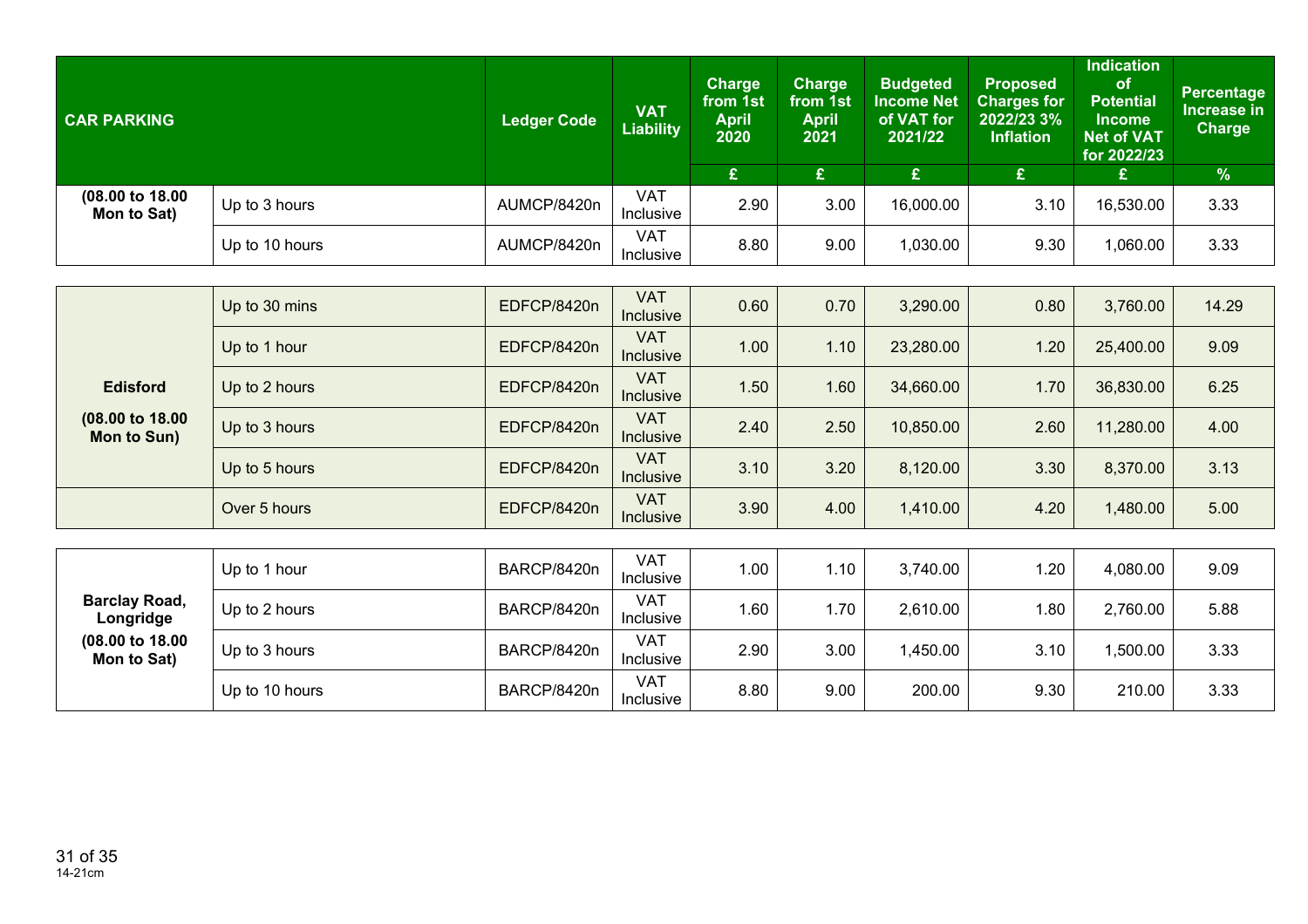| <b>CAR PARKING</b>             |                | <b>Ledger Code</b> | <b>VAT</b><br><b>Liability</b> | Charge<br>from 1st<br><b>April</b><br>2020 | Charge<br>from 1st<br><b>April</b><br>2021 | <b>Budgeted</b><br><b>Income Net</b><br>of VAT for<br>2021/22 | <b>Proposed</b><br><b>Charges for</b><br>2022/23 3%<br><b>Inflation</b> | <b>Indication</b><br><b>of</b><br><b>Potential</b><br><b>Income</b><br><b>Net of VAT</b><br>for 2022/23 | Percentage<br>Increase in<br><b>Charge</b> |
|--------------------------------|----------------|--------------------|--------------------------------|--------------------------------------------|--------------------------------------------|---------------------------------------------------------------|-------------------------------------------------------------------------|---------------------------------------------------------------------------------------------------------|--------------------------------------------|
|                                |                |                    |                                | £                                          |                                            | £                                                             |                                                                         | £                                                                                                       | $\frac{9}{6}$                              |
| (08.00 to 18.00<br>Mon to Sat) | Up to 3 hours  | AUMCP/8420n        | <b>VAT</b><br><b>Inclusive</b> | 2.90                                       | 3.00                                       | 16,000.00                                                     | 3.10                                                                    | 16,530.00                                                                                               | 3.33                                       |
|                                | Up to 10 hours | AUMCP/8420n        | <b>VAT</b><br>Inclusive        | 8.80                                       | 9.00                                       | 1,030.00                                                      | 9.30                                                                    | 060.00,                                                                                                 | 3.33                                       |

|                                   | Up to 30 mins  | EDFCP/8420n | <b>VAT</b><br><b>Inclusive</b> | 0.60 | 0.70 | 3,290.00  | 0.80 | 3,760.00  | 14.29 |
|-----------------------------------|----------------|-------------|--------------------------------|------|------|-----------|------|-----------|-------|
|                                   | Up to 1 hour   | EDFCP/8420n | <b>VAT</b><br><b>Inclusive</b> | 1.00 | 1.10 | 23,280.00 | 1.20 | 25,400.00 | 9.09  |
| <b>Edisford</b>                   | Up to 2 hours  | EDFCP/8420n | <b>VAT</b><br><b>Inclusive</b> | 1.50 | 1.60 | 34,660.00 | 1.70 | 36,830.00 | 6.25  |
| (08.00 to 18.00<br>Mon to Sun)    | Up to 3 hours  | EDFCP/8420n | <b>VAT</b><br><b>Inclusive</b> | 2.40 | 2.50 | 10,850.00 | 2.60 | 11,280.00 | 4.00  |
|                                   | Up to 5 hours  | EDFCP/8420n | <b>VAT</b><br>Inclusive        | 3.10 | 3.20 | 8,120.00  | 3.30 | 8,370.00  | 3.13  |
|                                   | Over 5 hours   | EDFCP/8420n | <b>VAT</b><br>Inclusive        | 3.90 | 4.00 | 1,410.00  | 4.20 | 1,480.00  | 5.00  |
|                                   |                |             |                                |      |      |           |      |           |       |
|                                   | Up to 1 hour   | BARCP/8420n | <b>VAT</b><br>Inclusive        | 1.00 | 1.10 | 3,740.00  | 1.20 | 4,080.00  | 9.09  |
| <b>Barclay Road,</b><br>Longridge | Up to 2 hours  | BARCP/8420n | <b>VAT</b><br>Inclusive        | 1.60 | 1.70 | 2,610.00  | 1.80 | 2,760.00  | 5.88  |
| (08.00 to 18.00<br>Mon to Sat)    | Up to 3 hours  | BARCP/8420n | <b>VAT</b><br>Inclusive        | 2.90 | 3.00 | 1,450.00  | 3.10 | 1,500.00  | 3.33  |
|                                   | Up to 10 hours | BARCP/8420n | <b>VAT</b><br>Inclusive        | 8.80 | 9.00 | 200.00    | 9.30 | 210.00    | 3.33  |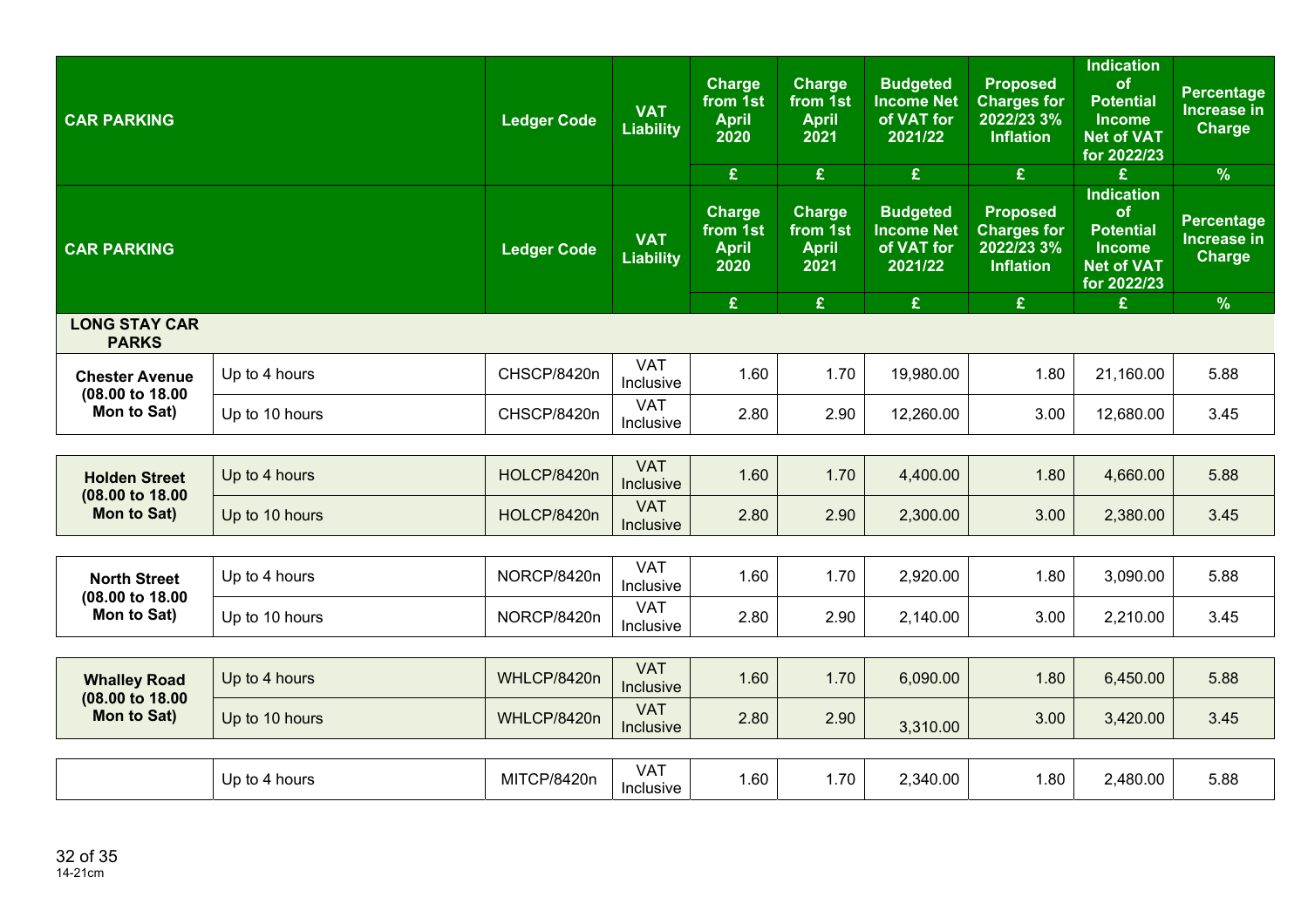| <b>CAR PARKING</b>                       |                | <b>Ledger Code</b> | <b>VAT</b><br><b>Liability</b> | <b>Charge</b><br>from 1st<br><b>April</b><br>2020<br>£ | <b>Charge</b><br>from 1st<br><b>April</b><br>2021<br>£ | <b>Budgeted</b><br><b>Income Net</b><br>of VAT for<br>2021/22<br>$\pmb{\mathfrak{L}}$ | <b>Proposed</b><br><b>Charges for</b><br>2022/23 3%<br><b>Inflation</b><br>£ | <b>Indication</b><br>of<br><b>Potential</b><br><b>Income</b><br><b>Net of VAT</b><br>for 2022/23<br>£ | <b>Percentage</b><br>Increase in<br>Charge<br>$\frac{9}{6}$ |
|------------------------------------------|----------------|--------------------|--------------------------------|--------------------------------------------------------|--------------------------------------------------------|---------------------------------------------------------------------------------------|------------------------------------------------------------------------------|-------------------------------------------------------------------------------------------------------|-------------------------------------------------------------|
| <b>CAR PARKING</b>                       |                | <b>Ledger Code</b> | <b>VAT</b><br><b>Liability</b> | <b>Charge</b><br>from 1st<br><b>April</b><br>2020      | <b>Charge</b><br>from 1st<br><b>April</b><br>2021      | <b>Budgeted</b><br><b>Income Net</b><br>of VAT for<br>2021/22                         | <b>Proposed</b><br><b>Charges for</b><br>2022/23 3%<br><b>Inflation</b>      | <b>Indication</b><br>of<br><b>Potential</b><br><b>Income</b><br><b>Net of VAT</b><br>for 2022/23      | <b>Percentage</b><br><b>Increase in</b><br><b>Charge</b>    |
| <b>LONG STAY CAR</b>                     |                |                    |                                | £                                                      | £                                                      | £                                                                                     | £                                                                            | £                                                                                                     | $\frac{9}{6}$                                               |
| <b>PARKS</b>                             |                |                    |                                |                                                        |                                                        |                                                                                       |                                                                              |                                                                                                       |                                                             |
| <b>Chester Avenue</b><br>(08.00 to 18.00 | Up to 4 hours  | CHSCP/8420n        | <b>VAT</b><br>Inclusive        | 1.60                                                   | 1.70                                                   | 19,980.00                                                                             | 1.80                                                                         | 21,160.00                                                                                             | 5.88                                                        |
| Mon to Sat)                              | Up to 10 hours | CHSCP/8420n        | <b>VAT</b><br>Inclusive        | 2.80                                                   | 2.90                                                   | 12,260.00                                                                             | 3.00                                                                         | 12,680.00                                                                                             | 3.45                                                        |
|                                          |                |                    |                                |                                                        |                                                        |                                                                                       |                                                                              |                                                                                                       |                                                             |
| <b>Holden Street</b>                     | Up to 4 hours  | HOLCP/8420n        | <b>VAT</b><br>Inclusive        | 1.60                                                   | 1.70                                                   | 4,400.00                                                                              | 1.80                                                                         | 4,660.00                                                                                              | 5.88                                                        |
| (08.00 to 18.00)<br>Mon to Sat)          | Up to 10 hours | HOLCP/8420n        | <b>VAT</b><br>Inclusive        | 2.80                                                   | 2.90                                                   | 2,300.00                                                                              | 3.00                                                                         | 2,380.00                                                                                              | 3.45                                                        |
|                                          |                |                    |                                |                                                        |                                                        |                                                                                       |                                                                              |                                                                                                       |                                                             |
| <b>North Street</b><br>(08.00 to 18.00   | Up to 4 hours  | NORCP/8420n        | <b>VAT</b><br>Inclusive        | 1.60                                                   | 1.70                                                   | 2,920.00                                                                              | 1.80                                                                         | 3,090.00                                                                                              | 5.88                                                        |
| Mon to Sat)                              | Up to 10 hours | NORCP/8420n        | <b>VAT</b><br>Inclusive        | 2.80                                                   | 2.90                                                   | 2,140.00                                                                              | 3.00                                                                         | 2,210.00                                                                                              | 3.45                                                        |
|                                          |                |                    |                                |                                                        |                                                        |                                                                                       |                                                                              |                                                                                                       |                                                             |
| <b>Whalley Road</b>                      | Up to 4 hours  | WHLCP/8420n        | <b>VAT</b><br>Inclusive        | 1.60                                                   | 1.70                                                   | 6,090.00                                                                              | 1.80                                                                         | 6,450.00                                                                                              | 5.88                                                        |
| (08.00 to 18.00<br>Mon to Sat)           | Up to 10 hours | WHLCP/8420n        | <b>VAT</b><br>Inclusive        | 2.80                                                   | 2.90                                                   | 3,310.00                                                                              | 3.00                                                                         | 3,420.00                                                                                              | 3.45                                                        |
|                                          |                |                    |                                |                                                        |                                                        |                                                                                       |                                                                              |                                                                                                       |                                                             |
|                                          | Up to 4 hours  | MITCP/8420n        | <b>VAT</b><br>Inclusive        | 1.60                                                   | 1.70                                                   | 2,340.00                                                                              | 1.80                                                                         | 2,480.00                                                                                              | 5.88                                                        |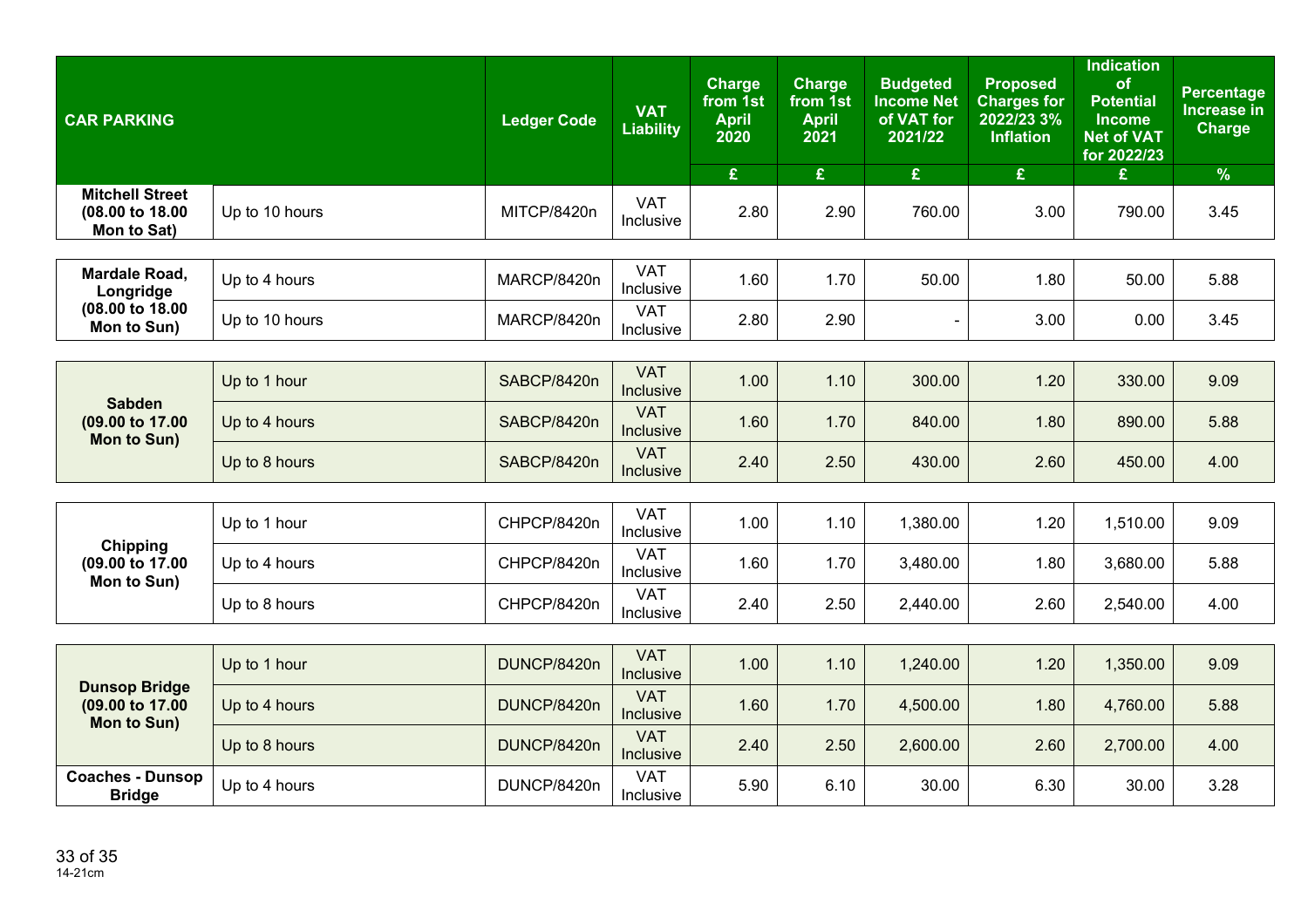| <b>CAR PARKING</b>                                     |                | <b>Ledger Code</b> | <b>VAT</b><br><b>Liability</b> | <b>Charge</b><br>from 1st<br><b>April</b><br>2020 | <b>Charge</b><br>from 1st<br><b>April</b><br>2021 | <b>Budgeted</b><br><b>Income Net</b><br>of VAT for<br>2021/22 | <b>Proposed</b><br><b>Charges for</b><br>2022/23 3%<br><b>Inflation</b> | <b>Indication</b><br>of<br><b>Potential</b><br><b>Income</b><br><b>Net of VAT</b><br>for 2022/23 | <b>Percentage</b><br><b>Increase in</b><br><b>Charge</b> |
|--------------------------------------------------------|----------------|--------------------|--------------------------------|---------------------------------------------------|---------------------------------------------------|---------------------------------------------------------------|-------------------------------------------------------------------------|--------------------------------------------------------------------------------------------------|----------------------------------------------------------|
| <b>Mitchell Street</b>                                 |                |                    |                                | £                                                 | £                                                 | $\boldsymbol{\mathfrak{L}}$                                   | £                                                                       | £                                                                                                | $\%$                                                     |
| (08.00 to 18.00<br>Mon to Sat)                         | Up to 10 hours | MITCP/8420n        | <b>VAT</b><br>Inclusive        | 2.80                                              | 2.90                                              | 760.00                                                        | 3.00                                                                    | 790.00                                                                                           | 3.45                                                     |
|                                                        |                |                    |                                |                                                   |                                                   |                                                               |                                                                         |                                                                                                  |                                                          |
| Mardale Road,<br>Longridge                             | Up to 4 hours  | MARCP/8420n        | <b>VAT</b><br>Inclusive        | 1.60                                              | 1.70                                              | 50.00                                                         | 1.80                                                                    | 50.00                                                                                            | 5.88                                                     |
| (08.00 to 18.00<br>Mon to Sun)                         | Up to 10 hours | MARCP/8420n        | <b>VAT</b><br>Inclusive        | 2.80                                              | 2.90                                              |                                                               | 3.00                                                                    | 0.00                                                                                             | 3.45                                                     |
|                                                        |                |                    |                                |                                                   |                                                   |                                                               |                                                                         |                                                                                                  |                                                          |
|                                                        | Up to 1 hour   | SABCP/8420n        | <b>VAT</b><br>Inclusive        | 1.00                                              | 1.10                                              | 300.00                                                        | 1.20                                                                    | 330.00                                                                                           | 9.09                                                     |
| <b>Sabden</b><br>(09.00 to 17.00)<br>Mon to Sun)       | Up to 4 hours  | SABCP/8420n        | <b>VAT</b><br>Inclusive        | 1.60                                              | 1.70                                              | 840.00                                                        | 1.80                                                                    | 890.00                                                                                           | 5.88                                                     |
|                                                        | Up to 8 hours  | SABCP/8420n        | <b>VAT</b><br>Inclusive        | 2.40                                              | 2.50                                              | 430.00                                                        | 2.60                                                                    | 450.00                                                                                           | 4.00                                                     |
|                                                        |                |                    |                                |                                                   |                                                   |                                                               |                                                                         |                                                                                                  |                                                          |
|                                                        | Up to 1 hour   | CHPCP/8420n        | <b>VAT</b><br>Inclusive        | 1.00                                              | 1.10                                              | 1,380.00                                                      | 1.20                                                                    | 1,510.00                                                                                         | 9.09                                                     |
| Chipping<br>(09.00 to 17.00<br>Mon to Sun)             | Up to 4 hours  | CHPCP/8420n        | <b>VAT</b><br>Inclusive        | 1.60                                              | 1.70                                              | 3,480.00                                                      | 1.80                                                                    | 3,680.00                                                                                         | 5.88                                                     |
|                                                        | Up to 8 hours  | CHPCP/8420n        | <b>VAT</b><br>Inclusive        | 2.40                                              | 2.50                                              | 2,440.00                                                      | 2.60                                                                    | 2,540.00                                                                                         | 4.00                                                     |
|                                                        |                |                    |                                |                                                   |                                                   |                                                               |                                                                         |                                                                                                  |                                                          |
|                                                        | Up to 1 hour   | DUNCP/8420n        | <b>VAT</b><br>Inclusive        | 1.00                                              | 1.10                                              | 1,240.00                                                      | 1.20                                                                    | 1,350.00                                                                                         | 9.09                                                     |
| <b>Dunsop Bridge</b><br>(09.00 to 17.00<br>Mon to Sun) | Up to 4 hours  | DUNCP/8420n        | <b>VAT</b><br>Inclusive        | 1.60                                              | 1.70                                              | 4,500.00                                                      | 1.80                                                                    | 4,760.00                                                                                         | 5.88                                                     |
|                                                        | Up to 8 hours  | DUNCP/8420n        | <b>VAT</b><br>Inclusive        | 2.40                                              | 2.50                                              | 2,600.00                                                      | 2.60                                                                    | 2,700.00                                                                                         | 4.00                                                     |
| <b>Coaches - Dunsop</b><br><b>Bridge</b>               | Up to 4 hours  | DUNCP/8420n        | <b>VAT</b><br>Inclusive        | 5.90                                              | 6.10                                              | 30.00                                                         | 6.30                                                                    | 30.00                                                                                            | 3.28                                                     |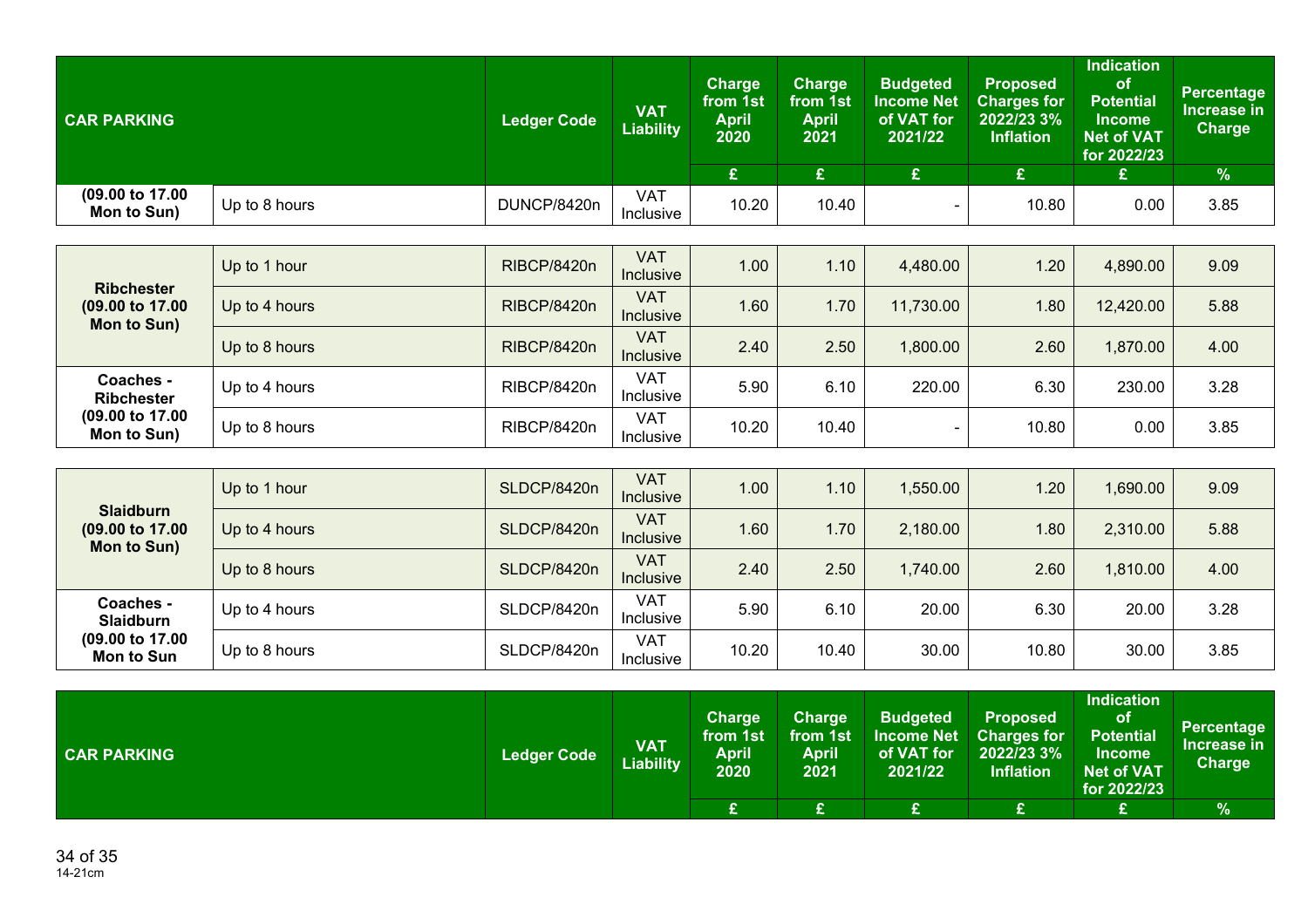| <b>CAR PARKING</b>                                              |               | <b>Ledger Code</b> | <b>VAT</b><br><b>Liability</b> | <b>Charge</b><br>from 1st<br><b>April</b><br>2020<br>£ | <b>Charge</b><br>from 1st<br><b>April</b><br>2021<br>£ | <b>Budgeted</b><br><b>Income Net</b><br>of VAT for<br>2021/22<br>$\mathbf{f}$ | <b>Proposed</b><br><b>Charges for</b><br>2022/23 3%<br><b>Inflation</b><br>£ | Indication<br>of<br><b>Potential</b><br>Income<br><b>Net of VAT</b><br>for 2022/23<br>£ | <b>Percentage</b><br>Increase in<br><b>Charge</b><br>$\%$ |
|-----------------------------------------------------------------|---------------|--------------------|--------------------------------|--------------------------------------------------------|--------------------------------------------------------|-------------------------------------------------------------------------------|------------------------------------------------------------------------------|-----------------------------------------------------------------------------------------|-----------------------------------------------------------|
| $(09.00 \text{ to } 17.00)$<br>Mon to Sun)                      | Up to 8 hours | DUNCP/8420n        | VAT<br><b>Inclusive</b>        | 10.20                                                  | 10.40                                                  | $\blacksquare$                                                                | 10.80                                                                        | 0.00                                                                                    | 3.85                                                      |
|                                                                 |               |                    |                                |                                                        |                                                        |                                                                               |                                                                              |                                                                                         |                                                           |
|                                                                 | Up to 1 hour  | <b>RIBCP/8420n</b> | <b>VAT</b><br><b>Inclusive</b> | 1.00                                                   | 1.10                                                   | 4,480.00                                                                      | 1.20                                                                         | 4,890.00                                                                                | 9.09                                                      |
| <b>Ribchester</b><br>$(09.00 \text{ to } 17.00)$<br>Mon to Sun) | Up to 4 hours | <b>RIBCP/8420n</b> | <b>VAT</b><br>Inclusive        | 1.60                                                   | 1.70                                                   | 11,730.00                                                                     | 1.80                                                                         | 12,420.00                                                                               | 5.88                                                      |
|                                                                 | Up to 8 hours | <b>RIBCP/8420n</b> | <b>VAT</b><br><b>Inclusive</b> | 2.40                                                   | 2.50                                                   | 1,800.00                                                                      | 2.60                                                                         | 1,870.00                                                                                | 4.00                                                      |
| Coaches -<br><b>Ribchester</b>                                  | Up to 4 hours | <b>RIBCP/8420n</b> | <b>VAT</b><br><b>Inclusive</b> | 5.90                                                   | 6.10                                                   | 220.00                                                                        | 6.30                                                                         | 230.00                                                                                  | 3.28                                                      |
| $(09.00 \text{ to } 17.00)$<br>Mon to Sun)                      | Up to 8 hours | <b>RIBCP/8420n</b> | <b>VAT</b><br>Inclusive        | 10.20                                                  | 10.40                                                  |                                                                               | 10.80                                                                        | 0.00                                                                                    | 3.85                                                      |

| <b>Slaidburn</b><br>(09.00 to 17.00)<br>Mon to Sun)            | Up to 1 hour  | SLDCP/8420n | <b>VAT</b><br><b>Inclusive</b> | 1.00  | 1.10 <sub>1</sub> | 1,550.00 | .20   | 1,690.00 | 9.09 |
|----------------------------------------------------------------|---------------|-------------|--------------------------------|-------|-------------------|----------|-------|----------|------|
|                                                                | Up to 4 hours | SLDCP/8420n | <b>VAT</b><br>Inclusive        | 1.60  | 1.70              | 2,180.00 | .80   | 2,310.00 | 5.88 |
|                                                                | Up to 8 hours | SLDCP/8420n | <b>VAT</b><br><b>Inclusive</b> | 2.40  | 2.50              | 1,740.00 | 2.60  | 1,810.00 | 4.00 |
| Coaches -<br><b>Slaidburn</b><br>(09.00 to 17.00<br>Mon to Sun | Up to 4 hours | SLDCP/8420n | <b>VAT</b><br>Inclusive        | 5.90  | 6.10              | 20.00    | 6.30  | 20.00    | 3.28 |
|                                                                | Up to 8 hours | SLDCP/8420n | <b>VAT</b><br>Inclusive        | 10.20 | 10.40             | 30.00    | 10.80 | 30.00    | 3.85 |

| <b>CAR PARKING</b> | <b>Ledger Code</b> | <b>VAT</b><br><b>Liability</b> | <b>Charge</b><br>from 1st<br><b>April</b><br>2020 | Charge<br>from 1st<br>April<br>2021 | <b>Budgeted</b><br><b>Income Net</b><br>of VAT for<br>2021/22 | <b>Proposed</b><br><b>Charges for</b><br>2022/23 3%<br><b>Inflation</b> | <b>Indication</b><br><b>of</b><br><b>Potential</b><br><b>Income</b><br><b>Net of VAT</b><br>for 2022/23 | <b>Percentage</b><br>Increase in<br><b>Charge</b> |
|--------------------|--------------------|--------------------------------|---------------------------------------------------|-------------------------------------|---------------------------------------------------------------|-------------------------------------------------------------------------|---------------------------------------------------------------------------------------------------------|---------------------------------------------------|
|                    |                    |                                | $\sim$<br>∼                                       |                                     |                                                               | $\overline{\phantom{a}}$                                                | œ                                                                                                       | $\frac{9}{6}$                                     |